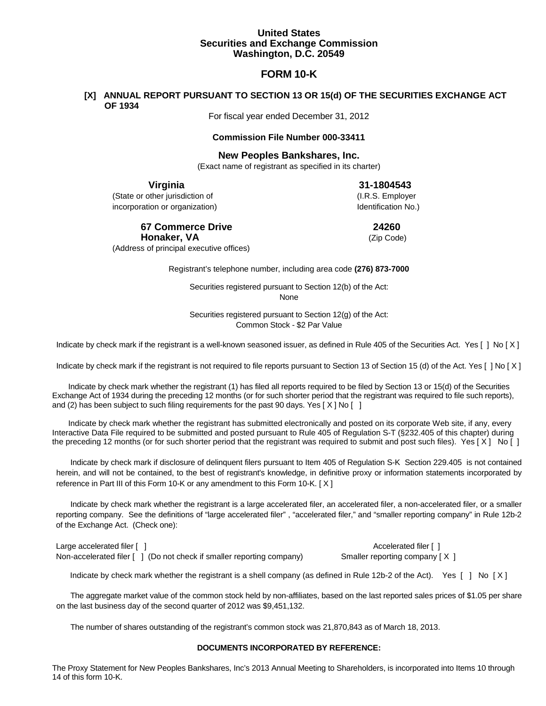#### **United States Securities and Exchange Commission Washington, D.C. 20549**

#### **FORM 10-K**

#### **[X] ANNUAL REPORT PURSUANT TO SECTION 13 OR 15(d) OF THE SECURITIES EXCHANGE ACT OF 1934**

For fiscal year ended December 31, 2012

#### **Commission File Number 000-33411**

#### **New Peoples Bankshares, Inc.**

(Exact name of registrant as specified in its charter)

**Virginia 31-1804543** (State or other jurisdiction of incorporation or organization) and incorporation No.)

# **67 Commerce Drive 24260**

(Address of principal executive offices)

**Honaker, VA** (Zip Code)

Registrant's telephone number, including area code **(276) 873-7000**

Securities registered pursuant to Section 12(b) of the Act:

None

Securities registered pursuant to Section 12(g) of the Act: Common Stock - \$2 Par Value

Indicate by check mark if the registrant is a well-known seasoned issuer, as defined in Rule 405 of the Securities Act. Yes [ ] No [X]

Indicate by check mark if the registrant is not required to file reports pursuant to Section 13 of Section 15 (d) of the Act. Yes [ ] No [X]

Indicate by check mark whether the registrant (1) has filed all reports required to be filed by Section 13 or 15(d) of the Securities Exchange Act of 1934 during the preceding 12 months (or for such shorter period that the registrant was required to file such reports), and (2) has been subject to such filing requirements for the past 90 days. Yes  $[X]$  No  $[ ]$ 

Indicate by check mark whether the registrant has submitted electronically and posted on its corporate Web site, if any, every Interactive Data File required to be submitted and posted pursuant to Rule 405 of Regulation S-T (§232.405 of this chapter) during the preceding 12 months (or for such shorter period that the registrant was required to submit and post such files). Yes [ X ] No [ ]

Indicate by check mark if disclosure of delinquent filers pursuant to Item 405 of Regulation S-K Section 229.405 is not contained herein, and will not be contained, to the best of registrant's knowledge, in definitive proxy or information statements incorporated by reference in Part III of this Form 10-K or any amendment to this Form 10-K.  $[X]$ 

Indicate by check mark whether the registrant is a large accelerated filer, an accelerated filer, a non-accelerated filer, or a smaller reporting company. See the definitions of "large accelerated filer" , "accelerated filer," and "smaller reporting company" in Rule 12b-2 of the Exchange Act. (Check one):

Large accelerated filer [ ] Case and the set of the set of the set of the set of the set of the set of the set of the set of the set of the set of the set of the set of the set of the set of the set of the set of the set o Non-accelerated filer [ ] (Do not check if smaller reporting company) Smaller reporting company [X ]

Indicate by check mark whether the registrant is a shell company (as defined in Rule 12b-2 of the Act). Yes  $\begin{bmatrix} 1 & No & N \end{bmatrix}$ 

The aggregate market value of the common stock held by non-affiliates, based on the last reported sales prices of \$1.05 per share on the last business day of the second quarter of 2012 was \$9,451,132.

The number of shares outstanding of the registrant's common stock was 21,870,843 as of March 18, 2013.

#### **DOCUMENTS INCORPORATED BY REFERENCE:**

The Proxy Statement for New Peoples Bankshares, Inc's 2013 Annual Meeting to Shareholders, is incorporated into Items 10 through 14 of this form 10-K.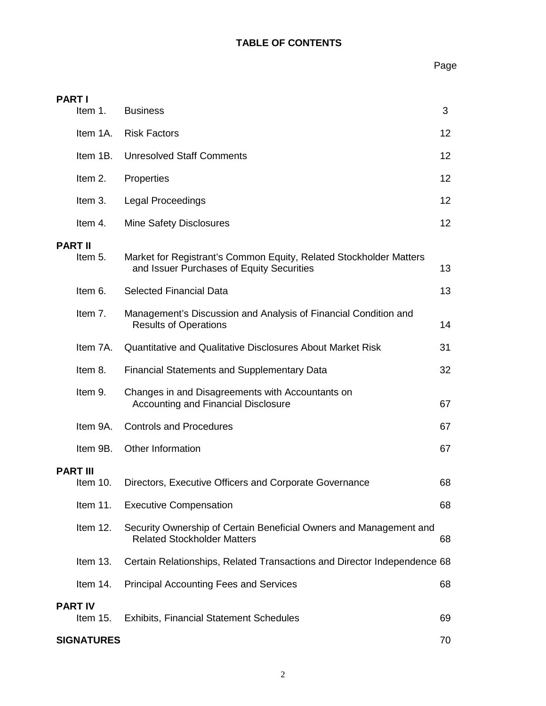# **TABLE OF CONTENTS**

# Page

| <b>PARTI</b>                |                                                                                                                 |    |
|-----------------------------|-----------------------------------------------------------------------------------------------------------------|----|
| Item 1.                     | <b>Business</b>                                                                                                 | 3  |
| Item 1A.                    | <b>Risk Factors</b>                                                                                             | 12 |
| Item 1B.                    | <b>Unresolved Staff Comments</b>                                                                                | 12 |
| Item 2.                     | Properties                                                                                                      | 12 |
| Item 3.                     | <b>Legal Proceedings</b>                                                                                        | 12 |
| Item 4.                     | <b>Mine Safety Disclosures</b>                                                                                  | 12 |
| <b>PART II</b><br>Item 5.   | Market for Registrant's Common Equity, Related Stockholder Matters<br>and Issuer Purchases of Equity Securities | 13 |
| Item 6.                     | <b>Selected Financial Data</b>                                                                                  | 13 |
| Item 7.                     | Management's Discussion and Analysis of Financial Condition and<br><b>Results of Operations</b>                 | 14 |
| Item 7A.                    | <b>Quantitative and Qualitative Disclosures About Market Risk</b>                                               | 31 |
| Item 8.                     | <b>Financial Statements and Supplementary Data</b>                                                              | 32 |
| Item 9.                     | Changes in and Disagreements with Accountants on<br><b>Accounting and Financial Disclosure</b>                  | 67 |
| Item 9A.                    | <b>Controls and Procedures</b>                                                                                  | 67 |
| Item 9B.                    | Other Information                                                                                               | 67 |
| <b>PART III</b><br>Item 10. | Directors, Executive Officers and Corporate Governance                                                          | 68 |
| Item 11.                    | <b>Executive Compensation</b>                                                                                   | 68 |
| Item 12.                    | Security Ownership of Certain Beneficial Owners and Management and<br><b>Related Stockholder Matters</b>        | 68 |
| Item 13.                    | Certain Relationships, Related Transactions and Director Independence 68                                        |    |
| Item 14.                    | <b>Principal Accounting Fees and Services</b>                                                                   | 68 |
| <b>PARTIV</b><br>Item 15.   | <b>Exhibits, Financial Statement Schedules</b>                                                                  | 69 |
| <b>SIGNATURES</b>           |                                                                                                                 | 70 |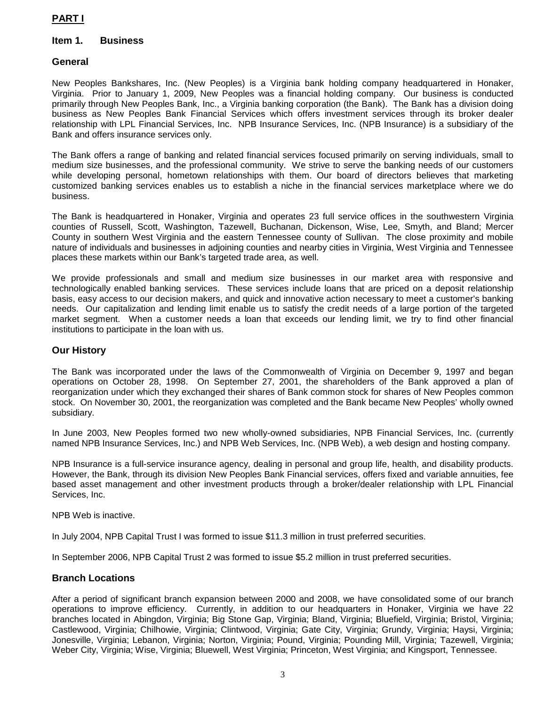# **PART I**

#### **Item 1. Business**

## **General**

New Peoples Bankshares, Inc. (New Peoples) is a Virginia bank holding company headquartered in Honaker, Virginia. Prior to January 1, 2009, New Peoples was a financial holding company. Our business is conducted primarily through New Peoples Bank, Inc., a Virginia banking corporation (the Bank). The Bank has a division doing business as New Peoples Bank Financial Services which offers investment services through its broker dealer relationship with LPL Financial Services, Inc. NPB Insurance Services, Inc. (NPB Insurance) is a subsidiary of the Bank and offers insurance services only.

The Bank offers a range of banking and related financial services focused primarily on serving individuals, small to medium size businesses, and the professional community. We strive to serve the banking needs of our customers while developing personal, hometown relationships with them. Our board of directors believes that marketing customized banking services enables us to establish a niche in the financial services marketplace where we do business.

The Bank is headquartered in Honaker, Virginia and operates 23 full service offices in the southwestern Virginia counties of Russell, Scott, Washington, Tazewell, Buchanan, Dickenson, Wise, Lee, Smyth, and Bland; Mercer County in southern West Virginia and the eastern Tennessee county of Sullivan. The close proximity and mobile nature of individuals and businesses in adjoining counties and nearby cities in Virginia, West Virginia and Tennessee places these markets within our Bank's targeted trade area, as well.

We provide professionals and small and medium size businesses in our market area with responsive and technologically enabled banking services. These services include loans that are priced on a deposit relationship basis, easy access to our decision makers, and quick and innovative action necessary to meet a customer's banking needs. Our capitalization and lending limit enable us to satisfy the credit needs of a large portion of the targeted market segment. When a customer needs a loan that exceeds our lending limit, we try to find other financial institutions to participate in the loan with us.

#### **Our History**

The Bank was incorporated under the laws of the Commonwealth of Virginia on December 9, 1997 and began operations on October 28, 1998. On September 27, 2001, the shareholders of the Bank approved a plan of reorganization under which they exchanged their shares of Bank common stock for shares of New Peoples common stock. On November 30, 2001, the reorganization was completed and the Bank became New Peoples' wholly owned subsidiary.

In June 2003, New Peoples formed two new wholly-owned subsidiaries, NPB Financial Services, Inc. (currently named NPB Insurance Services, Inc.) and NPB Web Services, Inc. (NPB Web), a web design and hosting company.

NPB Insurance is a full-service insurance agency, dealing in personal and group life, health, and disability products. However, the Bank, through its division New Peoples Bank Financial services, offers fixed and variable annuities, fee based asset management and other investment products through a broker/dealer relationship with LPL Financial Services, Inc.

NPB Web is inactive.

In July 2004, NPB Capital Trust I was formed to issue \$11.3 million in trust preferred securities.

In September 2006, NPB Capital Trust 2 was formed to issue \$5.2 million in trust preferred securities.

#### **Branch Locations**

After a period of significant branch expansion between 2000 and 2008, we have consolidated some of our branch operations to improve efficiency. Currently, in addition to our headquarters in Honaker, Virginia we have 22 branches located in Abingdon, Virginia; Big Stone Gap, Virginia; Bland, Virginia; Bluefield, Virginia; Bristol, Virginia; Castlewood, Virginia; Chilhowie, Virginia; Clintwood, Virginia; Gate City, Virginia; Grundy, Virginia; Haysi, Virginia; Jonesville, Virginia; Lebanon, Virginia; Norton, Virginia; Pound, Virginia; Pounding Mill, Virginia; Tazewell, Virginia; Weber City, Virginia; Wise, Virginia; Bluewell, West Virginia; Princeton, West Virginia; and Kingsport, Tennessee.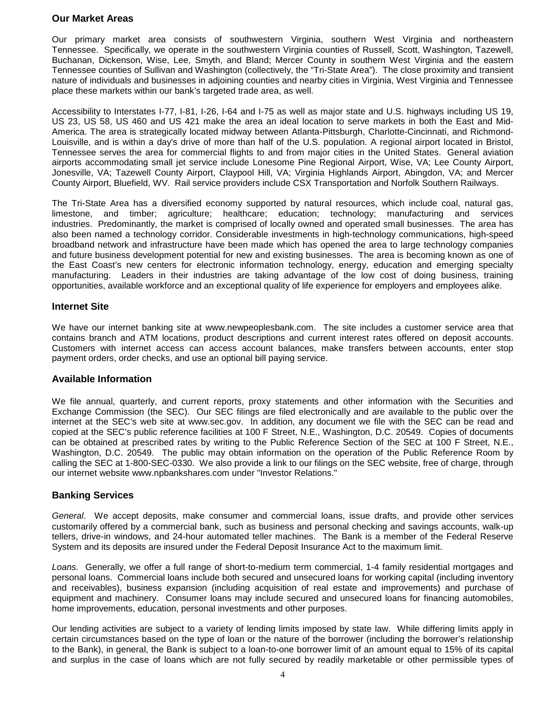#### **Our Market Areas**

Our primary market area consists of southwestern Virginia, southern West Virginia and northeastern Tennessee. Specifically, we operate in the southwestern Virginia counties of Russell, Scott, Washington, Tazewell, Buchanan, Dickenson, Wise, Lee, Smyth, and Bland; Mercer County in southern West Virginia and the eastern Tennessee counties of Sullivan and Washington (collectively, the "Tri-State Area"). The close proximity and transient nature of individuals and businesses in adjoining counties and nearby cities in Virginia, West Virginia and Tennessee place these markets within our bank's targeted trade area, as well.

Accessibility to Interstates I-77, I-81, I-26, I-64 and I-75 as well as major state and U.S. highways including US 19, US 23, US 58, US 460 and US 421 make the area an ideal location to serve markets in both the East and Mid-America. The area is strategically located midway between Atlanta-Pittsburgh, Charlotte-Cincinnati, and Richmond-Louisville, and is within a day's drive of more than half of the U.S. population. A regional airport located in Bristol, Tennessee serves the area for commercial flights to and from major cities in the United States. General aviation airports accommodating small jet service include Lonesome Pine Regional Airport, Wise, VA; Lee County Airport, Jonesville, VA; Tazewell County Airport, Claypool Hill, VA; Virginia Highlands Airport, Abingdon, VA; and Mercer County Airport, Bluefield, WV. Rail service providers include CSX Transportation and Norfolk Southern Railways.

The Tri-State Area has a diversified economy supported by natural resources, which include coal, natural gas, limestone, and timber; agriculture; healthcare; education; technology; manufacturing and services industries. Predominantly, the market is comprised of locally owned and operated small businesses. The area has also been named a technology corridor. Considerable investments in high-technology communications, high-speed broadband network and infrastructure have been made which has opened the area to large technology companies and future business development potential for new and existing businesses. The area is becoming known as one of the East Coast's new centers for electronic information technology, energy, education and emerging specialty manufacturing. Leaders in their industries are taking advantage of the low cost of doing business, training opportunities, available workforce and an exceptional quality of life experience for employers and employees alike.

#### **Internet Site**

We have our internet banking site at www.newpeoplesbank.com. The site includes a customer service area that contains branch and ATM locations, product descriptions and current interest rates offered on deposit accounts. Customers with internet access can access account balances, make transfers between accounts, enter stop payment orders, order checks, and use an optional bill paying service.

#### **Available Information**

We file annual, quarterly, and current reports, proxy statements and other information with the Securities and Exchange Commission (the SEC). Our SEC filings are filed electronically and are available to the public over the internet at the SEC's web site at www.sec.gov. In addition, any document we file with the SEC can be read and copied at the SEC's public reference facilities at 100 F Street, N.E., Washington, D.C. 20549. Copies of documents can be obtained at prescribed rates by writing to the Public Reference Section of the SEC at 100 F Street, N.E., Washington, D.C. 20549. The public may obtain information on the operation of the Public Reference Room by calling the SEC at 1-800-SEC-0330. We also provide a link to our filings on the SEC website, free of charge, through our internet website www.npbankshares.com under "Investor Relations."

# **Banking Services**

*General*. We accept deposits, make consumer and commercial loans, issue drafts, and provide other services customarily offered by a commercial bank, such as business and personal checking and savings accounts, walk-up tellers, drive-in windows, and 24-hour automated teller machines. The Bank is a member of the Federal Reserve System and its deposits are insured under the Federal Deposit Insurance Act to the maximum limit.

*Loans.* Generally, we offer a full range of short-to-medium term commercial, 1-4 family residential mortgages and personal loans. Commercial loans include both secured and unsecured loans for working capital (including inventory and receivables), business expansion (including acquisition of real estate and improvements) and purchase of equipment and machinery. Consumer loans may include secured and unsecured loans for financing automobiles, home improvements, education, personal investments and other purposes.

Our lending activities are subject to a variety of lending limits imposed by state law. While differing limits apply in certain circumstances based on the type of loan or the nature of the borrower (including the borrower's relationship to the Bank), in general, the Bank is subject to a loan-to-one borrower limit of an amount equal to 15% of its capital and surplus in the case of loans which are not fully secured by readily marketable or other permissible types of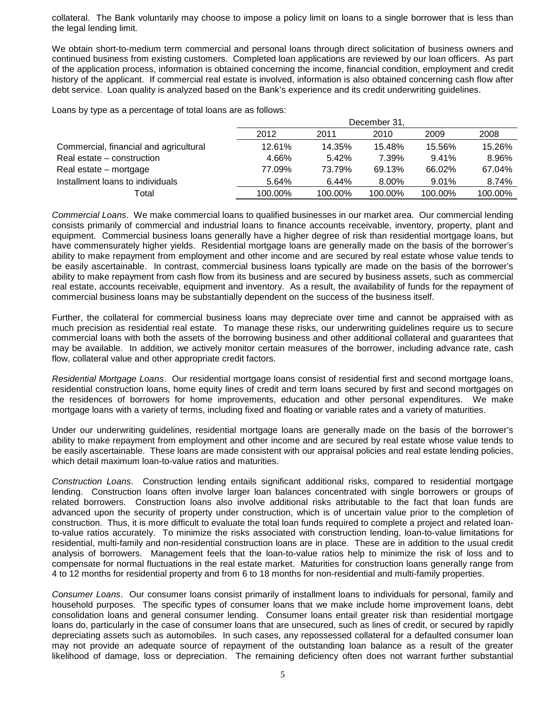collateral. The Bank voluntarily may choose to impose a policy limit on loans to a single borrower that is less than the legal lending limit.

We obtain short-to-medium term commercial and personal loans through direct solicitation of business owners and continued business from existing customers. Completed loan applications are reviewed by our loan officers. As part of the application process, information is obtained concerning the income, financial condition, employment and credit history of the applicant. If commercial real estate is involved, information is also obtained concerning cash flow after debt service. Loan quality is analyzed based on the Bank's experience and its credit underwriting guidelines.

Loans by type as a percentage of total loans are as follows:

|                                        |         |         | December 31, |         |         |
|----------------------------------------|---------|---------|--------------|---------|---------|
|                                        | 2012    | 2011    | 2010         | 2009    | 2008    |
| Commercial, financial and agricultural | 12.61%  | 14.35%  | 15.48%       | 15.56%  | 15.26%  |
| Real estate – construction             | 4.66%   | 5.42%   | 7.39%        | 9.41%   | 8.96%   |
| Real estate – mortgage                 | 77.09%  | 73.79%  | 69.13%       | 66.02%  | 67.04%  |
| Installment loans to individuals       | 5.64%   | 6.44%   | 8.00%        | 9.01%   | 8.74%   |
| Total                                  | 100.00% | 100.00% | 100.00%      | 100.00% | 100.00% |

*Commercial Loans*. We make commercial loans to qualified businesses in our market area. Our commercial lending consists primarily of commercial and industrial loans to finance accounts receivable, inventory, property, plant and equipment. Commercial business loans generally have a higher degree of risk than residential mortgage loans, but have commensurately higher yields. Residential mortgage loans are generally made on the basis of the borrower's ability to make repayment from employment and other income and are secured by real estate whose value tends to be easily ascertainable. In contrast, commercial business loans typically are made on the basis of the borrower's ability to make repayment from cash flow from its business and are secured by business assets, such as commercial real estate, accounts receivable, equipment and inventory. As a result, the availability of funds for the repayment of commercial business loans may be substantially dependent on the success of the business itself.

Further, the collateral for commercial business loans may depreciate over time and cannot be appraised with as much precision as residential real estate. To manage these risks, our underwriting guidelines require us to secure commercial loans with both the assets of the borrowing business and other additional collateral and guarantees that may be available. In addition, we actively monitor certain measures of the borrower, including advance rate, cash flow, collateral value and other appropriate credit factors.

*Residential Mortgage Loans*. Our residential mortgage loans consist of residential first and second mortgage loans, residential construction loans, home equity lines of credit and term loans secured by first and second mortgages on the residences of borrowers for home improvements, education and other personal expenditures. We make mortgage loans with a variety of terms, including fixed and floating or variable rates and a variety of maturities.

Under our underwriting guidelines, residential mortgage loans are generally made on the basis of the borrower's ability to make repayment from employment and other income and are secured by real estate whose value tends to be easily ascertainable. These loans are made consistent with our appraisal policies and real estate lending policies, which detail maximum loan-to-value ratios and maturities.

*Construction Loans*. Construction lending entails significant additional risks, compared to residential mortgage lending. Construction loans often involve larger loan balances concentrated with single borrowers or groups of related borrowers. Construction loans also involve additional risks attributable to the fact that loan funds are advanced upon the security of property under construction, which is of uncertain value prior to the completion of construction. Thus, it is more difficult to evaluate the total loan funds required to complete a project and related loanto-value ratios accurately. To minimize the risks associated with construction lending, loan-to-value limitations for residential, multi-family and non-residential construction loans are in place. These are in addition to the usual credit analysis of borrowers. Management feels that the loan-to-value ratios help to minimize the risk of loss and to compensate for normal fluctuations in the real estate market. Maturities for construction loans generally range from 4 to 12 months for residential property and from 6 to 18 months for non-residential and multi-family properties.

*Consumer Loans*. Our consumer loans consist primarily of installment loans to individuals for personal, family and household purposes. The specific types of consumer loans that we make include home improvement loans, debt consolidation loans and general consumer lending. Consumer loans entail greater risk than residential mortgage loans do, particularly in the case of consumer loans that are unsecured, such as lines of credit, or secured by rapidly depreciating assets such as automobiles. In such cases, any repossessed collateral for a defaulted consumer loan may not provide an adequate source of repayment of the outstanding loan balance as a result of the greater likelihood of damage, loss or depreciation. The remaining deficiency often does not warrant further substantial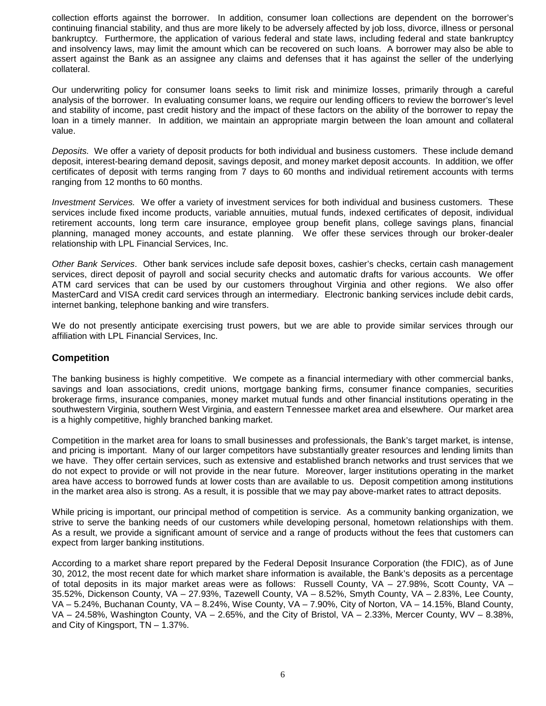collection efforts against the borrower. In addition, consumer loan collections are dependent on the borrower's continuing financial stability, and thus are more likely to be adversely affected by job loss, divorce, illness or personal bankruptcy. Furthermore, the application of various federal and state laws, including federal and state bankruptcy and insolvency laws, may limit the amount which can be recovered on such loans. A borrower may also be able to assert against the Bank as an assignee any claims and defenses that it has against the seller of the underlying collateral.

Our underwriting policy for consumer loans seeks to limit risk and minimize losses, primarily through a careful analysis of the borrower. In evaluating consumer loans, we require our lending officers to review the borrower's level and stability of income, past credit history and the impact of these factors on the ability of the borrower to repay the loan in a timely manner. In addition, we maintain an appropriate margin between the loan amount and collateral value.

*Deposits.* We offer a variety of deposit products for both individual and business customers. These include demand deposit, interest-bearing demand deposit, savings deposit, and money market deposit accounts. In addition, we offer certificates of deposit with terms ranging from 7 days to 60 months and individual retirement accounts with terms ranging from 12 months to 60 months.

*Investment Services.* We offer a variety of investment services for both individual and business customers. These services include fixed income products, variable annuities, mutual funds, indexed certificates of deposit, individual retirement accounts, long term care insurance, employee group benefit plans, college savings plans, financial planning, managed money accounts, and estate planning. We offer these services through our broker-dealer relationship with LPL Financial Services, Inc.

*Other Bank Services*. Other bank services include safe deposit boxes, cashier's checks, certain cash management services, direct deposit of payroll and social security checks and automatic drafts for various accounts. We offer ATM card services that can be used by our customers throughout Virginia and other regions. We also offer MasterCard and VISA credit card services through an intermediary. Electronic banking services include debit cards, internet banking, telephone banking and wire transfers.

We do not presently anticipate exercising trust powers, but we are able to provide similar services through our affiliation with LPL Financial Services, Inc.

#### **Competition**

The banking business is highly competitive. We compete as a financial intermediary with other commercial banks, savings and loan associations, credit unions, mortgage banking firms, consumer finance companies, securities brokerage firms, insurance companies, money market mutual funds and other financial institutions operating in the southwestern Virginia, southern West Virginia, and eastern Tennessee market area and elsewhere. Our market area is a highly competitive, highly branched banking market.

Competition in the market area for loans to small businesses and professionals, the Bank's target market, is intense, and pricing is important. Many of our larger competitors have substantially greater resources and lending limits than we have. They offer certain services, such as extensive and established branch networks and trust services that we do not expect to provide or will not provide in the near future. Moreover, larger institutions operating in the market area have access to borrowed funds at lower costs than are available to us. Deposit competition among institutions in the market area also is strong. As a result, it is possible that we may pay above-market rates to attract deposits.

While pricing is important, our principal method of competition is service. As a community banking organization, we strive to serve the banking needs of our customers while developing personal, hometown relationships with them. As a result, we provide a significant amount of service and a range of products without the fees that customers can expect from larger banking institutions.

According to a market share report prepared by the Federal Deposit Insurance Corporation (the FDIC), as of June 30, 2012, the most recent date for which market share information is available, the Bank's deposits as a percentage of total deposits in its major market areas were as follows: Russell County, VA – 27.98%, Scott County, VA – 35.52%, Dickenson County, VA – 27.93%, Tazewell County, VA – 8.52%, Smyth County, VA – 2.83%, Lee County, VA – 5.24%, Buchanan County, VA – 8.24%, Wise County, VA – 7.90%, City of Norton, VA – 14.15%, Bland County, VA – 24.58%, Washington County, VA – 2.65%, and the City of Bristol, VA – 2.33%, Mercer County, WV – 8.38%, and City of Kingsport, TN – 1.37%.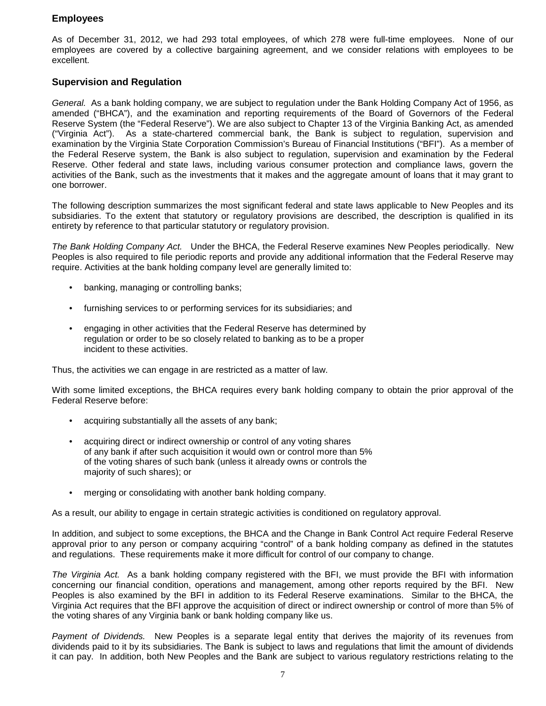## **Employees**

As of December 31, 2012, we had 293 total employees, of which 278 were full-time employees. None of our employees are covered by a collective bargaining agreement, and we consider relations with employees to be excellent.

#### **Supervision and Regulation**

*General.* As a bank holding company, we are subject to regulation under the Bank Holding Company Act of 1956, as amended ("BHCA"), and the examination and reporting requirements of the Board of Governors of the Federal Reserve System (the "Federal Reserve"). We are also subject to Chapter 13 of the Virginia Banking Act, as amended ("Virginia Act"). As a state-chartered commercial bank, the Bank is subject to regulation, supervision and examination by the Virginia State Corporation Commission's Bureau of Financial Institutions ("BFI"). As a member of the Federal Reserve system, the Bank is also subject to regulation, supervision and examination by the Federal Reserve. Other federal and state laws, including various consumer protection and compliance laws, govern the activities of the Bank, such as the investments that it makes and the aggregate amount of loans that it may grant to one borrower.

The following description summarizes the most significant federal and state laws applicable to New Peoples and its subsidiaries. To the extent that statutory or regulatory provisions are described, the description is qualified in its entirety by reference to that particular statutory or regulatory provision.

*The Bank Holding Company Act.* Under the BHCA, the Federal Reserve examines New Peoples periodically. New Peoples is also required to file periodic reports and provide any additional information that the Federal Reserve may require. Activities at the bank holding company level are generally limited to:

- banking, managing or controlling banks;
- furnishing services to or performing services for its subsidiaries; and
- engaging in other activities that the Federal Reserve has determined by regulation or order to be so closely related to banking as to be a proper incident to these activities.

Thus, the activities we can engage in are restricted as a matter of law.

With some limited exceptions, the BHCA requires every bank holding company to obtain the prior approval of the Federal Reserve before:

- acquiring substantially all the assets of any bank;
- acquiring direct or indirect ownership or control of any voting shares of any bank if after such acquisition it would own or control more than 5% of the voting shares of such bank (unless it already owns or controls the majority of such shares); or
- merging or consolidating with another bank holding company.

As a result, our ability to engage in certain strategic activities is conditioned on regulatory approval.

In addition, and subject to some exceptions, the BHCA and the Change in Bank Control Act require Federal Reserve approval prior to any person or company acquiring "control" of a bank holding company as defined in the statutes and regulations. These requirements make it more difficult for control of our company to change.

*The Virginia Act.* As a bank holding company registered with the BFI, we must provide the BFI with information concerning our financial condition, operations and management, among other reports required by the BFI. New Peoples is also examined by the BFI in addition to its Federal Reserve examinations. Similar to the BHCA, the Virginia Act requires that the BFI approve the acquisition of direct or indirect ownership or control of more than 5% of the voting shares of any Virginia bank or bank holding company like us.

*Payment of Dividends.* New Peoples is a separate legal entity that derives the majority of its revenues from dividends paid to it by its subsidiaries. The Bank is subject to laws and regulations that limit the amount of dividends it can pay. In addition, both New Peoples and the Bank are subject to various regulatory restrictions relating to the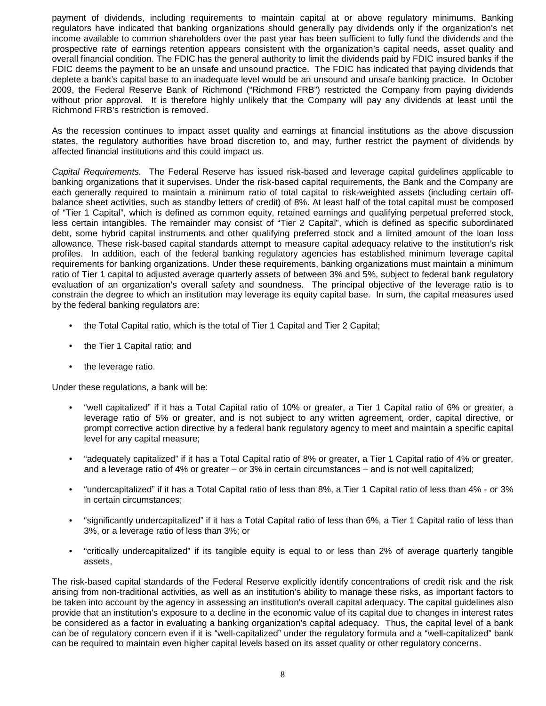payment of dividends, including requirements to maintain capital at or above regulatory minimums. Banking regulators have indicated that banking organizations should generally pay dividends only if the organization's net income available to common shareholders over the past year has been sufficient to fully fund the dividends and the prospective rate of earnings retention appears consistent with the organization's capital needs, asset quality and overall financial condition. The FDIC has the general authority to limit the dividends paid by FDIC insured banks if the FDIC deems the payment to be an unsafe and unsound practice. The FDIC has indicated that paying dividends that deplete a bank's capital base to an inadequate level would be an unsound and unsafe banking practice. In October 2009, the Federal Reserve Bank of Richmond ("Richmond FRB") restricted the Company from paying dividends without prior approval. It is therefore highly unlikely that the Company will pay any dividends at least until the Richmond FRB's restriction is removed.

As the recession continues to impact asset quality and earnings at financial institutions as the above discussion states, the regulatory authorities have broad discretion to, and may, further restrict the payment of dividends by affected financial institutions and this could impact us.

*Capital Requirements.* The Federal Reserve has issued risk-based and leverage capital guidelines applicable to banking organizations that it supervises. Under the risk-based capital requirements, the Bank and the Company are each generally required to maintain a minimum ratio of total capital to risk-weighted assets (including certain offbalance sheet activities, such as standby letters of credit) of 8%. At least half of the total capital must be composed of "Tier 1 Capital", which is defined as common equity, retained earnings and qualifying perpetual preferred stock, less certain intangibles. The remainder may consist of "Tier 2 Capital", which is defined as specific subordinated debt, some hybrid capital instruments and other qualifying preferred stock and a limited amount of the loan loss allowance. These risk-based capital standards attempt to measure capital adequacy relative to the institution's risk profiles. In addition, each of the federal banking regulatory agencies has established minimum leverage capital requirements for banking organizations. Under these requirements, banking organizations must maintain a minimum ratio of Tier 1 capital to adjusted average quarterly assets of between 3% and 5%, subject to federal bank regulatory evaluation of an organization's overall safety and soundness. The principal objective of the leverage ratio is to constrain the degree to which an institution may leverage its equity capital base. In sum, the capital measures used by the federal banking regulators are:

- the Total Capital ratio, which is the total of Tier 1 Capital and Tier 2 Capital;
- the Tier 1 Capital ratio; and
- the leverage ratio.

Under these regulations, a bank will be:

- "well capitalized" if it has a Total Capital ratio of 10% or greater, a Tier 1 Capital ratio of 6% or greater, a leverage ratio of 5% or greater, and is not subject to any written agreement, order, capital directive, or prompt corrective action directive by a federal bank regulatory agency to meet and maintain a specific capital level for any capital measure;
- "adequately capitalized" if it has a Total Capital ratio of 8% or greater, a Tier 1 Capital ratio of 4% or greater, and a leverage ratio of 4% or greater – or 3% in certain circumstances – and is not well capitalized;
- "undercapitalized" if it has a Total Capital ratio of less than 8%, a Tier 1 Capital ratio of less than 4% or 3% in certain circumstances;
- "significantly undercapitalized" if it has a Total Capital ratio of less than 6%, a Tier 1 Capital ratio of less than 3%, or a leverage ratio of less than 3%; or
- "critically undercapitalized" if its tangible equity is equal to or less than 2% of average quarterly tangible assets,

The risk-based capital standards of the Federal Reserve explicitly identify concentrations of credit risk and the risk arising from non-traditional activities, as well as an institution's ability to manage these risks, as important factors to be taken into account by the agency in assessing an institution's overall capital adequacy. The capital guidelines also provide that an institution's exposure to a decline in the economic value of its capital due to changes in interest rates be considered as a factor in evaluating a banking organization's capital adequacy. Thus, the capital level of a bank can be of regulatory concern even if it is "well-capitalized" under the regulatory formula and a "well-capitalized" bank can be required to maintain even higher capital levels based on its asset quality or other regulatory concerns.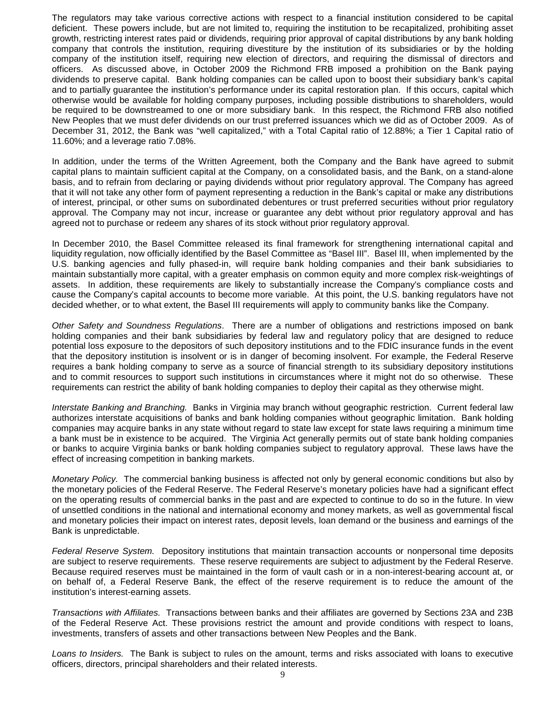The regulators may take various corrective actions with respect to a financial institution considered to be capital deficient. These powers include, but are not limited to, requiring the institution to be recapitalized, prohibiting asset growth, restricting interest rates paid or dividends, requiring prior approval of capital distributions by any bank holding company that controls the institution, requiring divestiture by the institution of its subsidiaries or by the holding company of the institution itself, requiring new election of directors, and requiring the dismissal of directors and officers. As discussed above, in October 2009 the Richmond FRB imposed a prohibition on the Bank paying dividends to preserve capital. Bank holding companies can be called upon to boost their subsidiary bank's capital and to partially guarantee the institution's performance under its capital restoration plan. If this occurs, capital which otherwise would be available for holding company purposes, including possible distributions to shareholders, would be required to be downstreamed to one or more subsidiary bank. In this respect, the Richmond FRB also notified New Peoples that we must defer dividends on our trust preferred issuances which we did as of October 2009. As of December 31, 2012, the Bank was "well capitalized," with a Total Capital ratio of 12.88%; a Tier 1 Capital ratio of 11.60%; and a leverage ratio 7.08%.

In addition, under the terms of the Written Agreement, both the Company and the Bank have agreed to submit capital plans to maintain sufficient capital at the Company, on a consolidated basis, and the Bank, on a stand-alone basis, and to refrain from declaring or paying dividends without prior regulatory approval. The Company has agreed that it will not take any other form of payment representing a reduction in the Bank's capital or make any distributions of interest, principal, or other sums on subordinated debentures or trust preferred securities without prior regulatory approval. The Company may not incur, increase or guarantee any debt without prior regulatory approval and has agreed not to purchase or redeem any shares of its stock without prior regulatory approval.

In December 2010, the Basel Committee released its final framework for strengthening international capital and liquidity regulation, now officially identified by the Basel Committee as "Basel III". Basel III, when implemented by the U.S. banking agencies and fully phased-in, will require bank holding companies and their bank subsidiaries to maintain substantially more capital, with a greater emphasis on common equity and more complex risk-weightings of assets. In addition, these requirements are likely to substantially increase the Company's compliance costs and cause the Company's capital accounts to become more variable. At this point, the U.S. banking regulators have not decided whether, or to what extent, the Basel III requirements will apply to community banks like the Company.

*Other Safety and Soundness Regulations*. There are a number of obligations and restrictions imposed on bank holding companies and their bank subsidiaries by federal law and regulatory policy that are designed to reduce potential loss exposure to the depositors of such depository institutions and to the FDIC insurance funds in the event that the depository institution is insolvent or is in danger of becoming insolvent. For example, the Federal Reserve requires a bank holding company to serve as a source of financial strength to its subsidiary depository institutions and to commit resources to support such institutions in circumstances where it might not do so otherwise. These requirements can restrict the ability of bank holding companies to deploy their capital as they otherwise might.

*Interstate Banking and Branching.* Banks in Virginia may branch without geographic restriction. Current federal law authorizes interstate acquisitions of banks and bank holding companies without geographic limitation. Bank holding companies may acquire banks in any state without regard to state law except for state laws requiring a minimum time a bank must be in existence to be acquired. The Virginia Act generally permits out of state bank holding companies or banks to acquire Virginia banks or bank holding companies subject to regulatory approval. These laws have the effect of increasing competition in banking markets.

*Monetary Policy.* The commercial banking business is affected not only by general economic conditions but also by the monetary policies of the Federal Reserve. The Federal Reserve's monetary policies have had a significant effect on the operating results of commercial banks in the past and are expected to continue to do so in the future. In view of unsettled conditions in the national and international economy and money markets, as well as governmental fiscal and monetary policies their impact on interest rates, deposit levels, loan demand or the business and earnings of the Bank is unpredictable.

*Federal Reserve System.* Depository institutions that maintain transaction accounts or nonpersonal time deposits are subject to reserve requirements. These reserve requirements are subject to adjustment by the Federal Reserve. Because required reserves must be maintained in the form of vault cash or in a non-interest-bearing account at, or on behalf of, a Federal Reserve Bank, the effect of the reserve requirement is to reduce the amount of the institution's interest-earning assets.

*Transactions with Affiliates.* Transactions between banks and their affiliates are governed by Sections 23A and 23B of the Federal Reserve Act. These provisions restrict the amount and provide conditions with respect to loans, investments, transfers of assets and other transactions between New Peoples and the Bank.

*Loans to Insiders.* The Bank is subject to rules on the amount, terms and risks associated with loans to executive officers, directors, principal shareholders and their related interests.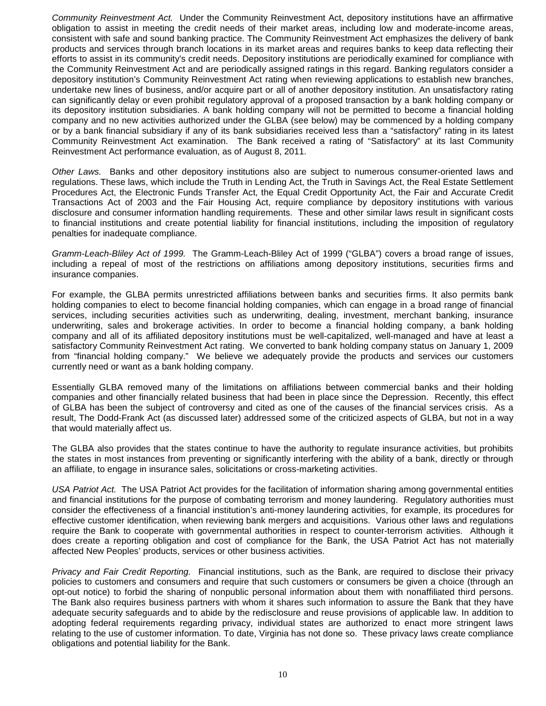*Community Reinvestment Act.* Under the Community Reinvestment Act, depository institutions have an affirmative obligation to assist in meeting the credit needs of their market areas, including low and moderate-income areas, consistent with safe and sound banking practice. The Community Reinvestment Act emphasizes the delivery of bank products and services through branch locations in its market areas and requires banks to keep data reflecting their efforts to assist in its community's credit needs. Depository institutions are periodically examined for compliance with the Community Reinvestment Act and are periodically assigned ratings in this regard. Banking regulators consider a depository institution's Community Reinvestment Act rating when reviewing applications to establish new branches, undertake new lines of business, and/or acquire part or all of another depository institution. An unsatisfactory rating can significantly delay or even prohibit regulatory approval of a proposed transaction by a bank holding company or its depository institution subsidiaries. A bank holding company will not be permitted to become a financial holding company and no new activities authorized under the GLBA (see below) may be commenced by a holding company or by a bank financial subsidiary if any of its bank subsidiaries received less than a "satisfactory" rating in its latest Community Reinvestment Act examination. The Bank received a rating of "Satisfactory" at its last Community Reinvestment Act performance evaluation, as of August 8, 2011.

*Other Laws.* Banks and other depository institutions also are subject to numerous consumer-oriented laws and regulations. These laws, which include the Truth in Lending Act, the Truth in Savings Act, the Real Estate Settlement Procedures Act, the Electronic Funds Transfer Act, the Equal Credit Opportunity Act, the Fair and Accurate Credit Transactions Act of 2003 and the Fair Housing Act, require compliance by depository institutions with various disclosure and consumer information handling requirements. These and other similar laws result in significant costs to financial institutions and create potential liability for financial institutions, including the imposition of regulatory penalties for inadequate compliance.

*Gramm-Leach-Bliley Act of 1999.* The Gramm-Leach-Bliley Act of 1999 ("GLBA") covers a broad range of issues, including a repeal of most of the restrictions on affiliations among depository institutions, securities firms and insurance companies.

For example, the GLBA permits unrestricted affiliations between banks and securities firms. It also permits bank holding companies to elect to become financial holding companies, which can engage in a broad range of financial services, including securities activities such as underwriting, dealing, investment, merchant banking, insurance underwriting, sales and brokerage activities. In order to become a financial holding company, a bank holding company and all of its affiliated depository institutions must be well-capitalized, well-managed and have at least a satisfactory Community Reinvestment Act rating. We converted to bank holding company status on January 1, 2009 from "financial holding company." We believe we adequately provide the products and services our customers currently need or want as a bank holding company.

Essentially GLBA removed many of the limitations on affiliations between commercial banks and their holding companies and other financially related business that had been in place since the Depression. Recently, this effect of GLBA has been the subject of controversy and cited as one of the causes of the financial services crisis. As a result, The Dodd-Frank Act (as discussed later) addressed some of the criticized aspects of GLBA, but not in a way that would materially affect us.

The GLBA also provides that the states continue to have the authority to regulate insurance activities, but prohibits the states in most instances from preventing or significantly interfering with the ability of a bank, directly or through an affiliate, to engage in insurance sales, solicitations or cross-marketing activities.

*USA Patriot Act.* The USA Patriot Act provides for the facilitation of information sharing among governmental entities and financial institutions for the purpose of combating terrorism and money laundering. Regulatory authorities must consider the effectiveness of a financial institution's anti-money laundering activities, for example, its procedures for effective customer identification, when reviewing bank mergers and acquisitions. Various other laws and regulations require the Bank to cooperate with governmental authorities in respect to counter-terrorism activities. Although it does create a reporting obligation and cost of compliance for the Bank, the USA Patriot Act has not materially affected New Peoples' products, services or other business activities.

*Privacy and Fair Credit Reporting.* Financial institutions, such as the Bank, are required to disclose their privacy policies to customers and consumers and require that such customers or consumers be given a choice (through an opt-out notice) to forbid the sharing of nonpublic personal information about them with nonaffiliated third persons. The Bank also requires business partners with whom it shares such information to assure the Bank that they have adequate security safeguards and to abide by the redisclosure and reuse provisions of applicable law. In addition to adopting federal requirements regarding privacy, individual states are authorized to enact more stringent laws relating to the use of customer information. To date, Virginia has not done so. These privacy laws create compliance obligations and potential liability for the Bank.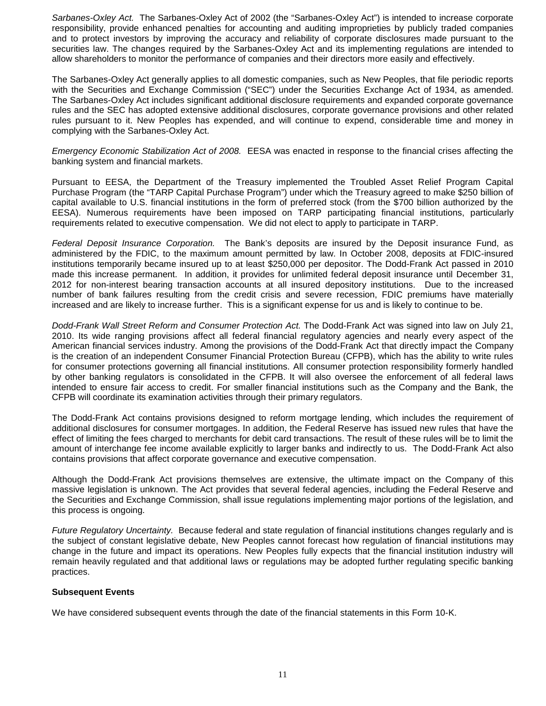*Sarbanes-Oxley Act.* The Sarbanes-Oxley Act of 2002 (the "Sarbanes-Oxley Act") is intended to increase corporate responsibility, provide enhanced penalties for accounting and auditing improprieties by publicly traded companies and to protect investors by improving the accuracy and reliability of corporate disclosures made pursuant to the securities law. The changes required by the Sarbanes-Oxley Act and its implementing regulations are intended to allow shareholders to monitor the performance of companies and their directors more easily and effectively.

The Sarbanes-Oxley Act generally applies to all domestic companies, such as New Peoples, that file periodic reports with the Securities and Exchange Commission ("SEC") under the Securities Exchange Act of 1934, as amended. The Sarbanes-Oxley Act includes significant additional disclosure requirements and expanded corporate governance rules and the SEC has adopted extensive additional disclosures, corporate governance provisions and other related rules pursuant to it. New Peoples has expended, and will continue to expend, considerable time and money in complying with the Sarbanes-Oxley Act.

*Emergency Economic Stabilization Act of 2008.* EESA was enacted in response to the financial crises affecting the banking system and financial markets.

Pursuant to EESA, the Department of the Treasury implemented the Troubled Asset Relief Program Capital Purchase Program (the "TARP Capital Purchase Program") under which the Treasury agreed to make \$250 billion of capital available to U.S. financial institutions in the form of preferred stock (from the \$700 billion authorized by the EESA). Numerous requirements have been imposed on TARP participating financial institutions, particularly requirements related to executive compensation. We did not elect to apply to participate in TARP.

*Federal Deposit Insurance Corporation.* The Bank's deposits are insured by the Deposit insurance Fund, as administered by the FDIC, to the maximum amount permitted by law. In October 2008, deposits at FDIC-insured institutions temporarily became insured up to at least \$250,000 per depositor. The Dodd-Frank Act passed in 2010 made this increase permanent. In addition, it provides for unlimited federal deposit insurance until December 31, 2012 for non-interest bearing transaction accounts at all insured depository institutions. Due to the increased number of bank failures resulting from the credit crisis and severe recession, FDIC premiums have materially increased and are likely to increase further. This is a significant expense for us and is likely to continue to be.

*Dodd-Frank Wall Street Reform and Consumer Protection Act.* The Dodd-Frank Act was signed into law on July 21, 2010. Its wide ranging provisions affect all federal financial regulatory agencies and nearly every aspect of the American financial services industry. Among the provisions of the Dodd-Frank Act that directly impact the Company is the creation of an independent Consumer Financial Protection Bureau (CFPB), which has the ability to write rules for consumer protections governing all financial institutions. All consumer protection responsibility formerly handled by other banking regulators is consolidated in the CFPB. It will also oversee the enforcement of all federal laws intended to ensure fair access to credit. For smaller financial institutions such as the Company and the Bank, the CFPB will coordinate its examination activities through their primary regulators.

The Dodd-Frank Act contains provisions designed to reform mortgage lending, which includes the requirement of additional disclosures for consumer mortgages. In addition, the Federal Reserve has issued new rules that have the effect of limiting the fees charged to merchants for debit card transactions. The result of these rules will be to limit the amount of interchange fee income available explicitly to larger banks and indirectly to us. The Dodd-Frank Act also contains provisions that affect corporate governance and executive compensation.

Although the Dodd-Frank Act provisions themselves are extensive, the ultimate impact on the Company of this massive legislation is unknown. The Act provides that several federal agencies, including the Federal Reserve and the Securities and Exchange Commission, shall issue regulations implementing major portions of the legislation, and this process is ongoing.

*Future Regulatory Uncertainty.* Because federal and state regulation of financial institutions changes regularly and is the subject of constant legislative debate, New Peoples cannot forecast how regulation of financial institutions may change in the future and impact its operations. New Peoples fully expects that the financial institution industry will remain heavily regulated and that additional laws or regulations may be adopted further regulating specific banking practices.

#### **Subsequent Events**

We have considered subsequent events through the date of the financial statements in this Form 10-K.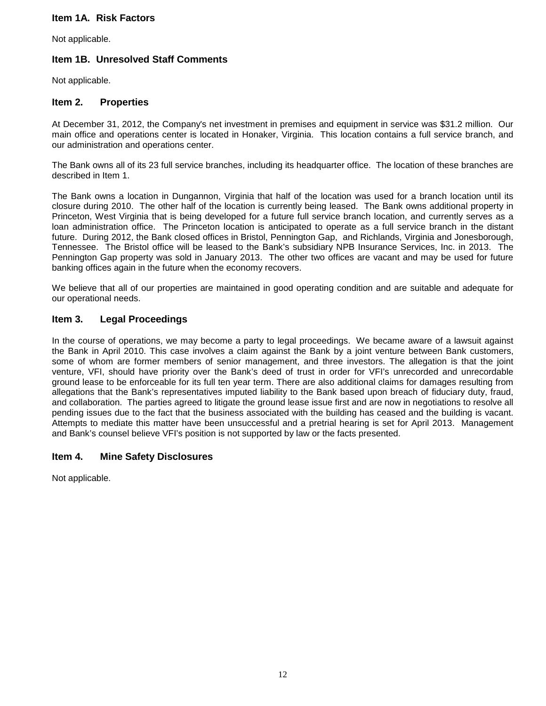## **Item 1A. Risk Factors**

Not applicable.

## **Item 1B. Unresolved Staff Comments**

Not applicable.

## **Item 2. Properties**

At December 31, 2012, the Company's net investment in premises and equipment in service was \$31.2 million. Our main office and operations center is located in Honaker, Virginia. This location contains a full service branch, and our administration and operations center.

The Bank owns all of its 23 full service branches, including its headquarter office. The location of these branches are described in Item 1.

The Bank owns a location in Dungannon, Virginia that half of the location was used for a branch location until its closure during 2010. The other half of the location is currently being leased. The Bank owns additional property in Princeton, West Virginia that is being developed for a future full service branch location, and currently serves as a loan administration office. The Princeton location is anticipated to operate as a full service branch in the distant future. During 2012, the Bank closed offices in Bristol, Pennington Gap, and Richlands, Virginia and Jonesborough, Tennessee. The Bristol office will be leased to the Bank's subsidiary NPB Insurance Services, Inc. in 2013. The Pennington Gap property was sold in January 2013. The other two offices are vacant and may be used for future banking offices again in the future when the economy recovers.

We believe that all of our properties are maintained in good operating condition and are suitable and adequate for our operational needs.

#### **Item 3. Legal Proceedings**

In the course of operations, we may become a party to legal proceedings. We became aware of a lawsuit against the Bank in April 2010. This case involves a claim against the Bank by a joint venture between Bank customers, some of whom are former members of senior management, and three investors. The allegation is that the joint venture, VFI, should have priority over the Bank's deed of trust in order for VFI's unrecorded and unrecordable ground lease to be enforceable for its full ten year term. There are also additional claims for damages resulting from allegations that the Bank's representatives imputed liability to the Bank based upon breach of fiduciary duty, fraud, and collaboration. The parties agreed to litigate the ground lease issue first and are now in negotiations to resolve all pending issues due to the fact that the business associated with the building has ceased and the building is vacant. Attempts to mediate this matter have been unsuccessful and a pretrial hearing is set for April 2013. Management and Bank's counsel believe VFI's position is not supported by law or the facts presented.

#### **Item 4. Mine Safety Disclosures**

Not applicable.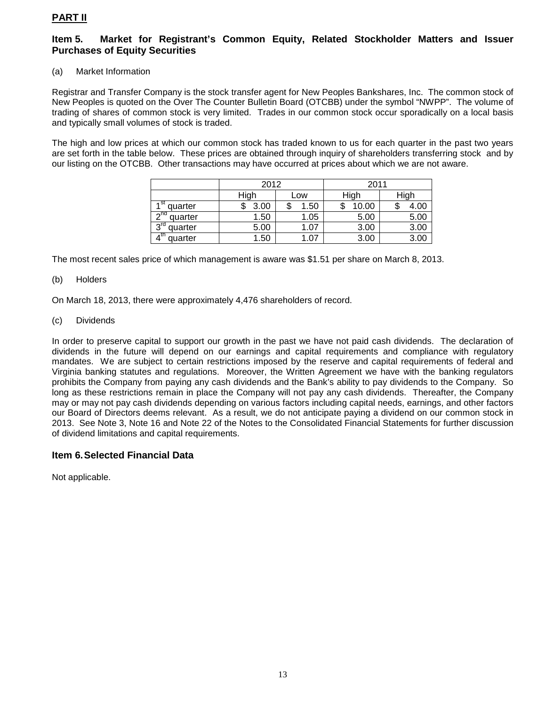# **PART II**

#### **Item 5. Market for Registrant's Common Equity, Related Stockholder Matters and Issuer Purchases of Equity Securities**

#### (a) Market Information

Registrar and Transfer Company is the stock transfer agent for New Peoples Bankshares, Inc. The common stock of New Peoples is quoted on the Over The Counter Bulletin Board (OTCBB) under the symbol "NWPP". The volume of trading of shares of common stock is very limited. Trades in our common stock occur sporadically on a local basis and typically small volumes of stock is traded.

The high and low prices at which our common stock has traded known to us for each quarter in the past two years are set forth in the table below. These prices are obtained through inquiry of shareholders transferring stock and by our listing on the OTCBB. Other transactions may have occurred at prices about which we are not aware.

|                                       | 2012 |           | 2011  |      |  |  |  |  |  |
|---------------------------------------|------|-----------|-------|------|--|--|--|--|--|
|                                       | High | ∟ow       | High  | High |  |  |  |  |  |
| ⊿ st<br>quarter                       | 3.00 | 1.50<br>w | 10.00 | 4.00 |  |  |  |  |  |
| $\mathsf{a}$ <sup>nd</sup><br>quarter | 1.50 | 1.05      | 5.00  | 5.00 |  |  |  |  |  |
| 3 <sup>rd</sup><br>quarter            | 5.00 | 1.07      | 3.00  | 3.00 |  |  |  |  |  |
| quarter                               | 1.50 | 1.07      | 3.00  | 3.00 |  |  |  |  |  |

The most recent sales price of which management is aware was \$1.51 per share on March 8, 2013.

#### (b) Holders

On March 18, 2013, there were approximately 4,476 shareholders of record.

(c) Dividends

In order to preserve capital to support our growth in the past we have not paid cash dividends. The declaration of dividends in the future will depend on our earnings and capital requirements and compliance with regulatory mandates. We are subject to certain restrictions imposed by the reserve and capital requirements of federal and Virginia banking statutes and regulations. Moreover, the Written Agreement we have with the banking regulators prohibits the Company from paying any cash dividends and the Bank's ability to pay dividends to the Company. So long as these restrictions remain in place the Company will not pay any cash dividends. Thereafter, the Company may or may not pay cash dividends depending on various factors including capital needs, earnings, and other factors our Board of Directors deems relevant. As a result, we do not anticipate paying a dividend on our common stock in 2013. See Note 3, Note 16 and Note 22 of the Notes to the Consolidated Financial Statements for further discussion of dividend limitations and capital requirements.

#### **Item 6.Selected Financial Data**

Not applicable.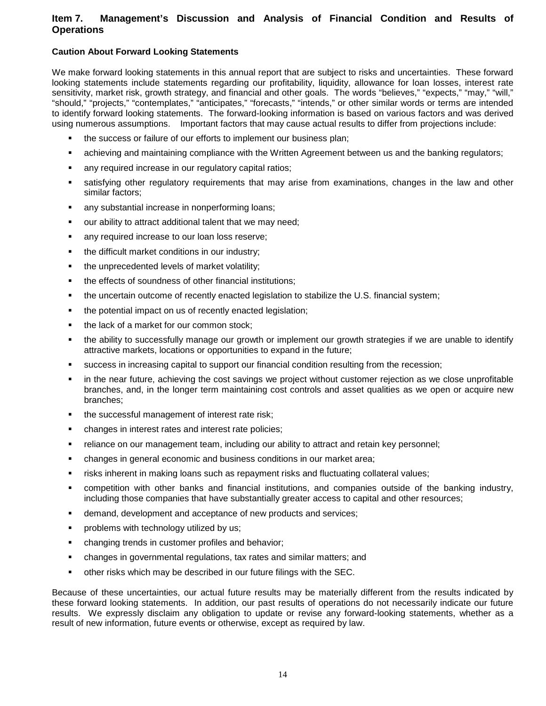## **Item 7. Management's Discussion and Analysis of Financial Condition and Results of Operations**

#### **Caution About Forward Looking Statements**

We make forward looking statements in this annual report that are subject to risks and uncertainties. These forward looking statements include statements regarding our profitability, liquidity, allowance for loan losses, interest rate sensitivity, market risk, growth strategy, and financial and other goals. The words "believes," "expects," "may," "will," "should," "projects," "contemplates," "anticipates," "forecasts," "intends," or other similar words or terms are intended to identify forward looking statements. The forward-looking information is based on various factors and was derived using numerous assumptions. Important factors that may cause actual results to differ from projections include:

- the success or failure of our efforts to implement our business plan;
- achieving and maintaining compliance with the Written Agreement between us and the banking regulators;
- **EXECUTE:** any required increase in our regulatory capital ratios;
- satisfying other regulatory requirements that may arise from examinations, changes in the law and other similar factors;
- any substantial increase in nonperforming loans;
- our ability to attract additional talent that we may need;
- **any required increase to our loan loss reserve;**
- the difficult market conditions in our industry;
- the unprecedented levels of market volatility;
- the effects of soundness of other financial institutions:
- the uncertain outcome of recently enacted legislation to stabilize the U.S. financial system;
- the potential impact on us of recently enacted legislation;
- the lack of a market for our common stock:
- the ability to successfully manage our growth or implement our growth strategies if we are unable to identify attractive markets, locations or opportunities to expand in the future;
- success in increasing capital to support our financial condition resulting from the recession;
- in the near future, achieving the cost savings we project without customer rejection as we close unprofitable branches, and, in the longer term maintaining cost controls and asset qualities as we open or acquire new branches;
- the successful management of interest rate risk;
- changes in interest rates and interest rate policies;
- reliance on our management team, including our ability to attract and retain key personnel;
- changes in general economic and business conditions in our market area;
- **Filters** inherent in making loans such as repayment risks and fluctuating collateral values;
- competition with other banks and financial institutions, and companies outside of the banking industry, including those companies that have substantially greater access to capital and other resources;
- demand, development and acceptance of new products and services;
- **•** problems with technology utilized by us;
- changing trends in customer profiles and behavior;
- changes in governmental regulations, tax rates and similar matters; and
- other risks which may be described in our future filings with the SEC.

Because of these uncertainties, our actual future results may be materially different from the results indicated by these forward looking statements. In addition, our past results of operations do not necessarily indicate our future results. We expressly disclaim any obligation to update or revise any forward-looking statements, whether as a result of new information, future events or otherwise, except as required by law.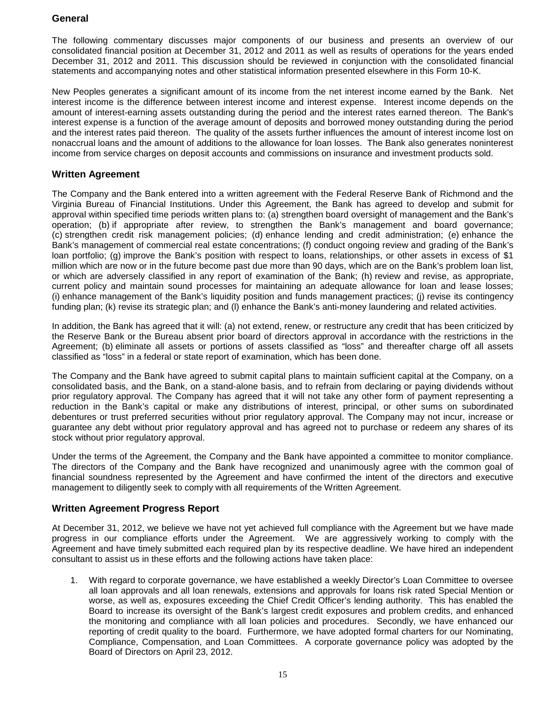## **General**

The following commentary discusses major components of our business and presents an overview of our consolidated financial position at December 31, 2012 and 2011 as well as results of operations for the years ended December 31, 2012 and 2011. This discussion should be reviewed in conjunction with the consolidated financial statements and accompanying notes and other statistical information presented elsewhere in this Form 10-K.

New Peoples generates a significant amount of its income from the net interest income earned by the Bank. Net interest income is the difference between interest income and interest expense. Interest income depends on the amount of interest-earning assets outstanding during the period and the interest rates earned thereon. The Bank's interest expense is a function of the average amount of deposits and borrowed money outstanding during the period and the interest rates paid thereon. The quality of the assets further influences the amount of interest income lost on nonaccrual loans and the amount of additions to the allowance for loan losses. The Bank also generates noninterest income from service charges on deposit accounts and commissions on insurance and investment products sold.

## **Written Agreement**

The Company and the Bank entered into a written agreement with the Federal Reserve Bank of Richmond and the Virginia Bureau of Financial Institutions. Under this Agreement, the Bank has agreed to develop and submit for approval within specified time periods written plans to: (a) strengthen board oversight of management and the Bank's operation; (b) if appropriate after review, to strengthen the Bank's management and board governance; (c) strengthen credit risk management policies; (d) enhance lending and credit administration; (e) enhance the Bank's management of commercial real estate concentrations; (f) conduct ongoing review and grading of the Bank's loan portfolio; (g) improve the Bank's position with respect to loans, relationships, or other assets in excess of \$1 million which are now or in the future become past due more than 90 days, which are on the Bank's problem loan list, or which are adversely classified in any report of examination of the Bank; (h) review and revise, as appropriate, current policy and maintain sound processes for maintaining an adequate allowance for loan and lease losses; (i) enhance management of the Bank's liquidity position and funds management practices; (j) revise its contingency funding plan; (k) revise its strategic plan; and (l) enhance the Bank's anti-money laundering and related activities.

In addition, the Bank has agreed that it will: (a) not extend, renew, or restructure any credit that has been criticized by the Reserve Bank or the Bureau absent prior board of directors approval in accordance with the restrictions in the Agreement; (b) eliminate all assets or portions of assets classified as "loss" and thereafter charge off all assets classified as "loss" in a federal or state report of examination, which has been done.

The Company and the Bank have agreed to submit capital plans to maintain sufficient capital at the Company, on a consolidated basis, and the Bank, on a stand-alone basis, and to refrain from declaring or paying dividends without prior regulatory approval. The Company has agreed that it will not take any other form of payment representing a reduction in the Bank's capital or make any distributions of interest, principal, or other sums on subordinated debentures or trust preferred securities without prior regulatory approval. The Company may not incur, increase or guarantee any debt without prior regulatory approval and has agreed not to purchase or redeem any shares of its stock without prior regulatory approval.

Under the terms of the Agreement, the Company and the Bank have appointed a committee to monitor compliance. The directors of the Company and the Bank have recognized and unanimously agree with the common goal of financial soundness represented by the Agreement and have confirmed the intent of the directors and executive management to diligently seek to comply with all requirements of the Written Agreement.

#### **Written Agreement Progress Report**

At December 31, 2012, we believe we have not yet achieved full compliance with the Agreement but we have made progress in our compliance efforts under the Agreement. We are aggressively working to comply with the Agreement and have timely submitted each required plan by its respective deadline. We have hired an independent consultant to assist us in these efforts and the following actions have taken place:

1. With regard to corporate governance, we have established a weekly Director's Loan Committee to oversee all loan approvals and all loan renewals, extensions and approvals for loans risk rated Special Mention or worse, as well as, exposures exceeding the Chief Credit Officer's lending authority. This has enabled the Board to increase its oversight of the Bank's largest credit exposures and problem credits, and enhanced the monitoring and compliance with all loan policies and procedures. Secondly, we have enhanced our reporting of credit quality to the board. Furthermore, we have adopted formal charters for our Nominating, Compliance, Compensation, and Loan Committees. A corporate governance policy was adopted by the Board of Directors on April 23, 2012.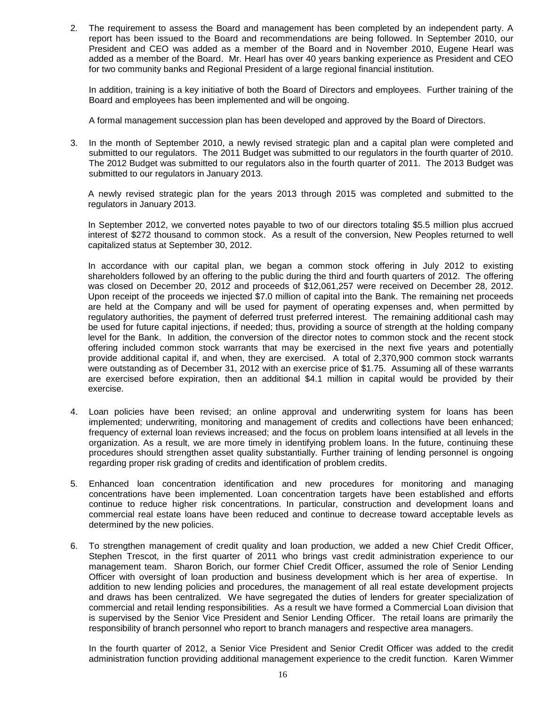2. The requirement to assess the Board and management has been completed by an independent party. A report has been issued to the Board and recommendations are being followed. In September 2010, our President and CEO was added as a member of the Board and in November 2010, Eugene Hearl was added as a member of the Board. Mr. Hearl has over 40 years banking experience as President and CEO for two community banks and Regional President of a large regional financial institution.

In addition, training is a key initiative of both the Board of Directors and employees. Further training of the Board and employees has been implemented and will be ongoing.

A formal management succession plan has been developed and approved by the Board of Directors.

3. In the month of September 2010, a newly revised strategic plan and a capital plan were completed and submitted to our regulators. The 2011 Budget was submitted to our regulators in the fourth quarter of 2010. The 2012 Budget was submitted to our regulators also in the fourth quarter of 2011. The 2013 Budget was submitted to our regulators in January 2013.

A newly revised strategic plan for the years 2013 through 2015 was completed and submitted to the regulators in January 2013.

In September 2012, we converted notes payable to two of our directors totaling \$5.5 million plus accrued interest of \$272 thousand to common stock. As a result of the conversion, New Peoples returned to well capitalized status at September 30, 2012.

In accordance with our capital plan, we began a common stock offering in July 2012 to existing shareholders followed by an offering to the public during the third and fourth quarters of 2012. The offering was closed on December 20, 2012 and proceeds of \$12,061,257 were received on December 28, 2012. Upon receipt of the proceeds we injected \$7.0 million of capital into the Bank. The remaining net proceeds are held at the Company and will be used for payment of operating expenses and, when permitted by regulatory authorities, the payment of deferred trust preferred interest. The remaining additional cash may be used for future capital injections, if needed; thus, providing a source of strength at the holding company level for the Bank. In addition, the conversion of the director notes to common stock and the recent stock offering included common stock warrants that may be exercised in the next five years and potentially provide additional capital if, and when, they are exercised. A total of 2,370,900 common stock warrants were outstanding as of December 31, 2012 with an exercise price of \$1.75. Assuming all of these warrants are exercised before expiration, then an additional \$4.1 million in capital would be provided by their exercise.

- 4. Loan policies have been revised; an online approval and underwriting system for loans has been implemented; underwriting, monitoring and management of credits and collections have been enhanced; frequency of external loan reviews increased; and the focus on problem loans intensified at all levels in the organization. As a result, we are more timely in identifying problem loans. In the future, continuing these procedures should strengthen asset quality substantially. Further training of lending personnel is ongoing regarding proper risk grading of credits and identification of problem credits.
- 5. Enhanced loan concentration identification and new procedures for monitoring and managing concentrations have been implemented. Loan concentration targets have been established and efforts continue to reduce higher risk concentrations. In particular, construction and development loans and commercial real estate loans have been reduced and continue to decrease toward acceptable levels as determined by the new policies.
- 6. To strengthen management of credit quality and loan production, we added a new Chief Credit Officer, Stephen Trescot, in the first quarter of 2011 who brings vast credit administration experience to our management team. Sharon Borich, our former Chief Credit Officer, assumed the role of Senior Lending Officer with oversight of loan production and business development which is her area of expertise. In addition to new lending policies and procedures, the management of all real estate development projects and draws has been centralized. We have segregated the duties of lenders for greater specialization of commercial and retail lending responsibilities. As a result we have formed a Commercial Loan division that is supervised by the Senior Vice President and Senior Lending Officer. The retail loans are primarily the responsibility of branch personnel who report to branch managers and respective area managers.

In the fourth quarter of 2012, a Senior Vice President and Senior Credit Officer was added to the credit administration function providing additional management experience to the credit function. Karen Wimmer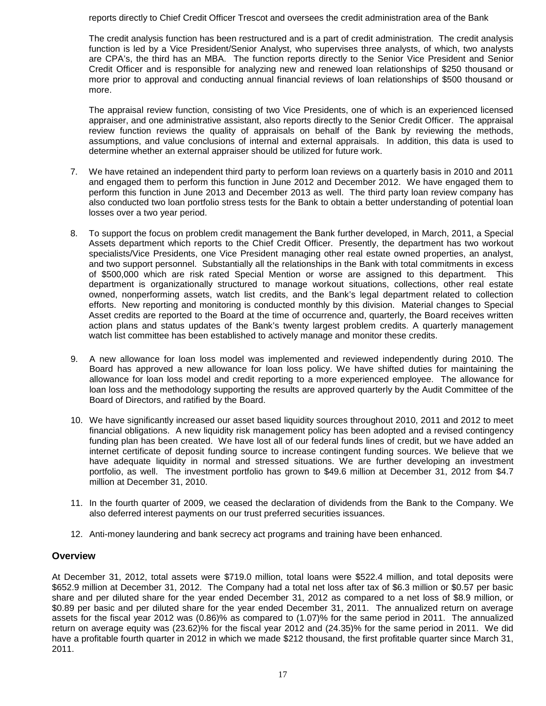reports directly to Chief Credit Officer Trescot and oversees the credit administration area of the Bank

The credit analysis function has been restructured and is a part of credit administration. The credit analysis function is led by a Vice President/Senior Analyst, who supervises three analysts, of which, two analysts are CPA's, the third has an MBA. The function reports directly to the Senior Vice President and Senior Credit Officer and is responsible for analyzing new and renewed loan relationships of \$250 thousand or more prior to approval and conducting annual financial reviews of loan relationships of \$500 thousand or more.

The appraisal review function, consisting of two Vice Presidents, one of which is an experienced licensed appraiser, and one administrative assistant, also reports directly to the Senior Credit Officer. The appraisal review function reviews the quality of appraisals on behalf of the Bank by reviewing the methods, assumptions, and value conclusions of internal and external appraisals. In addition, this data is used to determine whether an external appraiser should be utilized for future work.

- 7. We have retained an independent third party to perform loan reviews on a quarterly basis in 2010 and 2011 and engaged them to perform this function in June 2012 and December 2012. We have engaged them to perform this function in June 2013 and December 2013 as well. The third party loan review company has also conducted two loan portfolio stress tests for the Bank to obtain a better understanding of potential loan losses over a two year period.
- 8. To support the focus on problem credit management the Bank further developed, in March, 2011, a Special Assets department which reports to the Chief Credit Officer. Presently, the department has two workout specialists/Vice Presidents, one Vice President managing other real estate owned properties, an analyst, and two support personnel. Substantially all the relationships in the Bank with total commitments in excess of \$500,000 which are risk rated Special Mention or worse are assigned to this department. This department is organizationally structured to manage workout situations, collections, other real estate owned, nonperforming assets, watch list credits, and the Bank's legal department related to collection efforts. New reporting and monitoring is conducted monthly by this division. Material changes to Special Asset credits are reported to the Board at the time of occurrence and, quarterly, the Board receives written action plans and status updates of the Bank's twenty largest problem credits. A quarterly management watch list committee has been established to actively manage and monitor these credits.
- 9. A new allowance for loan loss model was implemented and reviewed independently during 2010. The Board has approved a new allowance for loan loss policy. We have shifted duties for maintaining the allowance for loan loss model and credit reporting to a more experienced employee. The allowance for loan loss and the methodology supporting the results are approved quarterly by the Audit Committee of the Board of Directors, and ratified by the Board.
- 10. We have significantly increased our asset based liquidity sources throughout 2010, 2011 and 2012 to meet financial obligations. A new liquidity risk management policy has been adopted and a revised contingency funding plan has been created. We have lost all of our federal funds lines of credit, but we have added an internet certificate of deposit funding source to increase contingent funding sources. We believe that we have adequate liquidity in normal and stressed situations. We are further developing an investment portfolio, as well. The investment portfolio has grown to \$49.6 million at December 31, 2012 from \$4.7 million at December 31, 2010.
- 11. In the fourth quarter of 2009, we ceased the declaration of dividends from the Bank to the Company. We also deferred interest payments on our trust preferred securities issuances.
- 12. Anti-money laundering and bank secrecy act programs and training have been enhanced.

# **Overview**

At December 31, 2012, total assets were \$719.0 million, total loans were \$522.4 million, and total deposits were \$652.9 million at December 31, 2012. The Company had a total net loss after tax of \$6.3 million or \$0.57 per basic share and per diluted share for the year ended December 31, 2012 as compared to a net loss of \$8.9 million, or \$0.89 per basic and per diluted share for the year ended December 31, 2011. The annualized return on average assets for the fiscal year 2012 was (0.86)% as compared to (1.07)% for the same period in 2011. The annualized return on average equity was (23.62)% for the fiscal year 2012 and (24.35)% for the same period in 2011. We did have a profitable fourth quarter in 2012 in which we made \$212 thousand, the first profitable quarter since March 31, 2011.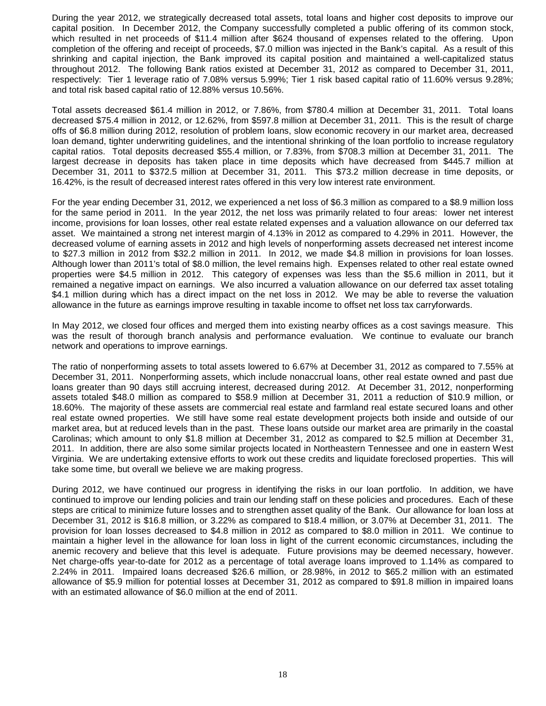During the year 2012, we strategically decreased total assets, total loans and higher cost deposits to improve our capital position. In December 2012, the Company successfully completed a public offering of its common stock, which resulted in net proceeds of \$11.4 million after \$624 thousand of expenses related to the offering. Upon completion of the offering and receipt of proceeds, \$7.0 million was injected in the Bank's capital. As a result of this shrinking and capital injection, the Bank improved its capital position and maintained a well-capitalized status throughout 2012. The following Bank ratios existed at December 31, 2012 as compared to December 31, 2011, respectively: Tier 1 leverage ratio of 7.08% versus 5.99%; Tier 1 risk based capital ratio of 11.60% versus 9.28%; and total risk based capital ratio of 12.88% versus 10.56%.

Total assets decreased \$61.4 million in 2012, or 7.86%, from \$780.4 million at December 31, 2011. Total loans decreased \$75.4 million in 2012, or 12.62%, from \$597.8 million at December 31, 2011. This is the result of charge offs of \$6.8 million during 2012, resolution of problem loans, slow economic recovery in our market area, decreased loan demand, tighter underwriting guidelines, and the intentional shrinking of the loan portfolio to increase regulatory capital ratios. Total deposits decreased \$55.4 million, or 7.83%, from \$708.3 million at December 31, 2011. The largest decrease in deposits has taken place in time deposits which have decreased from \$445.7 million at December 31, 2011 to \$372.5 million at December 31, 2011. This \$73.2 million decrease in time deposits, or 16.42%, is the result of decreased interest rates offered in this very low interest rate environment.

For the year ending December 31, 2012, we experienced a net loss of \$6.3 million as compared to a \$8.9 million loss for the same period in 2011. In the year 2012, the net loss was primarily related to four areas: lower net interest income, provisions for loan losses, other real estate related expenses and a valuation allowance on our deferred tax asset. We maintained a strong net interest margin of 4.13% in 2012 as compared to 4.29% in 2011. However, the decreased volume of earning assets in 2012 and high levels of nonperforming assets decreased net interest income to \$27.3 million in 2012 from \$32.2 million in 2011. In 2012, we made \$4.8 million in provisions for loan losses. Although lower than 2011's total of \$8.0 million, the level remains high. Expenses related to other real estate owned properties were \$4.5 million in 2012. This category of expenses was less than the \$5.6 million in 2011, but it remained a negative impact on earnings. We also incurred a valuation allowance on our deferred tax asset totaling \$4.1 million during which has a direct impact on the net loss in 2012. We may be able to reverse the valuation allowance in the future as earnings improve resulting in taxable income to offset net loss tax carryforwards.

In May 2012, we closed four offices and merged them into existing nearby offices as a cost savings measure. This was the result of thorough branch analysis and performance evaluation. We continue to evaluate our branch network and operations to improve earnings.

The ratio of nonperforming assets to total assets lowered to 6.67% at December 31, 2012 as compared to 7.55% at December 31, 2011. Nonperforming assets, which include nonaccrual loans, other real estate owned and past due loans greater than 90 days still accruing interest, decreased during 2012. At December 31, 2012, nonperforming assets totaled \$48.0 million as compared to \$58.9 million at December 31, 2011 a reduction of \$10.9 million, or 18.60%. The majority of these assets are commercial real estate and farmland real estate secured loans and other real estate owned properties. We still have some real estate development projects both inside and outside of our market area, but at reduced levels than in the past. These loans outside our market area are primarily in the coastal Carolinas; which amount to only \$1.8 million at December 31, 2012 as compared to \$2.5 million at December 31, 2011. In addition, there are also some similar projects located in Northeastern Tennessee and one in eastern West Virginia. We are undertaking extensive efforts to work out these credits and liquidate foreclosed properties. This will take some time, but overall we believe we are making progress.

During 2012, we have continued our progress in identifying the risks in our loan portfolio. In addition, we have continued to improve our lending policies and train our lending staff on these policies and procedures. Each of these steps are critical to minimize future losses and to strengthen asset quality of the Bank. Our allowance for loan loss at December 31, 2012 is \$16.8 million, or 3.22% as compared to \$18.4 million, or 3.07% at December 31, 2011. The provision for loan losses decreased to \$4.8 million in 2012 as compared to \$8.0 million in 2011. We continue to maintain a higher level in the allowance for loan loss in light of the current economic circumstances, including the anemic recovery and believe that this level is adequate. Future provisions may be deemed necessary, however. Net charge-offs year-to-date for 2012 as a percentage of total average loans improved to 1.14% as compared to 2.24% in 2011. Impaired loans decreased \$26.6 million, or 28.98%, in 2012 to \$65.2 million with an estimated allowance of \$5.9 million for potential losses at December 31, 2012 as compared to \$91.8 million in impaired loans with an estimated allowance of \$6.0 million at the end of 2011.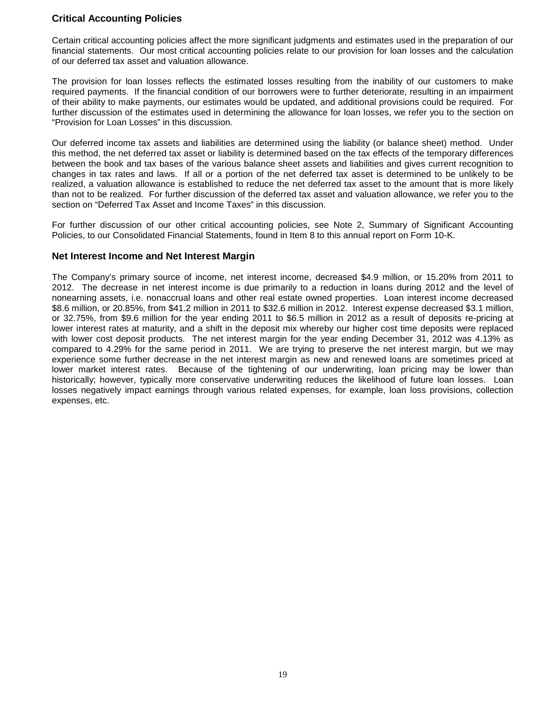## **Critical Accounting Policies**

Certain critical accounting policies affect the more significant judgments and estimates used in the preparation of our financial statements. Our most critical accounting policies relate to our provision for loan losses and the calculation of our deferred tax asset and valuation allowance.

The provision for loan losses reflects the estimated losses resulting from the inability of our customers to make required payments. If the financial condition of our borrowers were to further deteriorate, resulting in an impairment of their ability to make payments, our estimates would be updated, and additional provisions could be required. For further discussion of the estimates used in determining the allowance for loan losses, we refer you to the section on "Provision for Loan Losses" in this discussion.

Our deferred income tax assets and liabilities are determined using the liability (or balance sheet) method. Under this method, the net deferred tax asset or liability is determined based on the tax effects of the temporary differences between the book and tax bases of the various balance sheet assets and liabilities and gives current recognition to changes in tax rates and laws. If all or a portion of the net deferred tax asset is determined to be unlikely to be realized, a valuation allowance is established to reduce the net deferred tax asset to the amount that is more likely than not to be realized. For further discussion of the deferred tax asset and valuation allowance, we refer you to the section on "Deferred Tax Asset and Income Taxes" in this discussion.

For further discussion of our other critical accounting policies, see Note 2, Summary of Significant Accounting Policies, to our Consolidated Financial Statements, found in Item 8 to this annual report on Form 10-K.

#### **Net Interest Income and Net Interest Margin**

The Company's primary source of income, net interest income, decreased \$4.9 million, or 15.20% from 2011 to 2012. The decrease in net interest income is due primarily to a reduction in loans during 2012 and the level of nonearning assets, i.e. nonaccrual loans and other real estate owned properties. Loan interest income decreased \$8.6 million, or 20.85%, from \$41.2 million in 2011 to \$32.6 million in 2012. Interest expense decreased \$3.1 million, or 32.75%, from \$9.6 million for the year ending 2011 to \$6.5 million in 2012 as a result of deposits re-pricing at lower interest rates at maturity, and a shift in the deposit mix whereby our higher cost time deposits were replaced with lower cost deposit products. The net interest margin for the year ending December 31, 2012 was 4.13% as compared to 4.29% for the same period in 2011. We are trying to preserve the net interest margin, but we may experience some further decrease in the net interest margin as new and renewed loans are sometimes priced at lower market interest rates. Because of the tightening of our underwriting, loan pricing may be lower than historically; however, typically more conservative underwriting reduces the likelihood of future loan losses. Loan losses negatively impact earnings through various related expenses, for example, loan loss provisions, collection expenses, etc.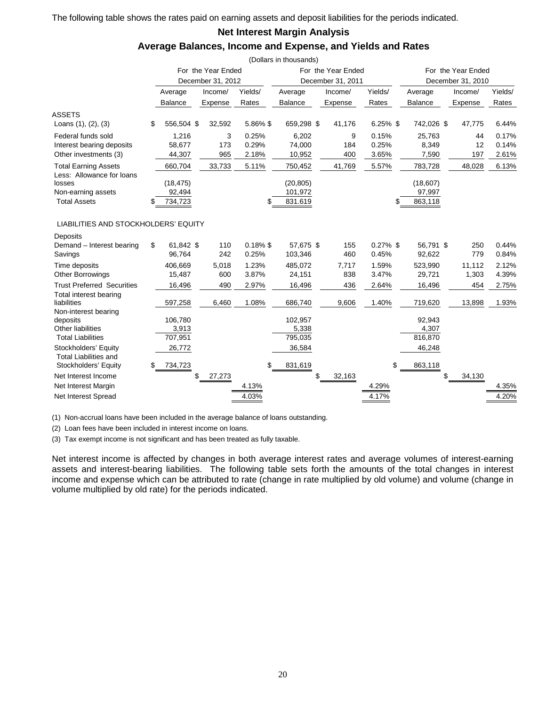The following table shows the rates paid on earning assets and deposit liabilities for the periods indicated.

# **Net Interest Margin Analysis**

## **Average Balances, Income and Expense, and Yields and Rates**

|                                      |                  |         |                    |             | (Dollars in thousands) |    |                    |             |                |                    |         |  |
|--------------------------------------|------------------|---------|--------------------|-------------|------------------------|----|--------------------|-------------|----------------|--------------------|---------|--|
|                                      |                  |         | For the Year Ended |             |                        |    | For the Year Ended |             |                | For the Year Ended |         |  |
|                                      |                  |         | December 31, 2012  |             |                        |    | December 31, 2011  |             |                | December 31, 2010  |         |  |
|                                      | Average          |         | Income/            | Yields/     | Income/<br>Average     |    |                    | Yields/     | Average        | Income/            | Yields/ |  |
|                                      | <b>Balance</b>   | Expense |                    | Rates       | <b>Balance</b>         |    | Expense            | Rates       | <b>Balance</b> | Expense            | Rates   |  |
| <b>ASSETS</b>                        |                  |         |                    |             |                        |    |                    |             |                |                    |         |  |
| Loans $(1)$ , $(2)$ , $(3)$          | \$<br>556,504 \$ |         | 32,592             | 5.86% \$    | 659,298 \$             |    | 41,176             | $6.25\%$ \$ | 742,026 \$     | 47,775             | 6.44%   |  |
| Federal funds sold                   | 1,216            |         | 3                  | 0.25%       | 6,202                  |    | 9                  | 0.15%       | 25,763         | 44                 | 0.17%   |  |
| Interest bearing deposits            | 58,677           |         | 173                | 0.29%       | 74,000                 |    | 184                | 0.25%       | 8,349          | 12                 | 0.14%   |  |
| Other investments (3)                | 44,307           |         | 965                | 2.18%       | 10,952                 |    | 400                | 3.65%       | 7,590          | 197                | 2.61%   |  |
| <b>Total Earning Assets</b>          | 660,704          |         | 33,733             | 5.11%       | 750,452                |    | 41,769             | 5.57%       | 783,728        | 48,028             | 6.13%   |  |
| Less: Allowance for loans<br>losses  | (18, 475)        |         |                    |             | (20, 805)              |    |                    |             | (18,607)       |                    |         |  |
| Non-earning assets                   | 92,494           |         |                    |             | 101,972                |    |                    |             | 97,997         |                    |         |  |
| <b>Total Assets</b>                  | 734,723          |         |                    |             | \$<br>831.619          |    |                    |             | 863,118        |                    |         |  |
|                                      |                  |         |                    |             |                        |    |                    |             |                |                    |         |  |
| LIABILITIES AND STOCKHOLDERS' EQUITY |                  |         |                    |             |                        |    |                    |             |                |                    |         |  |
| Deposits                             |                  |         |                    |             |                        |    |                    |             |                |                    |         |  |
| Demand - Interest bearing            | \$<br>61,842 \$  |         | 110                | $0.18\%$ \$ | 57,675 \$              |    | 155                | $0.27\%$ \$ | 56,791 \$      | 250                | 0.44%   |  |
| Savings                              | 96,764           |         | 242                | 0.25%       | 103,346                |    | 460                | 0.45%       | 92,622         | 779                | 0.84%   |  |
| Time deposits                        | 406,669          |         | 5,018              | 1.23%       | 485,072                |    | 7,717              | 1.59%       | 523,990        | 11,112             | 2.12%   |  |
| <b>Other Borrowings</b>              | 15,487           |         | 600                | 3.87%       | 24,151                 |    | 838                | 3.47%       | 29,721         | 1,303              | 4.39%   |  |
| <b>Trust Preferred Securities</b>    | 16,496           |         | 490                | 2.97%       | 16,496                 |    | 436                | 2.64%       | 16,496         | 454                | 2.75%   |  |
| Total interest bearing               |                  |         |                    |             |                        |    |                    |             |                |                    |         |  |
| liabilities                          | 597,258          |         | 6,460              | 1.08%       | 686,740                |    | 9,606              | 1.40%       | 719,620        | 13,898             | 1.93%   |  |
| Non-interest bearing                 | 106,780          |         |                    |             | 102,957                |    |                    |             | 92,943         |                    |         |  |
| deposits<br>Other liabilities        | 3,913            |         |                    |             | 5,338                  |    |                    |             | 4,307          |                    |         |  |
| <b>Total Liabilities</b>             | 707,951          |         |                    |             | 795,035                |    |                    |             | 816,870        |                    |         |  |
| Stockholders' Equity                 | 26,772           |         |                    |             | 36,584                 |    |                    |             | 46,248         |                    |         |  |
| <b>Total Liabilities and</b>         |                  |         |                    |             |                        |    |                    |             |                |                    |         |  |
| Stockholders' Equity                 | \$<br>734,723    |         |                    |             | \$<br>831,619          |    |                    |             | \$<br>863,118  |                    |         |  |
| Net Interest Income                  |                  | \$      | 27,273             |             |                        | \$ | 32,163             |             |                | \$<br>34,130       |         |  |
| Net Interest Margin                  |                  |         |                    | 4.13%       |                        |    |                    | 4.29%       |                |                    | 4.35%   |  |
| Net Interest Spread                  |                  |         |                    | 4.03%       |                        |    |                    | 4.17%       |                |                    | 4.20%   |  |

(1) Non-accrual loans have been included in the average balance of loans outstanding.

(2) Loan fees have been included in interest income on loans.

(3) Tax exempt income is not significant and has been treated as fully taxable.

Net interest income is affected by changes in both average interest rates and average volumes of interest-earning assets and interest-bearing liabilities. The following table sets forth the amounts of the total changes in interest income and expense which can be attributed to rate (change in rate multiplied by old volume) and volume (change in volume multiplied by old rate) for the periods indicated.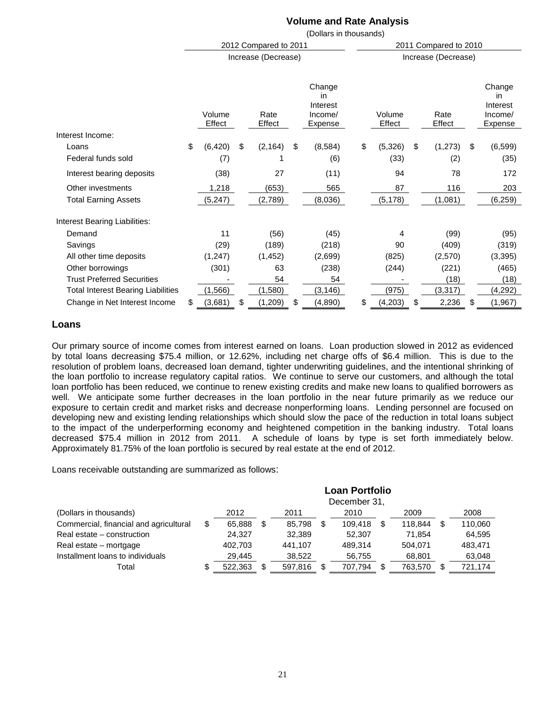|                                           |                  |                       | (Dollars in thousands)                         |                     |    |                       |    |                                                |  |
|-------------------------------------------|------------------|-----------------------|------------------------------------------------|---------------------|----|-----------------------|----|------------------------------------------------|--|
|                                           |                  | 2012 Compared to 2011 |                                                |                     |    | 2011 Compared to 2010 |    |                                                |  |
|                                           |                  | Increase (Decrease)   |                                                | Increase (Decrease) |    |                       |    |                                                |  |
|                                           | Volume<br>Effect | Rate<br>Effect        | Change<br>in<br>Interest<br>Income/<br>Expense | Volume<br>Effect    |    | Rate<br>Effect        |    | Change<br>in<br>Interest<br>Income/<br>Expense |  |
| Interest Income:                          |                  |                       |                                                |                     |    |                       |    |                                                |  |
| Loans                                     | \$<br>(6, 420)   | \$<br>(2, 164)        | \$<br>(8,584)                                  | \$<br>(5,326)       | \$ | (1, 273)              | \$ | (6, 599)                                       |  |
| Federal funds sold                        | (7)              |                       | (6)                                            | (33)                |    | (2)                   |    | (35)                                           |  |
| Interest bearing deposits                 | (38)             | 27                    | (11)                                           | 94                  |    | 78                    |    | 172                                            |  |
| Other investments                         | 1,218            | (653)                 | 565                                            | 87                  |    | 116                   |    | 203                                            |  |
| <b>Total Earning Assets</b>               | (5, 247)         | (2,789)               | (8,036)                                        | (5, 178)            |    | (1,081)               |    | (6, 259)                                       |  |
| Interest Bearing Liabilities:             |                  |                       |                                                |                     |    |                       |    |                                                |  |
| Demand                                    | 11               | (56)                  | (45)                                           | 4                   |    | (99)                  |    | (95)                                           |  |
| Savings                                   | (29)             | (189)                 | (218)                                          | 90                  |    | (409)                 |    | (319)                                          |  |
| All other time deposits                   | (1,247)          | (1, 452)              | (2,699)                                        | (825)               |    | (2,570)               |    | (3, 395)                                       |  |
| Other borrowings                          | (301)            | 63                    | (238)                                          | (244)               |    | (221)                 |    | (465)                                          |  |
| <b>Trust Preferred Securities</b>         |                  | 54                    | 54                                             |                     |    | (18)                  |    | (18)                                           |  |
| <b>Total Interest Bearing Liabilities</b> | (1, 566)         | (1,580)               | (3, 146)                                       | (975)               |    | (3, 317)              |    | (4, 292)                                       |  |
| Change in Net Interest Income             | \$<br>(3,681)    | \$<br>(1,209)         | \$<br>(4,890)                                  | \$<br>(4, 203)      | \$ | 2,236                 | \$ | (1,967)                                        |  |

 **Volume and Rate Analysis**

#### **Loans**

Our primary source of income comes from interest earned on loans. Loan production slowed in 2012 as evidenced by total loans decreasing \$75.4 million, or 12.62%, including net charge offs of \$6.4 million. This is due to the resolution of problem loans, decreased loan demand, tighter underwriting guidelines, and the intentional shrinking of the loan portfolio to increase regulatory capital ratios. We continue to serve our customers, and although the total loan portfolio has been reduced, we continue to renew existing credits and make new loans to qualified borrowers as well. We anticipate some further decreases in the loan portfolio in the near future primarily as we reduce our exposure to certain credit and market risks and decrease nonperforming loans. Lending personnel are focused on developing new and existing lending relationships which should slow the pace of the reduction in total loans subject to the impact of the underperforming economy and heightened competition in the banking industry. Total loans decreased \$75.4 million in 2012 from 2011. A schedule of loans by type is set forth immediately below. Approximately 81.75% of the loan portfolio is secured by real estate at the end of 2012.

Loans receivable outstanding are summarized as follows:

|                                        |              |              | Loan Portfolio<br>December 31, |               |   |         |
|----------------------------------------|--------------|--------------|--------------------------------|---------------|---|---------|
| (Dollars in thousands)                 | 2012         | 2011         | 2010                           | 2009          |   | 2008    |
| Commercial, financial and agricultural | \$<br>65,888 | \$<br>85,798 | 109.418                        | \$<br>118.844 | S | 110,060 |
| Real estate – construction             | 24.327       | 32.389       | 52.307                         | 71.854        |   | 64,595  |
| Real estate – mortgage                 | 402.703      | 441.107      | 489.314                        | 504.071       |   | 483.471 |
| Installment loans to individuals       | 29.445       | 38.522       | 56,755                         | 68,801        |   | 63,048  |
| Total                                  | 522.363      | 597.816      | 707.794                        | \$<br>763.570 |   | 721.174 |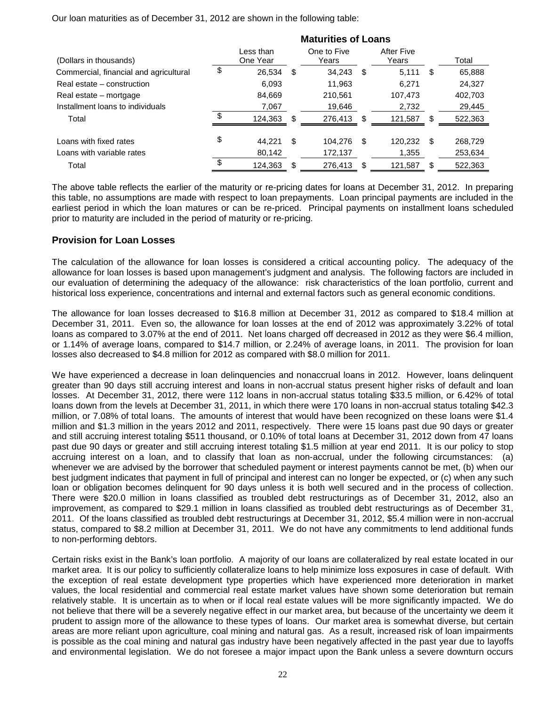Our loan maturities as of December 31, 2012 are shown in the following table:

|                                        | <b>Maturities of Loans</b> |     |                      |     |                     |     |         |  |  |  |
|----------------------------------------|----------------------------|-----|----------------------|-----|---------------------|-----|---------|--|--|--|
| (Dollars in thousands)                 | Less than<br>One Year      |     | One to Five<br>Years |     | After Five<br>Years |     | Total   |  |  |  |
| Commercial, financial and agricultural | \$<br>26,534               | \$  | 34.243               | \$  | 5.111               | S   | 65,888  |  |  |  |
| Real estate – construction             | 6.093                      |     | 11.963               |     | 6.271               |     | 24,327  |  |  |  |
| Real estate – mortgage                 | 84.669                     |     | 210.561              |     | 107,473             |     | 402,703 |  |  |  |
| Installment loans to individuals       | 7,067                      |     | 19,646               |     | 2,732               |     | 29,445  |  |  |  |
| Total                                  | \$<br>124,363              | S   | 276,413              | \$. | 121,587             | S   | 522,363 |  |  |  |
| Loans with fixed rates                 | \$<br>44.221               | \$. | 104.276              | \$. | 120.232             | \$. | 268,729 |  |  |  |
| Loans with variable rates              | 80,142                     |     | 172,137              |     | 1,355               |     | 253,634 |  |  |  |
| Total                                  | \$<br>124,363              | \$  | 276,413              | \$. | 121,587             | \$. | 522,363 |  |  |  |

The above table reflects the earlier of the maturity or re-pricing dates for loans at December 31, 2012. In preparing this table, no assumptions are made with respect to loan prepayments. Loan principal payments are included in the earliest period in which the loan matures or can be re-priced. Principal payments on installment loans scheduled prior to maturity are included in the period of maturity or re-pricing.

#### **Provision for Loan Losses**

The calculation of the allowance for loan losses is considered a critical accounting policy. The adequacy of the allowance for loan losses is based upon management's judgment and analysis. The following factors are included in our evaluation of determining the adequacy of the allowance: risk characteristics of the loan portfolio, current and historical loss experience, concentrations and internal and external factors such as general economic conditions.

The allowance for loan losses decreased to \$16.8 million at December 31, 2012 as compared to \$18.4 million at December 31, 2011. Even so, the allowance for loan losses at the end of 2012 was approximately 3.22% of total loans as compared to 3.07% at the end of 2011. Net loans charged off decreased in 2012 as they were \$6.4 million, or 1.14% of average loans, compared to \$14.7 million, or 2.24% of average loans, in 2011. The provision for loan losses also decreased to \$4.8 million for 2012 as compared with \$8.0 million for 2011.

We have experienced a decrease in loan delinquencies and nonaccrual loans in 2012. However, loans delinquent greater than 90 days still accruing interest and loans in non-accrual status present higher risks of default and loan losses. At December 31, 2012, there were 112 loans in non-accrual status totaling \$33.5 million, or 6.42% of total loans down from the levels at December 31, 2011, in which there were 170 loans in non-accrual status totaling \$42.3 million, or 7.08% of total loans. The amounts of interest that would have been recognized on these loans were \$1.4 million and \$1.3 million in the years 2012 and 2011, respectively. There were 15 loans past due 90 days or greater and still accruing interest totaling \$511 thousand, or 0.10% of total loans at December 31, 2012 down from 47 loans past due 90 days or greater and still accruing interest totaling \$1.5 million at year end 2011. It is our policy to stop accruing interest on a loan, and to classify that loan as non-accrual, under the following circumstances: (a) whenever we are advised by the borrower that scheduled payment or interest payments cannot be met, (b) when our best judgment indicates that payment in full of principal and interest can no longer be expected, or (c) when any such loan or obligation becomes delinquent for 90 days unless it is both well secured and in the process of collection. There were \$20.0 million in loans classified as troubled debt restructurings as of December 31, 2012, also an improvement, as compared to \$29.1 million in loans classified as troubled debt restructurings as of December 31, 2011. Of the loans classified as troubled debt restructurings at December 31, 2012, \$5.4 million were in non-accrual status, compared to \$8.2 million at December 31, 2011. We do not have any commitments to lend additional funds to non-performing debtors.

Certain risks exist in the Bank's loan portfolio. A majority of our loans are collateralized by real estate located in our market area. It is our policy to sufficiently collateralize loans to help minimize loss exposures in case of default. With the exception of real estate development type properties which have experienced more deterioration in market values, the local residential and commercial real estate market values have shown some deterioration but remain relatively stable. It is uncertain as to when or if local real estate values will be more significantly impacted. We do not believe that there will be a severely negative effect in our market area, but because of the uncertainty we deem it prudent to assign more of the allowance to these types of loans. Our market area is somewhat diverse, but certain areas are more reliant upon agriculture, coal mining and natural gas. As a result, increased risk of loan impairments is possible as the coal mining and natural gas industry have been negatively affected in the past year due to layoffs and environmental legislation. We do not foresee a major impact upon the Bank unless a severe downturn occurs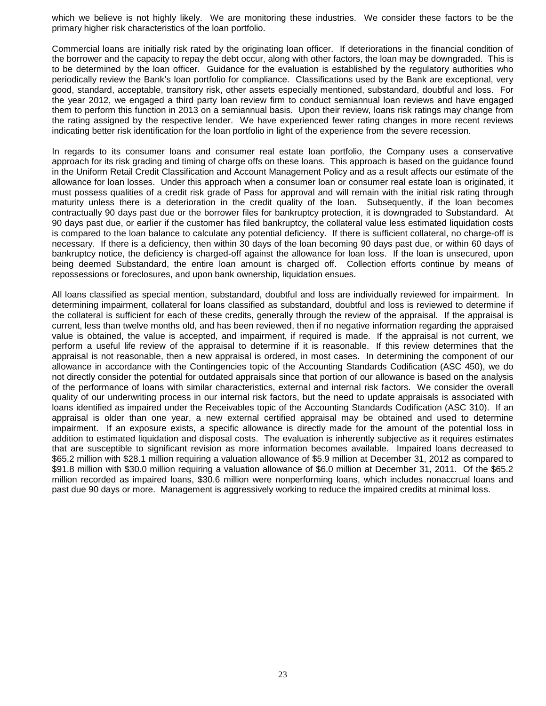which we believe is not highly likely. We are monitoring these industries. We consider these factors to be the primary higher risk characteristics of the loan portfolio.

Commercial loans are initially risk rated by the originating loan officer. If deteriorations in the financial condition of the borrower and the capacity to repay the debt occur, along with other factors, the loan may be downgraded. This is to be determined by the loan officer. Guidance for the evaluation is established by the regulatory authorities who periodically review the Bank's loan portfolio for compliance. Classifications used by the Bank are exceptional, very good, standard, acceptable, transitory risk, other assets especially mentioned, substandard, doubtful and loss. For the year 2012, we engaged a third party loan review firm to conduct semiannual loan reviews and have engaged them to perform this function in 2013 on a semiannual basis. Upon their review, loans risk ratings may change from the rating assigned by the respective lender. We have experienced fewer rating changes in more recent reviews indicating better risk identification for the loan portfolio in light of the experience from the severe recession.

In regards to its consumer loans and consumer real estate loan portfolio, the Company uses a conservative approach for its risk grading and timing of charge offs on these loans. This approach is based on the guidance found in the Uniform Retail Credit Classification and Account Management Policy and as a result affects our estimate of the allowance for loan losses. Under this approach when a consumer loan or consumer real estate loan is originated, it must possess qualities of a credit risk grade of Pass for approval and will remain with the initial risk rating through maturity unless there is a deterioration in the credit quality of the loan. Subsequently, if the loan becomes contractually 90 days past due or the borrower files for bankruptcy protection, it is downgraded to Substandard. At 90 days past due, or earlier if the customer has filed bankruptcy, the collateral value less estimated liquidation costs is compared to the loan balance to calculate any potential deficiency. If there is sufficient collateral, no charge-off is necessary. If there is a deficiency, then within 30 days of the loan becoming 90 days past due, or within 60 days of bankruptcy notice, the deficiency is charged-off against the allowance for loan loss. If the loan is unsecured, upon being deemed Substandard, the entire loan amount is charged off. Collection efforts continue by means of repossessions or foreclosures, and upon bank ownership, liquidation ensues.

All loans classified as special mention, substandard, doubtful and loss are individually reviewed for impairment. In determining impairment, collateral for loans classified as substandard, doubtful and loss is reviewed to determine if the collateral is sufficient for each of these credits, generally through the review of the appraisal. If the appraisal is current, less than twelve months old, and has been reviewed, then if no negative information regarding the appraised value is obtained, the value is accepted, and impairment, if required is made. If the appraisal is not current, we perform a useful life review of the appraisal to determine if it is reasonable. If this review determines that the appraisal is not reasonable, then a new appraisal is ordered, in most cases. In determining the component of our allowance in accordance with the Contingencies topic of the Accounting Standards Codification (ASC 450), we do not directly consider the potential for outdated appraisals since that portion of our allowance is based on the analysis of the performance of loans with similar characteristics, external and internal risk factors. We consider the overall quality of our underwriting process in our internal risk factors, but the need to update appraisals is associated with loans identified as impaired under the Receivables topic of the Accounting Standards Codification (ASC 310). If an appraisal is older than one year, a new external certified appraisal may be obtained and used to determine impairment. If an exposure exists, a specific allowance is directly made for the amount of the potential loss in addition to estimated liquidation and disposal costs. The evaluation is inherently subjective as it requires estimates that are susceptible to significant revision as more information becomes available. Impaired loans decreased to \$65.2 million with \$28.1 million requiring a valuation allowance of \$5.9 million at December 31, 2012 as compared to \$91.8 million with \$30.0 million requiring a valuation allowance of \$6.0 million at December 31, 2011. Of the \$65.2 million recorded as impaired loans, \$30.6 million were nonperforming loans, which includes nonaccrual loans and past due 90 days or more. Management is aggressively working to reduce the impaired credits at minimal loss.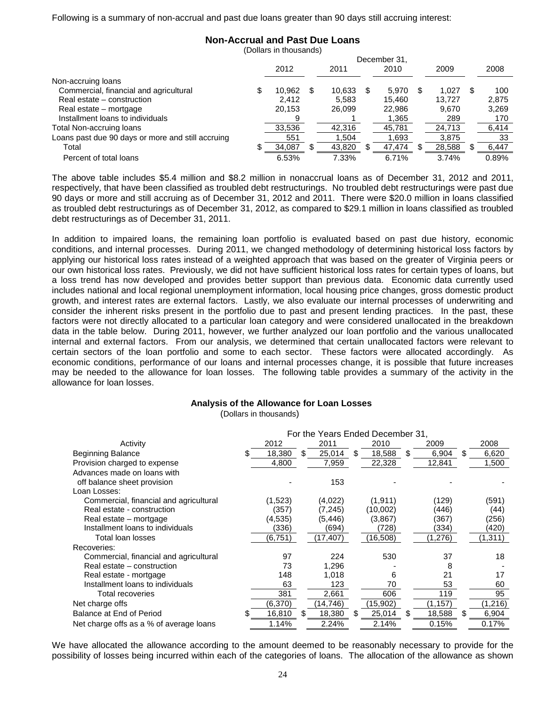Following is a summary of non-accrual and past due loans greater than 90 days still accruing interest:

#### **Non-Accrual and Past Due Loans**

(Dollars in thousands)

|                                                   | December 31,                 |    |        |  |        |  |        |   |       |
|---------------------------------------------------|------------------------------|----|--------|--|--------|--|--------|---|-------|
|                                                   | 2009<br>2012<br>2011<br>2010 |    |        |  |        |  |        |   | 2008  |
| Non-accruing loans                                |                              |    |        |  |        |  |        |   |       |
| Commercial, financial and agricultural            | 10.962                       | S  | 10,633 |  | 5.970  |  | 1.027  | S | 100   |
| Real estate – construction                        | 2.412                        |    | 5.583  |  | 15.460 |  | 13.727 |   | 2,875 |
| Real estate – mortgage                            | 20.153                       |    | 26.099 |  | 22.986 |  | 9.670  |   | 3,269 |
| Installment loans to individuals                  |                              |    |        |  | 1,365  |  | 289    |   | 170   |
| Total Non-accruing loans                          | 33,536                       |    | 42,316 |  | 45,781 |  | 24,713 |   | 6,414 |
| Loans past due 90 days or more and still accruing | 551                          |    | 1,504  |  | 1,693  |  | 3.875  |   | 33    |
| Total                                             | 34,087                       | JЭ | 43,820 |  | 47,474 |  | 28,588 | ж | 6,447 |
| Percent of total loans                            | 6.53%                        |    | 7.33%  |  | 6.71%  |  | 3.74%  |   | 0.89% |

The above table includes \$5.4 million and \$8.2 million in nonaccrual loans as of December 31, 2012 and 2011, respectively, that have been classified as troubled debt restructurings. No troubled debt restructurings were past due 90 days or more and still accruing as of December 31, 2012 and 2011. There were \$20.0 million in loans classified as troubled debt restructurings as of December 31, 2012, as compared to \$29.1 million in loans classified as troubled debt restructurings as of December 31, 2011.

In addition to impaired loans, the remaining loan portfolio is evaluated based on past due history, economic conditions, and internal processes. During 2011, we changed methodology of determining historical loss factors by applying our historical loss rates instead of a weighted approach that was based on the greater of Virginia peers or our own historical loss rates. Previously, we did not have sufficient historical loss rates for certain types of loans, but a loss trend has now developed and provides better support than previous data. Economic data currently used includes national and local regional unemployment information, local housing price changes, gross domestic product growth, and interest rates are external factors. Lastly, we also evaluate our internal processes of underwriting and consider the inherent risks present in the portfolio due to past and present lending practices. In the past, these factors were not directly allocated to a particular loan category and were considered unallocated in the breakdown data in the table below. During 2011, however, we further analyzed our loan portfolio and the various unallocated internal and external factors. From our analysis, we determined that certain unallocated factors were relevant to certain sectors of the loan portfolio and some to each sector. These factors were allocated accordingly. As economic conditions, performance of our loans and internal processes change, it is possible that future increases may be needed to the allowance for loan losses. The following table provides a summary of the activity in the allowance for loan losses.

#### **Analysis of the Allowance for Loan Losses**

(Dollars in thousands)

|                                         |         |     |           |    | For the Years Ended December 31. |              |          |
|-----------------------------------------|---------|-----|-----------|----|----------------------------------|--------------|----------|
| Activity                                | 2012    |     | 2011      |    | 2010                             | 2009         | 2008     |
| <b>Beginning Balance</b>                | 18,380  | \$. | 25,014    | S. | 18,588                           | \$<br>6,904  | 6,620    |
| Provision charged to expense            | 4,800   |     | 7,959     |    | 22,328                           | 12,841       | 1,500    |
| Advances made on loans with             |         |     |           |    |                                  |              |          |
| off balance sheet provision             |         |     | 153       |    |                                  |              |          |
| Loan Losses:                            |         |     |           |    |                                  |              |          |
| Commercial, financial and agricultural  | (1,523) |     | (4,022)   |    | (1, 911)                         | (129)        | (591)    |
| Real estate - construction              | (357)   |     | (7,245)   |    | (10,002)                         | (446)        | (44)     |
| Real estate – mortgage                  | (4,535) |     | (5, 446)  |    | (3,867)                          | (367)        | (256)    |
| Installment loans to individuals        | (336)   |     | (694)     |    | (728)                            | (334)        | (420)    |
| Total loan losses                       | (6,751) |     | (17, 407) |    | (16, 508)                        | (1,276)      | (1, 311) |
| Recoveries:                             |         |     |           |    |                                  |              |          |
| Commercial, financial and agricultural  | 97      |     | 224       |    | 530                              | 37           | 18       |
| Real estate - construction              | 73      |     | 1,296     |    |                                  |              |          |
| Real estate - mortgage                  | 148     |     | 1,018     |    | 6                                | 21           | 17       |
| Installment loans to individuals        | 63      |     | 123       |    | 70                               | 53           | 60       |
| Total recoveries                        | 381     |     | 2,661     |    | 606                              | 119          | 95       |
| Net charge offs                         | (6,370) |     | (14,746)  |    | (15,902)                         | (1, 157)     | (1,216)  |
| Balance at End of Period                | 16,810  | S.  | 18,380    | £. | 25,014                           | \$<br>18,588 | 6,904    |
| Net charge offs as a % of average loans | 1.14%   |     | 2.24%     |    | 2.14%                            | 0.15%        | 0.17%    |

We have allocated the allowance according to the amount deemed to be reasonably necessary to provide for the possibility of losses being incurred within each of the categories of loans. The allocation of the allowance as shown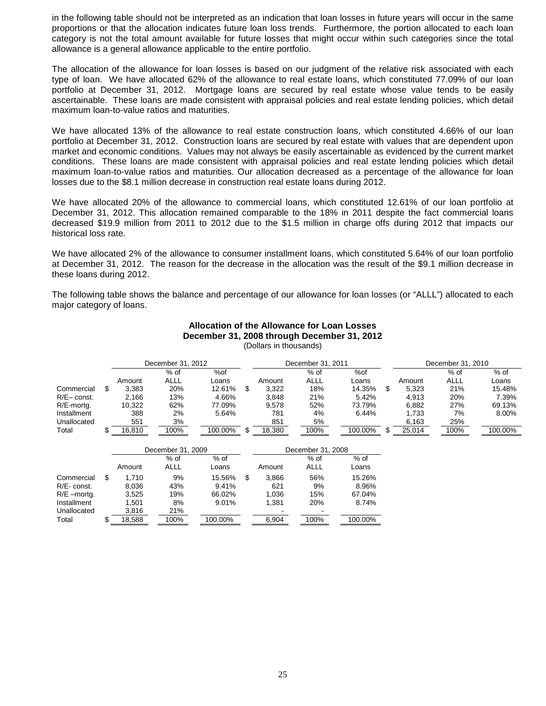in the following table should not be interpreted as an indication that loan losses in future years will occur in the same proportions or that the allocation indicates future loan loss trends. Furthermore, the portion allocated to each loan category is not the total amount available for future losses that might occur within such categories since the total allowance is a general allowance applicable to the entire portfolio.

The allocation of the allowance for loan losses is based on our judgment of the relative risk associated with each type of loan. We have allocated 62% of the allowance to real estate loans, which constituted 77.09% of our loan portfolio at December 31, 2012. Mortgage loans are secured by real estate whose value tends to be easily ascertainable. These loans are made consistent with appraisal policies and real estate lending policies, which detail maximum loan-to-value ratios and maturities.

We have allocated 13% of the allowance to real estate construction loans, which constituted 4.66% of our loan portfolio at December 31, 2012. Construction loans are secured by real estate with values that are dependent upon market and economic conditions. Values may not always be easily ascertainable as evidenced by the current market conditions. These loans are made consistent with appraisal policies and real estate lending policies which detail maximum loan-to-value ratios and maturities. Our allocation decreased as a percentage of the allowance for loan losses due to the \$8.1 million decrease in construction real estate loans during 2012.

We have allocated 20% of the allowance to commercial loans, which constituted 12.61% of our loan portfolio at December 31, 2012. This allocation remained comparable to the 18% in 2011 despite the fact commercial loans decreased \$19.9 million from 2011 to 2012 due to the \$1.5 million in charge offs during 2012 that impacts our historical loss rate.

We have allocated 2% of the allowance to consumer installment loans, which constituted 5.64% of our loan portfolio at December 31, 2012. The reason for the decrease in the allocation was the result of the \$9.1 million decrease in these loans during 2012.

The following table shows the balance and percentage of our allowance for loan losses (or "ALLL") allocated to each major category of loans.

|              |   |        |                   |         | (Dollars in thousands) |                   |         |                   |        |        |         |
|--------------|---|--------|-------------------|---------|------------------------|-------------------|---------|-------------------|--------|--------|---------|
|              |   |        | December 31, 2012 |         |                        | December 31, 2011 |         | December 31, 2010 |        |        |         |
|              |   |        | $%$ of            | %of     |                        | $%$ of            | %of     |                   |        | $%$ of | $%$ of  |
|              |   | Amount | ALLL              | Loans   | Amount                 | ALLL              | Loans   |                   | Amount | ALLL   | Loans   |
| Commercial   | S | 3.383  | 20%               | 12.61%  | 3.322                  | 18%               | 14.35%  | S                 | 5.323  | 21%    | 15.48%  |
| $R/E-const.$ |   | 2,166  | 13%               | 4.66%   | 3.848                  | 21%               | 5.42%   |                   | 4.913  | 20%    | 7.39%   |
| R/E-mortg.   |   | 10.322 | 62%               | 77.09%  | 9.578                  | 52%               | 73.79%  |                   | 6.882  | 27%    | 69.13%  |
| Installment  |   | 388    | 2%                | 5.64%   | 781                    | 4%                | 6.44%   |                   | 1.733  | 7%     | 8.00%   |
| Unallocated  |   | 551    | 3%                |         | 851                    | 5%                |         |                   | 6,163  | 25%    |         |
| Total        | S | 16,810 | 100%              | 100.00% | 18,380                 | 100%              | 100.00% |                   | 25,014 | 100%   | 100.00% |

| Allocation of the Allowance for Loan Losses |  |
|---------------------------------------------|--|
| December 31, 2008 through December 31, 2012 |  |
| (Dollare in thousands)                      |  |

|                |   |        | December 31, 2009 |         |             | December 31, 2008 |         |
|----------------|---|--------|-------------------|---------|-------------|-------------------|---------|
|                |   |        | % of              | $%$ of  |             | $%$ of            | $%$ of  |
|                |   | Amount | ALLL              | Loans   | Amount      | ALLL              | Loans   |
| Commercial     | S | 1.710  | 9%                | 15.56%  | \$<br>3.866 | 56%               | 15.26%  |
| $R/E$ - const. |   | 8.036  | 43%               | 9.41%   | 621         | 9%                | 8.96%   |
| $R/E$ -mortg.  |   | 3.525  | 19%               | 66.02%  | 1.036       | 15%               | 67.04%  |
| Installment    |   | 1.501  | 8%                | 9.01%   | 1,381       | 20%               | 8.74%   |
| Unallocated    |   | 3,816  | 21%               |         |             |                   |         |
| Total          | S | 18.588 | 100%              | 100.00% | 6.904       | 100%              | 100.00% |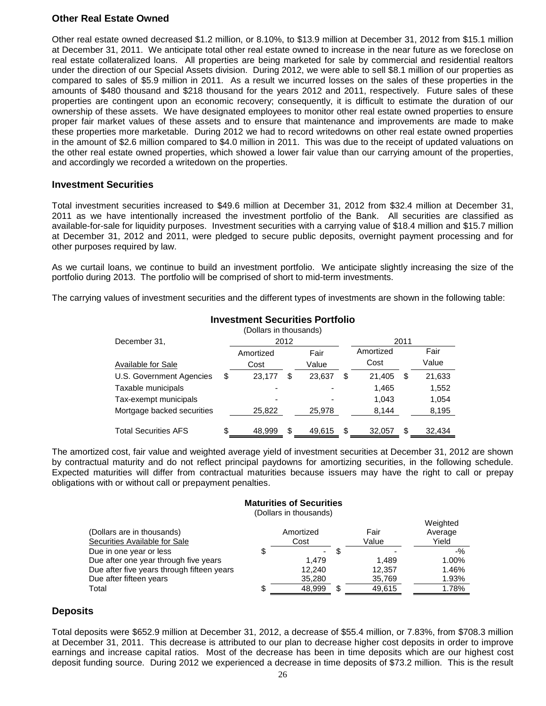#### **Other Real Estate Owned**

Other real estate owned decreased \$1.2 million, or 8.10%, to \$13.9 million at December 31, 2012 from \$15.1 million at December 31, 2011. We anticipate total other real estate owned to increase in the near future as we foreclose on real estate collateralized loans. All properties are being marketed for sale by commercial and residential realtors under the direction of our Special Assets division. During 2012, we were able to sell \$8.1 million of our properties as compared to sales of \$5.9 million in 2011. As a result we incurred losses on the sales of these properties in the amounts of \$480 thousand and \$218 thousand for the years 2012 and 2011, respectively. Future sales of these properties are contingent upon an economic recovery; consequently, it is difficult to estimate the duration of our ownership of these assets. We have designated employees to monitor other real estate owned properties to ensure proper fair market values of these assets and to ensure that maintenance and improvements are made to make these properties more marketable. During 2012 we had to record writedowns on other real estate owned properties in the amount of \$2.6 million compared to \$4.0 million in 2011. This was due to the receipt of updated valuations on the other real estate owned properties, which showed a lower fair value than our carrying amount of the properties, and accordingly we recorded a writedown on the properties.

#### **Investment Securities**

Total investment securities increased to \$49.6 million at December 31, 2012 from \$32.4 million at December 31, 2011 as we have intentionally increased the investment portfolio of the Bank. All securities are classified as available-for-sale for liquidity purposes. Investment securities with a carrying value of \$18.4 million and \$15.7 million at December 31, 2012 and 2011, were pledged to secure public deposits, overnight payment processing and for other purposes required by law.

As we curtail loans, we continue to build an investment portfolio. We anticipate slightly increasing the size of the portfolio during 2013. The portfolio will be comprised of short to mid-term investments.

The carrying values of investment securities and the different types of investments are shown in the following table:

|                             |    | (Dollars in thousands) |    |        |    |           |      |        |
|-----------------------------|----|------------------------|----|--------|----|-----------|------|--------|
| December 31,                |    |                        |    |        |    |           | 2011 |        |
|                             |    | Amortized              |    | Fair   |    | Amortized |      | Fair   |
| Available for Sale          |    | Cost                   |    | Value  |    | Cost      |      | Value  |
| U.S. Government Agencies    | \$ | 23.177                 | \$ | 23.637 | \$ | 21,405    | \$   | 21,633 |
| Taxable municipals          |    | -                      |    |        |    | 1,465     |      | 1,552  |
| Tax-exempt municipals       |    | -                      |    |        |    | 1,043     |      | 1,054  |
| Mortgage backed securities  |    | 25,822                 |    | 25,978 |    | 8,144     |      | 8,195  |
| <b>Total Securities AFS</b> | \$ | 48.999                 | S  | 49.615 | \$ | 32.057    | S    | 32.434 |

# **Investment Securities Portfolio**

The amortized cost, fair value and weighted average yield of investment securities at December 31, 2012 are shown by contractual maturity and do not reflect principal paydowns for amortizing securities, in the following schedule. Expected maturities will differ from contractual maturities because issuers may have the right to call or prepay obligations with or without call or prepayment penalties.

# **Maturities of Securities**

Weighted

(Dollars in thousands)

| (Dollars are in thousands)<br>Securities Available for Sale |   | Amortized<br>Cost        | Fair<br>Value | vveigned<br>Average<br>Yield |
|-------------------------------------------------------------|---|--------------------------|---------------|------------------------------|
| Due in one year or less                                     |   | $\overline{\phantom{a}}$ |               | $-$ %                        |
| Due after one year through five years                       |   | 1.479                    | 1.489         | 1.00%                        |
| Due after five years through fifteen years                  |   | 12.240                   | 12.357        | 1.46%                        |
| Due after fifteen years                                     |   | 35,280                   | 35,769        | 1.93%                        |
| Total                                                       | S | 48.999                   | 49,615        | 1.78%                        |

#### **Deposits**

Total deposits were \$652.9 million at December 31, 2012, a decrease of \$55.4 million, or 7.83%, from \$708.3 million at December 31, 2011. This decrease is attributed to our plan to decrease higher cost deposits in order to improve earnings and increase capital ratios. Most of the decrease has been in time deposits which are our highest cost deposit funding source. During 2012 we experienced a decrease in time deposits of \$73.2 million. This is the result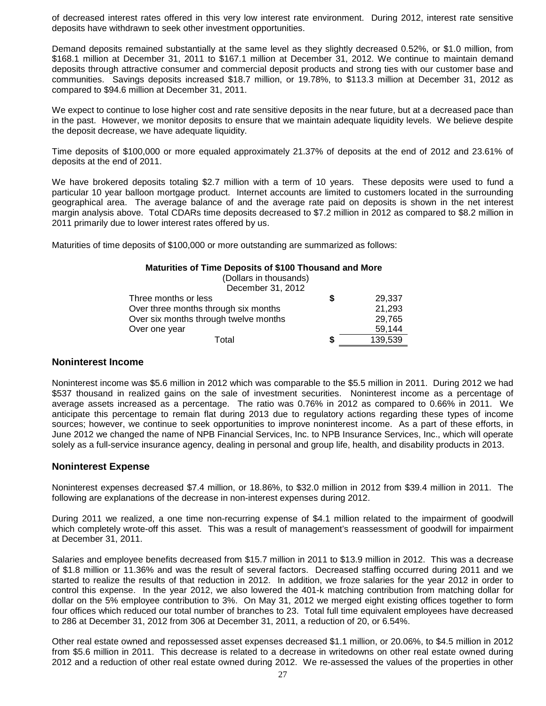of decreased interest rates offered in this very low interest rate environment. During 2012, interest rate sensitive deposits have withdrawn to seek other investment opportunities.

Demand deposits remained substantially at the same level as they slightly decreased 0.52%, or \$1.0 million, from \$168.1 million at December 31, 2011 to \$167.1 million at December 31, 2012. We continue to maintain demand deposits through attractive consumer and commercial deposit products and strong ties with our customer base and communities. Savings deposits increased \$18.7 million, or 19.78%, to \$113.3 million at December 31, 2012 as compared to \$94.6 million at December 31, 2011.

We expect to continue to lose higher cost and rate sensitive deposits in the near future, but at a decreased pace than in the past. However, we monitor deposits to ensure that we maintain adequate liquidity levels. We believe despite the deposit decrease, we have adequate liquidity.

Time deposits of \$100,000 or more equaled approximately 21.37% of deposits at the end of 2012 and 23.61% of deposits at the end of 2011.

We have brokered deposits totaling \$2.7 million with a term of 10 years. These deposits were used to fund a particular 10 year balloon mortgage product. Internet accounts are limited to customers located in the surrounding geographical area. The average balance of and the average rate paid on deposits is shown in the net interest margin analysis above. Total CDARs time deposits decreased to \$7.2 million in 2012 as compared to \$8.2 million in 2011 primarily due to lower interest rates offered by us.

Maturities of time deposits of \$100,000 or more outstanding are summarized as follows:

#### **Maturities of Time Deposits of \$100 Thousand and More**

| (Dollars in thousands)                |    |         |
|---------------------------------------|----|---------|
| December 31, 2012                     |    |         |
| Three months or less                  | \$ | 29,337  |
| Over three months through six months  |    | 21,293  |
| Over six months through twelve months |    | 29,765  |
| Over one year                         |    | 59,144  |
| Total                                 | S  | 139,539 |

#### **Noninterest Income**

Noninterest income was \$5.6 million in 2012 which was comparable to the \$5.5 million in 2011. During 2012 we had \$537 thousand in realized gains on the sale of investment securities. Noninterest income as a percentage of average assets increased as a percentage. The ratio was 0.76% in 2012 as compared to 0.66% in 2011. We anticipate this percentage to remain flat during 2013 due to regulatory actions regarding these types of income sources; however, we continue to seek opportunities to improve noninterest income. As a part of these efforts, in June 2012 we changed the name of NPB Financial Services, Inc. to NPB Insurance Services, Inc., which will operate solely as a full-service insurance agency, dealing in personal and group life, health, and disability products in 2013.

#### **Noninterest Expense**

Noninterest expenses decreased \$7.4 million, or 18.86%, to \$32.0 million in 2012 from \$39.4 million in 2011. The following are explanations of the decrease in non-interest expenses during 2012.

During 2011 we realized, a one time non-recurring expense of \$4.1 million related to the impairment of goodwill which completely wrote-off this asset. This was a result of management's reassessment of goodwill for impairment at December 31, 2011.

Salaries and employee benefits decreased from \$15.7 million in 2011 to \$13.9 million in 2012. This was a decrease of \$1.8 million or 11.36% and was the result of several factors. Decreased staffing occurred during 2011 and we started to realize the results of that reduction in 2012. In addition, we froze salaries for the year 2012 in order to control this expense. In the year 2012, we also lowered the 401-k matching contribution from matching dollar for dollar on the 5% employee contribution to 3%. On May 31, 2012 we merged eight existing offices together to form four offices which reduced our total number of branches to 23. Total full time equivalent employees have decreased to 286 at December 31, 2012 from 306 at December 31, 2011, a reduction of 20, or 6.54%.

Other real estate owned and repossessed asset expenses decreased \$1.1 million, or 20.06%, to \$4.5 million in 2012 from \$5.6 million in 2011. This decrease is related to a decrease in writedowns on other real estate owned during 2012 and a reduction of other real estate owned during 2012. We re-assessed the values of the properties in other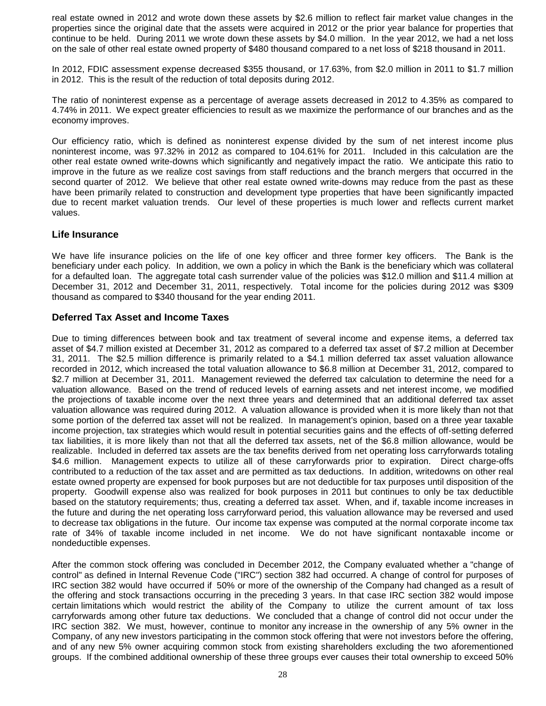real estate owned in 2012 and wrote down these assets by \$2.6 million to reflect fair market value changes in the properties since the original date that the assets were acquired in 2012 or the prior year balance for properties that continue to be held. During 2011 we wrote down these assets by \$4.0 million. In the year 2012, we had a net loss on the sale of other real estate owned property of \$480 thousand compared to a net loss of \$218 thousand in 2011.

In 2012, FDIC assessment expense decreased \$355 thousand, or 17.63%, from \$2.0 million in 2011 to \$1.7 million in 2012. This is the result of the reduction of total deposits during 2012.

The ratio of noninterest expense as a percentage of average assets decreased in 2012 to 4.35% as compared to 4.74% in 2011. We expect greater efficiencies to result as we maximize the performance of our branches and as the economy improves.

Our efficiency ratio, which is defined as noninterest expense divided by the sum of net interest income plus noninterest income, was 97.32% in 2012 as compared to 104.61% for 2011. Included in this calculation are the other real estate owned write-downs which significantly and negatively impact the ratio. We anticipate this ratio to improve in the future as we realize cost savings from staff reductions and the branch mergers that occurred in the second quarter of 2012. We believe that other real estate owned write-downs may reduce from the past as these have been primarily related to construction and development type properties that have been significantly impacted due to recent market valuation trends. Our level of these properties is much lower and reflects current market values.

## **Life Insurance**

We have life insurance policies on the life of one key officer and three former key officers. The Bank is the beneficiary under each policy. In addition, we own a policy in which the Bank is the beneficiary which was collateral for a defaulted loan. The aggregate total cash surrender value of the policies was \$12.0 million and \$11.4 million at December 31, 2012 and December 31, 2011, respectively. Total income for the policies during 2012 was \$309 thousand as compared to \$340 thousand for the year ending 2011.

#### **Deferred Tax Asset and Income Taxes**

Due to timing differences between book and tax treatment of several income and expense items, a deferred tax asset of \$4.7 million existed at December 31, 2012 as compared to a deferred tax asset of \$7.2 million at December 31, 2011. The \$2.5 million difference is primarily related to a \$4.1 million deferred tax asset valuation allowance recorded in 2012, which increased the total valuation allowance to \$6.8 million at December 31, 2012, compared to \$2.7 million at December 31, 2011. Management reviewed the deferred tax calculation to determine the need for a valuation allowance. Based on the trend of reduced levels of earning assets and net interest income, we modified the projections of taxable income over the next three years and determined that an additional deferred tax asset valuation allowance was required during 2012. A valuation allowance is provided when it is more likely than not that some portion of the deferred tax asset will not be realized. In management's opinion, based on a three year taxable income projection, tax strategies which would result in potential securities gains and the effects of off-setting deferred tax liabilities, it is more likely than not that all the deferred tax assets, net of the \$6.8 million allowance, would be realizable. Included in deferred tax assets are the tax benefits derived from net operating loss carryforwards totaling \$4.6 million. Management expects to utilize all of these carryforwards prior to expiration. Direct charge-offs contributed to a reduction of the tax asset and are permitted as tax deductions. In addition, writedowns on other real estate owned property are expensed for book purposes but are not deductible for tax purposes until disposition of the property. Goodwill expense also was realized for book purposes in 2011 but continues to only be tax deductible based on the statutory requirements; thus, creating a deferred tax asset. When, and if, taxable income increases in the future and during the net operating loss carryforward period, this valuation allowance may be reversed and used to decrease tax obligations in the future. Our income tax expense was computed at the normal corporate income tax rate of 34% of taxable income included in net income. We do not have significant nontaxable income or nondeductible expenses.

After the common stock offering was concluded in December 2012, the Company evaluated whether a "change of control" as defined in Internal Revenue Code ("IRC") section 382 had occurred. A change of control for purposes of IRC section 382 would have occurred if 50% or more of the ownership of the Company had changed as a result of the offering and stock transactions occurring in the preceding 3 years. In that case IRC section 382 would impose certain limitations which would restrict the ability of the Company to utilize the current amount of tax loss carryforwards among other future tax deductions. We concluded that a change of control did not occur under the IRC section 382. We must, however, continue to monitor any increase in the ownership of any 5% owner in the Company, of any new investors participating in the common stock offering that were not investors before the offering, and of any new 5% owner acquiring common stock from existing shareholders excluding the two aforementioned groups. If the combined additional ownership of these three groups ever causes their total ownership to exceed 50%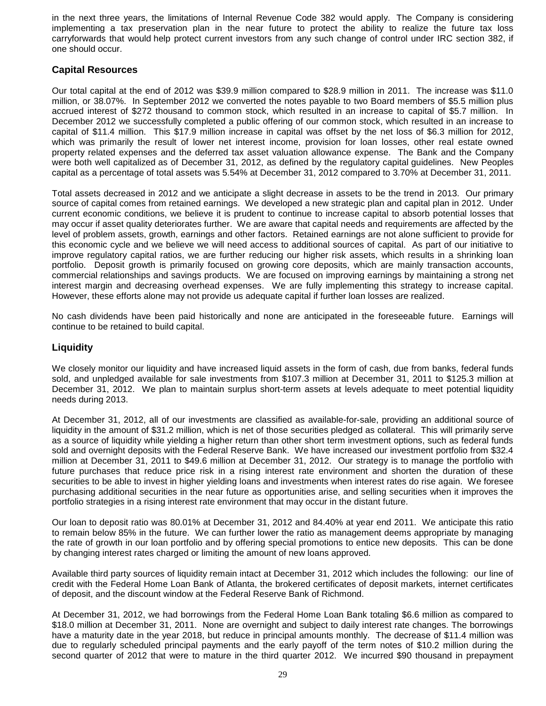in the next three years, the limitations of Internal Revenue Code 382 would apply. The Company is considering implementing a tax preservation plan in the near future to protect the ability to realize the future tax loss carryforwards that would help protect current investors from any such change of control under IRC section 382, if one should occur.

## **Capital Resources**

Our total capital at the end of 2012 was \$39.9 million compared to \$28.9 million in 2011. The increase was \$11.0 million, or 38.07%. In September 2012 we converted the notes payable to two Board members of \$5.5 million plus accrued interest of \$272 thousand to common stock, which resulted in an increase to capital of \$5.7 million. In December 2012 we successfully completed a public offering of our common stock, which resulted in an increase to capital of \$11.4 million. This \$17.9 million increase in capital was offset by the net loss of \$6.3 million for 2012, which was primarily the result of lower net interest income, provision for loan losses, other real estate owned property related expenses and the deferred tax asset valuation allowance expense. The Bank and the Company were both well capitalized as of December 31, 2012, as defined by the regulatory capital guidelines. New Peoples capital as a percentage of total assets was 5.54% at December 31, 2012 compared to 3.70% at December 31, 2011.

Total assets decreased in 2012 and we anticipate a slight decrease in assets to be the trend in 2013. Our primary source of capital comes from retained earnings. We developed a new strategic plan and capital plan in 2012. Under current economic conditions, we believe it is prudent to continue to increase capital to absorb potential losses that may occur if asset quality deteriorates further. We are aware that capital needs and requirements are affected by the level of problem assets, growth, earnings and other factors. Retained earnings are not alone sufficient to provide for this economic cycle and we believe we will need access to additional sources of capital. As part of our initiative to improve regulatory capital ratios, we are further reducing our higher risk assets, which results in a shrinking loan portfolio. Deposit growth is primarily focused on growing core deposits, which are mainly transaction accounts, commercial relationships and savings products. We are focused on improving earnings by maintaining a strong net interest margin and decreasing overhead expenses. We are fully implementing this strategy to increase capital. However, these efforts alone may not provide us adequate capital if further loan losses are realized.

No cash dividends have been paid historically and none are anticipated in the foreseeable future. Earnings will continue to be retained to build capital.

## **Liquidity**

We closely monitor our liquidity and have increased liquid assets in the form of cash, due from banks, federal funds sold, and unpledged available for sale investments from \$107.3 million at December 31, 2011 to \$125.3 million at December 31, 2012. We plan to maintain surplus short-term assets at levels adequate to meet potential liquidity needs during 2013.

At December 31, 2012, all of our investments are classified as available-for-sale, providing an additional source of liquidity in the amount of \$31.2 million, which is net of those securities pledged as collateral. This will primarily serve as a source of liquidity while yielding a higher return than other short term investment options, such as federal funds sold and overnight deposits with the Federal Reserve Bank. We have increased our investment portfolio from \$32.4 million at December 31, 2011 to \$49.6 million at December 31, 2012. Our strategy is to manage the portfolio with future purchases that reduce price risk in a rising interest rate environment and shorten the duration of these securities to be able to invest in higher yielding loans and investments when interest rates do rise again. We foresee purchasing additional securities in the near future as opportunities arise, and selling securities when it improves the portfolio strategies in a rising interest rate environment that may occur in the distant future.

Our loan to deposit ratio was 80.01% at December 31, 2012 and 84.40% at year end 2011. We anticipate this ratio to remain below 85% in the future. We can further lower the ratio as management deems appropriate by managing the rate of growth in our loan portfolio and by offering special promotions to entice new deposits. This can be done by changing interest rates charged or limiting the amount of new loans approved.

Available third party sources of liquidity remain intact at December 31, 2012 which includes the following: our line of credit with the Federal Home Loan Bank of Atlanta, the brokered certificates of deposit markets, internet certificates of deposit, and the discount window at the Federal Reserve Bank of Richmond.

At December 31, 2012, we had borrowings from the Federal Home Loan Bank totaling \$6.6 million as compared to \$18.0 million at December 31, 2011. None are overnight and subject to daily interest rate changes. The borrowings have a maturity date in the year 2018, but reduce in principal amounts monthly. The decrease of \$11.4 million was due to regularly scheduled principal payments and the early payoff of the term notes of \$10.2 million during the second quarter of 2012 that were to mature in the third quarter 2012. We incurred \$90 thousand in prepayment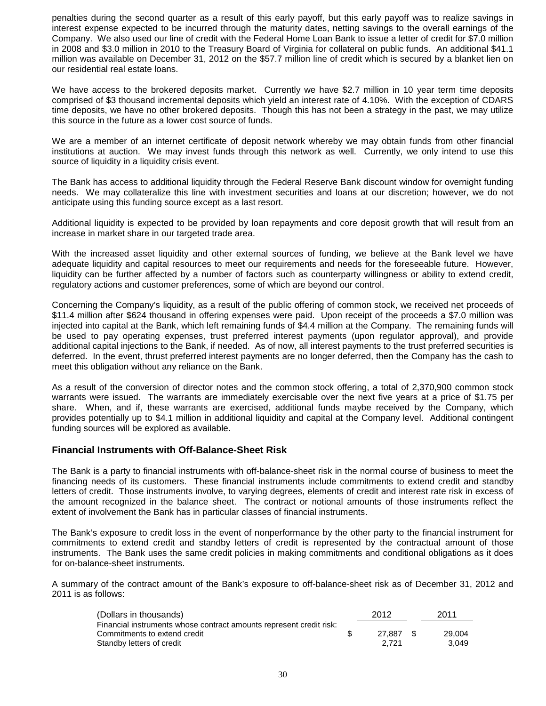penalties during the second quarter as a result of this early payoff, but this early payoff was to realize savings in interest expense expected to be incurred through the maturity dates, netting savings to the overall earnings of the Company. We also used our line of credit with the Federal Home Loan Bank to issue a letter of credit for \$7.0 million in 2008 and \$3.0 million in 2010 to the Treasury Board of Virginia for collateral on public funds. An additional \$41.1 million was available on December 31, 2012 on the \$57.7 million line of credit which is secured by a blanket lien on our residential real estate loans.

We have access to the brokered deposits market. Currently we have \$2.7 million in 10 year term time deposits comprised of \$3 thousand incremental deposits which yield an interest rate of 4.10%. With the exception of CDARS time deposits, we have no other brokered deposits. Though this has not been a strategy in the past, we may utilize this source in the future as a lower cost source of funds.

We are a member of an internet certificate of deposit network whereby we may obtain funds from other financial institutions at auction. We may invest funds through this network as well. Currently, we only intend to use this source of liquidity in a liquidity crisis event.

The Bank has access to additional liquidity through the Federal Reserve Bank discount window for overnight funding needs. We may collateralize this line with investment securities and loans at our discretion; however, we do not anticipate using this funding source except as a last resort.

Additional liquidity is expected to be provided by loan repayments and core deposit growth that will result from an increase in market share in our targeted trade area.

With the increased asset liquidity and other external sources of funding, we believe at the Bank level we have adequate liquidity and capital resources to meet our requirements and needs for the foreseeable future. However, liquidity can be further affected by a number of factors such as counterparty willingness or ability to extend credit, regulatory actions and customer preferences, some of which are beyond our control.

Concerning the Company's liquidity, as a result of the public offering of common stock, we received net proceeds of \$11.4 million after \$624 thousand in offering expenses were paid. Upon receipt of the proceeds a \$7.0 million was injected into capital at the Bank, which left remaining funds of \$4.4 million at the Company. The remaining funds will be used to pay operating expenses, trust preferred interest payments (upon regulator approval), and provide additional capital injections to the Bank, if needed. As of now, all interest payments to the trust preferred securities is deferred. In the event, thrust preferred interest payments are no longer deferred, then the Company has the cash to meet this obligation without any reliance on the Bank.

As a result of the conversion of director notes and the common stock offering, a total of 2,370,900 common stock warrants were issued. The warrants are immediately exercisable over the next five years at a price of \$1.75 per share. When, and if, these warrants are exercised, additional funds maybe received by the Company, which provides potentially up to \$4.1 million in additional liquidity and capital at the Company level. Additional contingent funding sources will be explored as available.

#### **Financial Instruments with Off-Balance-Sheet Risk**

The Bank is a party to financial instruments with off-balance-sheet risk in the normal course of business to meet the financing needs of its customers. These financial instruments include commitments to extend credit and standby letters of credit. Those instruments involve, to varying degrees, elements of credit and interest rate risk in excess of the amount recognized in the balance sheet. The contract or notional amounts of those instruments reflect the extent of involvement the Bank has in particular classes of financial instruments.

The Bank's exposure to credit loss in the event of nonperformance by the other party to the financial instrument for commitments to extend credit and standby letters of credit is represented by the contractual amount of those instruments. The Bank uses the same credit policies in making commitments and conditional obligations as it does for on-balance-sheet instruments.

A summary of the contract amount of the Bank's exposure to off-balance-sheet risk as of December 31, 2012 and 2011 is as follows:

| (Dollars in thousands)                                              | 2012      | 2011   |
|---------------------------------------------------------------------|-----------|--------|
| Financial instruments whose contract amounts represent credit risk: |           |        |
| Commitments to extend credit                                        | 27.887 \$ | 29,004 |
| Standby letters of credit                                           | 2.721     | 3.049  |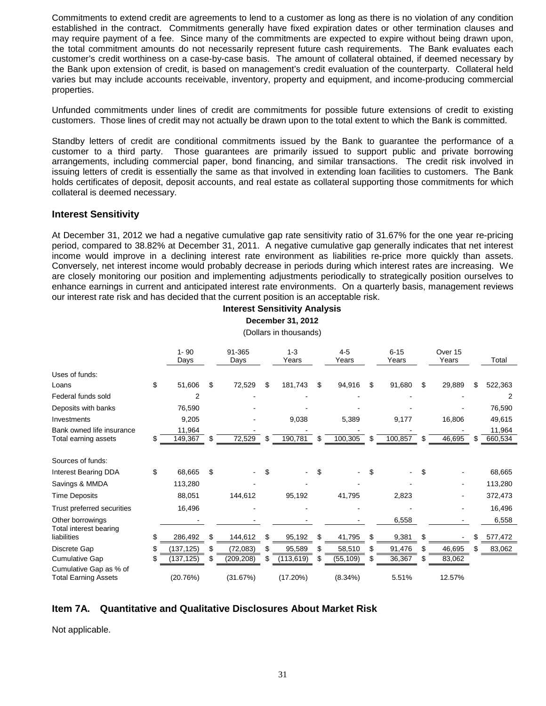Commitments to extend credit are agreements to lend to a customer as long as there is no violation of any condition established in the contract. Commitments generally have fixed expiration dates or other termination clauses and may require payment of a fee. Since many of the commitments are expected to expire without being drawn upon, the total commitment amounts do not necessarily represent future cash requirements. The Bank evaluates each customer's credit worthiness on a case-by-case basis. The amount of collateral obtained, if deemed necessary by the Bank upon extension of credit, is based on management's credit evaluation of the counterparty. Collateral held varies but may include accounts receivable, inventory, property and equipment, and income-producing commercial properties.

Unfunded commitments under lines of credit are commitments for possible future extensions of credit to existing customers. Those lines of credit may not actually be drawn upon to the total extent to which the Bank is committed.

Standby letters of credit are conditional commitments issued by the Bank to guarantee the performance of a customer to a third party. Those guarantees are primarily issued to support public and private borrowing arrangements, including commercial paper, bond financing, and similar transactions. The credit risk involved in issuing letters of credit is essentially the same as that involved in extending loan facilities to customers. The Bank holds certificates of deposit, deposit accounts, and real estate as collateral supporting those commitments for which collateral is deemed necessary.

#### **Interest Sensitivity**

At December 31, 2012 we had a negative cumulative gap rate sensitivity ratio of 31.67% for the one year re-pricing period, compared to 38.82% at December 31, 2011. A negative cumulative gap generally indicates that net interest income would improve in a declining interest rate environment as liabilities re-price more quickly than assets. Conversely, net interest income would probably decrease in periods during which interest rates are increasing. We are closely monitoring our position and implementing adjustments periodically to strategically position ourselves to enhance earnings in current and anticipated interest rate environments. On a quarterly basis, management reviews our interest rate risk and has decided that the current position is an acceptable risk.

## **Interest Sensitivity Analysis December 31, 2012**

(Dollars in thousands)

|                                                       |    | $1 - 90$<br>Days |    | 91-365<br>Days |    | $1 - 3$<br>Years |     | $4 - 5$<br>Years |    | $6 - 15$<br>Years |    | Over 15<br>Years |   | Total   |
|-------------------------------------------------------|----|------------------|----|----------------|----|------------------|-----|------------------|----|-------------------|----|------------------|---|---------|
| Uses of funds:                                        |    |                  |    |                |    |                  |     |                  |    |                   |    |                  |   |         |
| Loans                                                 | \$ | 51,606           | \$ | 72,529         | \$ | 181,743          | \$  | 94,916           | S  | 91,680            | \$ | 29,889           | S | 522,363 |
| Federal funds sold                                    |    | 2                |    |                |    |                  |     |                  |    |                   |    |                  |   | 2       |
| Deposits with banks                                   |    | 76,590           |    |                |    |                  |     |                  |    |                   |    |                  |   | 76,590  |
| Investments                                           |    | 9,205            |    |                |    | 9,038            |     | 5,389            |    | 9,177             |    | 16,806           |   | 49,615  |
| Bank owned life insurance                             |    | 11,964           |    |                |    |                  |     |                  |    |                   |    |                  |   | 11,964  |
| Total earning assets                                  | \$ | 149,367          | S  | 72,529         | \$ | 190,781          | SS. | 100,305          | S  | 100,857           | S  | 46,695           | S | 660,534 |
| Sources of funds:                                     |    |                  |    |                |    |                  |     |                  |    |                   |    |                  |   |         |
| <b>Interest Bearing DDA</b>                           | \$ | 68,665           | \$ |                | \$ |                  | \$  |                  | \$ |                   | \$ |                  |   | 68,665  |
| Savings & MMDA                                        |    | 113,280          |    |                |    |                  |     |                  |    |                   |    |                  |   | 113,280 |
| <b>Time Deposits</b>                                  |    | 88,051           |    | 144,612        |    | 95,192           |     | 41,795           |    | 2,823             |    |                  |   | 372,473 |
| Trust preferred securities                            |    | 16,496           |    |                |    |                  |     |                  |    |                   |    |                  |   | 16,496  |
| Other borrowings                                      |    |                  |    |                |    |                  |     |                  |    | 6,558             |    |                  |   | 6,558   |
| Total interest bearing<br>liabilities                 | S  | 286,492          | \$ | 144,612        | \$ | 95,192           | S   | 41,795           |    | 9,381             | \$ |                  |   | 577,472 |
| Discrete Gap                                          | \$ | (137,125)        |    | (72, 083)      | \$ | 95,589           |     | 58,510           |    | 91,476            |    | 46,695           | S | 83,062  |
| <b>Cumulative Gap</b>                                 | \$ | (137, 125)       |    | (209, 208)     | S  | (113, 619)       |     | (55, 109)        |    | 36,367            |    | 83,062           |   |         |
| Cumulative Gap as % of<br><b>Total Earning Assets</b> |    | (20.76%)         |    | (31.67%)       |    | (17.20%)         |     | $(8.34\%)$       |    | 5.51%             |    | 12.57%           |   |         |

# **Item 7A. Quantitative and Qualitative Disclosures About Market Risk**

Not applicable.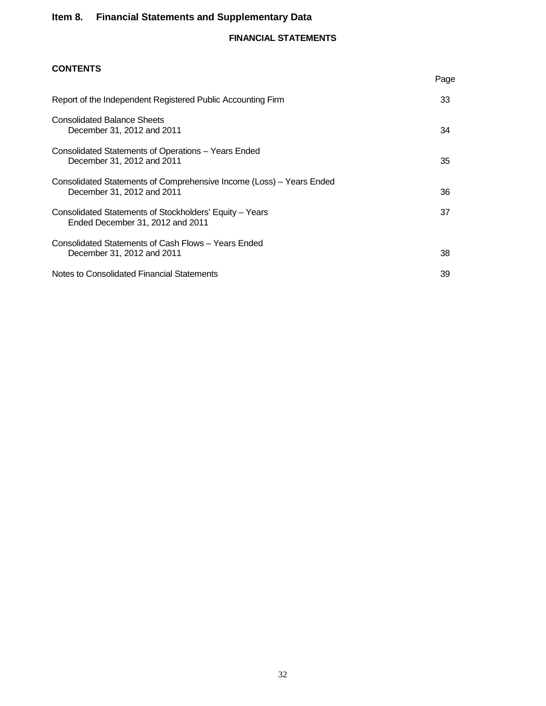# **Item 8. Financial Statements and Supplementary Data**

# **FINANCIAL STATEMENTS**

# **CONTENTS**

|                                                                                                    | Page |
|----------------------------------------------------------------------------------------------------|------|
| Report of the Independent Registered Public Accounting Firm                                        | 33   |
| <b>Consolidated Balance Sheets</b><br>December 31, 2012 and 2011                                   | 34   |
| Consolidated Statements of Operations – Years Ended<br>December 31, 2012 and 2011                  | 35   |
| Consolidated Statements of Comprehensive Income (Loss) - Years Ended<br>December 31, 2012 and 2011 | 36   |
| Consolidated Statements of Stockholders' Equity – Years<br>Ended December 31, 2012 and 2011        | 37   |
| Consolidated Statements of Cash Flows - Years Ended<br>December 31, 2012 and 2011                  | 38   |
| Notes to Consolidated Financial Statements                                                         | 39   |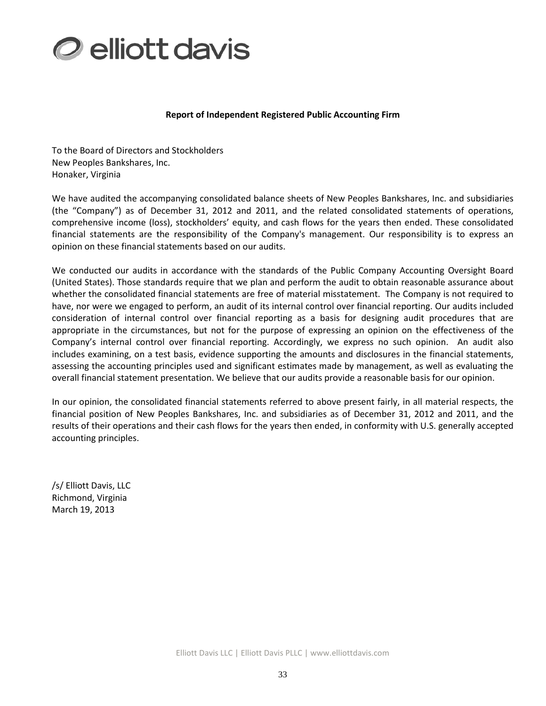

#### **Report of Independent Registered Public Accounting Firm**

To the Board of Directors and Stockholders New Peoples Bankshares, Inc. Honaker, Virginia

We have audited the accompanying consolidated balance sheets of New Peoples Bankshares, Inc. and subsidiaries (the "Company") as of December 31, 2012 and 2011, and the related consolidated statements of operations, comprehensive income (loss), stockholders' equity, and cash flows for the years then ended. These consolidated financial statements are the responsibility of the Company's management. Our responsibility is to express an opinion on these financial statements based on our audits.

We conducted our audits in accordance with the standards of the Public Company Accounting Oversight Board (United States). Those standards require that we plan and perform the audit to obtain reasonable assurance about whether the consolidated financial statements are free of material misstatement. The Company is not required to have, nor were we engaged to perform, an audit of its internal control over financial reporting. Our audits included consideration of internal control over financial reporting as a basis for designing audit procedures that are appropriate in the circumstances, but not for the purpose of expressing an opinion on the effectiveness of the Company's internal control over financial reporting. Accordingly, we express no such opinion. An audit also includes examining, on a test basis, evidence supporting the amounts and disclosures in the financial statements, assessing the accounting principles used and significant estimates made by management, as well as evaluating the overall financial statement presentation. We believe that our audits provide a reasonable basis for our opinion.

In our opinion, the consolidated financial statements referred to above present fairly, in all material respects, the financial position of New Peoples Bankshares, Inc. and subsidiaries as of December 31, 2012 and 2011, and the results of their operations and their cash flows for the years then ended, in conformity with U.S. generally accepted accounting principles.

/s/ Elliott Davis, LLC Richmond, Virginia March 19, 2013

Elliott Davis LLC | Elliott Davis PLLC | www.elliottdavis.com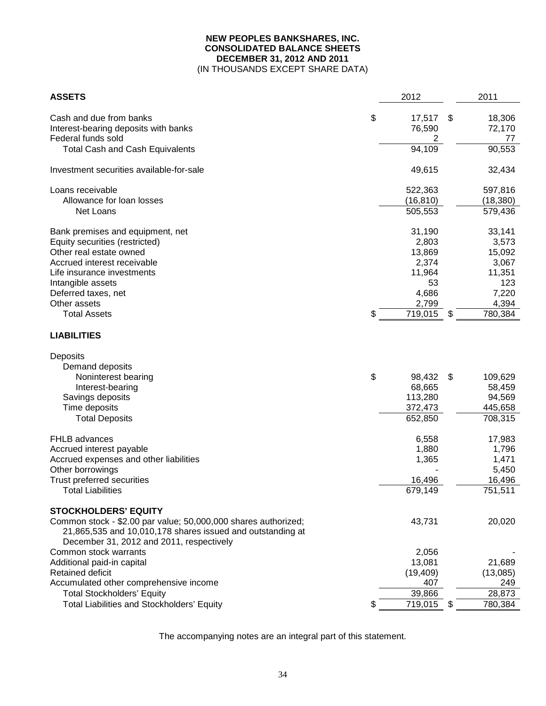#### **NEW PEOPLES BANKSHARES, INC. CONSOLIDATED BALANCE SHEETS DECEMBER 31, 2012 AND 2011** (IN THOUSANDS EXCEPT SHARE DATA)

| <b>ASSETS</b>                                                  | 2012             | 2011          |
|----------------------------------------------------------------|------------------|---------------|
| Cash and due from banks                                        | \$<br>17,517     | \$<br>18,306  |
| Interest-bearing deposits with banks                           | 76,590           | 72,170        |
| Federal funds sold                                             | 2                | 77            |
| <b>Total Cash and Cash Equivalents</b>                         | 94,109           | 90,553        |
| Investment securities available-for-sale                       | 49,615           | 32,434        |
| Loans receivable                                               | 522,363          | 597,816       |
| Allowance for loan losses                                      | (16, 810)        | (18, 380)     |
| Net Loans                                                      | 505,553          | 579,436       |
| Bank premises and equipment, net                               | 31,190           | 33,141        |
| Equity securities (restricted)                                 | 2,803            | 3,573         |
| Other real estate owned                                        | 13,869           | 15,092        |
| Accrued interest receivable                                    | 2,374            | 3,067         |
| Life insurance investments                                     | 11,964           | 11,351        |
| Intangible assets                                              | 53               | 123           |
| Deferred taxes, net                                            | 4,686            | 7,220         |
| Other assets                                                   | 2,799            | 4,394         |
| <b>Total Assets</b>                                            | \$<br>719,015    | \$<br>780,384 |
| <b>LIABILITIES</b>                                             |                  |               |
| Deposits                                                       |                  |               |
| Demand deposits                                                |                  |               |
| Noninterest bearing                                            | \$<br>98,432     | \$<br>109,629 |
| Interest-bearing                                               | 68,665           | 58,459        |
| Savings deposits                                               | 113,280          | 94,569        |
| Time deposits                                                  | 372,473          | 445,658       |
| <b>Total Deposits</b>                                          | 652,850          | 708,315       |
| <b>FHLB</b> advances                                           | 6,558            | 17,983        |
| Accrued interest payable                                       | 1,880            | 1,796         |
| Accrued expenses and other liabilities                         | 1,365            | 1,471         |
| Other borrowings                                               |                  | 5,450         |
| Trust preferred securities                                     | 16,496           | 16,496        |
| Total Liabilities                                              | 679,149          | 751,511       |
| <b>STOCKHOLDERS' EQUITY</b>                                    |                  |               |
| Common stock - \$2.00 par value; 50,000,000 shares authorized; | 43,731           | 20,020        |
| 21,865,535 and 10,010,178 shares issued and outstanding at     |                  |               |
| December 31, 2012 and 2011, respectively                       |                  |               |
| Common stock warrants                                          | 2,056            |               |
| Additional paid-in capital                                     | 13,081           | 21,689        |
| Retained deficit                                               | (19, 409)        | (13,085)      |
| Accumulated other comprehensive income                         | 407              | 249           |
| <b>Total Stockholders' Equity</b>                              | 39,866           | 28,873        |
| Total Liabilities and Stockholders' Equity                     | \$<br>719,015 \$ | 780,384       |

The accompanying notes are an integral part of this statement.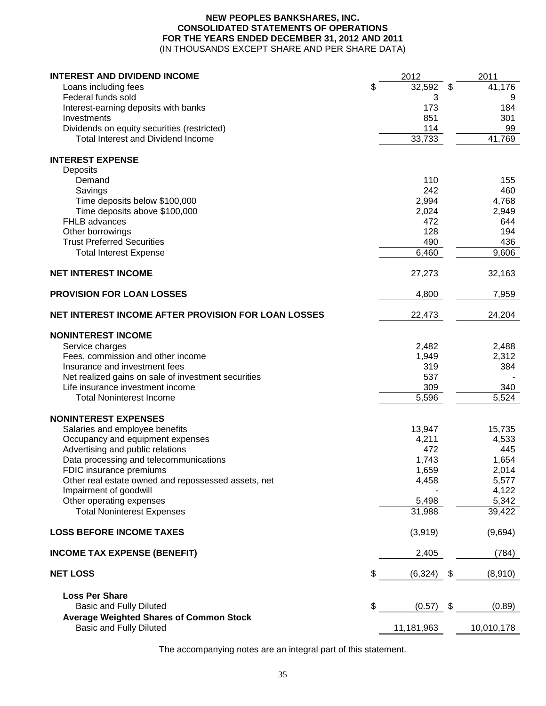#### **NEW PEOPLES BANKSHARES, INC. CONSOLIDATED STATEMENTS OF OPERATIONS FOR THE YEARS ENDED DECEMBER 31, 2012 AND 2011** (IN THOUSANDS EXCEPT SHARE AND PER SHARE DATA)

| <b>INTEREST AND DIVIDEND INCOME</b>                 | 2012               | 2011         |
|-----------------------------------------------------|--------------------|--------------|
| Loans including fees                                | \$<br>32,592       | \$<br>41,176 |
| Federal funds sold                                  | 3                  | 9            |
| Interest-earning deposits with banks                | 173                | 184          |
| Investments                                         | 851                | 301          |
| Dividends on equity securities (restricted)         | 114                | 99           |
| <b>Total Interest and Dividend Income</b>           | 33,733             | 41,769       |
| <b>INTEREST EXPENSE</b>                             |                    |              |
| Deposits                                            |                    |              |
| Demand                                              | 110                | 155          |
| Savings                                             | 242                | 460          |
| Time deposits below \$100,000                       | 2,994              | 4,768        |
| Time deposits above \$100,000                       | 2,024              | 2,949        |
| FHLB advances                                       | 472                | 644          |
| Other borrowings                                    | 128                | 194          |
| <b>Trust Preferred Securities</b>                   | 490                | 436          |
| <b>Total Interest Expense</b>                       | 6,460              | 9,606        |
| <b>NET INTEREST INCOME</b>                          | 27,273             | 32,163       |
| <b>PROVISION FOR LOAN LOSSES</b>                    | 4,800              | 7,959        |
| NET INTEREST INCOME AFTER PROVISION FOR LOAN LOSSES | 22,473             | 24,204       |
| <b>NONINTEREST INCOME</b>                           |                    |              |
| Service charges                                     | 2,482              | 2,488        |
| Fees, commission and other income                   | 1,949              | 2,312        |
| Insurance and investment fees                       | 319                | 384          |
| Net realized gains on sale of investment securities | 537                |              |
| Life insurance investment income                    | 309                | 340          |
| <b>Total Noninterest Income</b>                     | 5,596              | 5,524        |
| <b>NONINTEREST EXPENSES</b>                         |                    |              |
| Salaries and employee benefits                      | 13,947             | 15,735       |
| Occupancy and equipment expenses                    | 4,211              | 4,533        |
| Advertising and public relations                    | 472                | 445          |
| Data processing and telecommunications              | 1,743              | 1,654        |
| FDIC insurance premiums                             | 1,659              | 2,014        |
| Other real estate owned and repossessed assets, net | 4,458              | 5,577        |
| Impairment of goodwill                              |                    | 4,122        |
| Other operating expenses                            | 5,498              | 5,342        |
| <b>Total Noninterest Expenses</b>                   | 31,988             | 39,422       |
| <b>LOSS BEFORE INCOME TAXES</b>                     | (3,919)            | (9,694)      |
| <b>INCOME TAX EXPENSE (BENEFIT)</b>                 | 2,405              | (784)        |
| <b>NET LOSS</b>                                     | \$<br>$(6,324)$ \$ | (8,910)      |
| <b>Loss Per Share</b>                               |                    |              |
| <b>Basic and Fully Diluted</b>                      | \$<br>$(0.57)$ \$  | (0.89)       |
| <b>Average Weighted Shares of Common Stock</b>      |                    |              |
| <b>Basic and Fully Diluted</b>                      | 11,181,963         | 10,010,178   |

The accompanying notes are an integral part of this statement.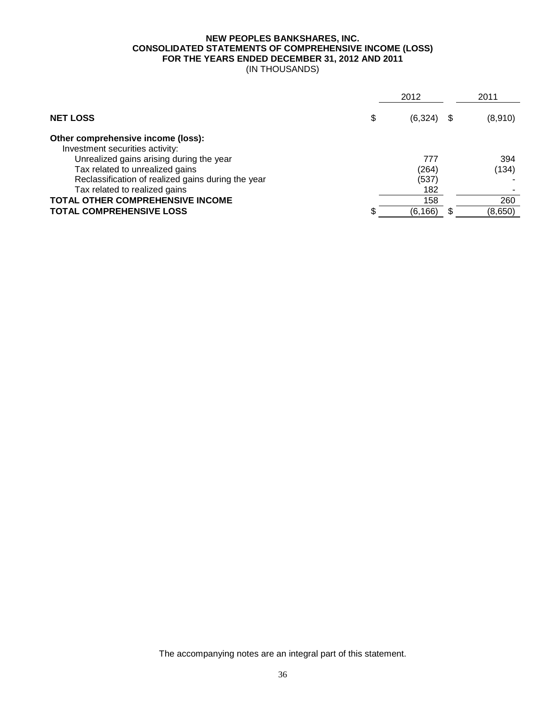# **NEW PEOPLES BANKSHARES, INC. CONSOLIDATED STATEMENTS OF COMPREHENSIVE INCOME (LOSS) FOR THE YEARS ENDED DECEMBER 31, 2012 AND 2011**

| (IN THOUSANDS) |
|----------------|
|----------------|

|                                                    |    | 2012     | 2011    |  |
|----------------------------------------------------|----|----------|---------|--|
| <b>NET LOSS</b>                                    | \$ | (6,324)  | (8,910) |  |
| Other comprehensive income (loss):                 |    |          |         |  |
| Investment securities activity:                    |    |          |         |  |
| Unrealized gains arising during the year           |    | 777      | 394     |  |
| Tax related to unrealized gains                    |    | (264)    | (134)   |  |
| Reclassification of realized gains during the year |    | (537)    |         |  |
| Tax related to realized gains                      |    | 182      |         |  |
| <b>TOTAL OTHER COMPREHENSIVE INCOME</b>            |    | 158      | 260     |  |
| <b>TOTAL COMPREHENSIVE LOSS</b>                    | ۰D | (6, 166) | (8,650) |  |

The accompanying notes are an integral part of this statement.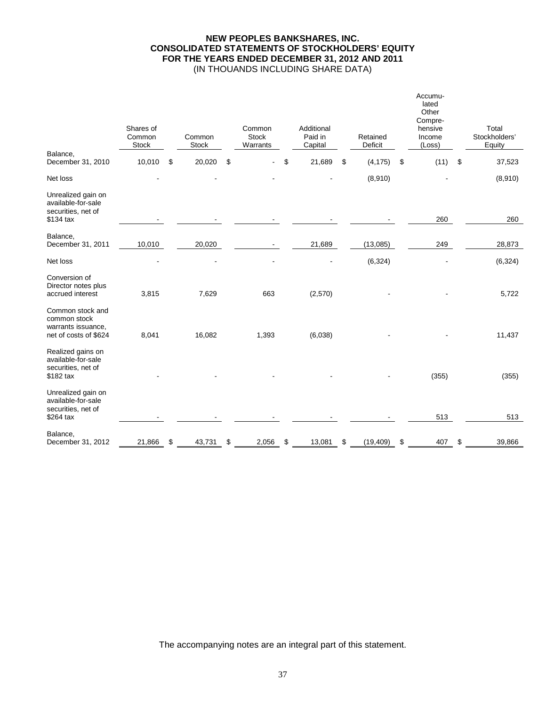#### **NEW PEOPLES BANKSHARES, INC. CONSOLIDATED STATEMENTS OF STOCKHOLDERS' EQUITY FOR THE YEARS ENDED DECEMBER 31, 2012 AND 2011** (IN THOUANDS INCLUDING SHARE DATA)

|                                                                                 | Shares of<br>Common<br><b>Stock</b> | Common<br><b>Stock</b> |    | Common<br><b>Stock</b><br>Warrants |     | Additional<br>Paid in<br>Capital | Retained<br>Deficit | Accumu-<br>lated<br>Other<br>Compre-<br>hensive<br>Income<br>(Loss) |    | Total<br>Stockholders'<br>Equity |     |
|---------------------------------------------------------------------------------|-------------------------------------|------------------------|----|------------------------------------|-----|----------------------------------|---------------------|---------------------------------------------------------------------|----|----------------------------------|-----|
| Balance,<br>December 31, 2010                                                   | 10,010                              | \$<br>20,020           | \$ |                                    | \$  | 21,689                           | \$<br>(4, 175)      | \$<br>(11)                                                          | \$ | 37,523                           |     |
| Net loss                                                                        |                                     |                        |    |                                    |     |                                  | (8,910)             |                                                                     |    | (8,910)                          |     |
| Unrealized gain on<br>available-for-sale<br>securities, net of<br>\$134 tax     |                                     |                        |    |                                    | 260 |                                  |                     |                                                                     |    |                                  | 260 |
| Balance,<br>December 31, 2011                                                   | 10,010                              | 20,020                 |    |                                    |     | 21,689                           | (13,085)            | 249                                                                 |    | 28,873                           |     |
| Net loss                                                                        |                                     |                        |    |                                    |     |                                  | (6, 324)            |                                                                     |    | (6, 324)                         |     |
| Conversion of<br>Director notes plus<br>accrued interest                        | 3,815                               | 7,629                  |    | 663                                |     | (2,570)                          |                     |                                                                     |    | 5,722                            |     |
| Common stock and<br>common stock<br>warrants issuance,<br>net of costs of \$624 | 8,041                               | 16,082                 |    | 1,393                              |     | (6,038)                          |                     |                                                                     |    | 11,437                           |     |
| Realized gains on<br>available-for-sale<br>securities, net of<br>\$182 tax      |                                     |                        |    |                                    |     |                                  |                     | (355)                                                               |    | (355)                            |     |
| Unrealized gain on<br>available-for-sale<br>securities, net of<br>\$264 tax     |                                     |                        |    |                                    |     |                                  |                     | 513                                                                 |    | 513                              |     |
| Balance,<br>December 31, 2012                                                   | 21,866                              | \$<br>43,731           | \$ | 2,056                              | \$  | 13,081                           | \$<br>(19, 409)     | \$<br>407                                                           | \$ | 39,866                           |     |

The accompanying notes are an integral part of this statement.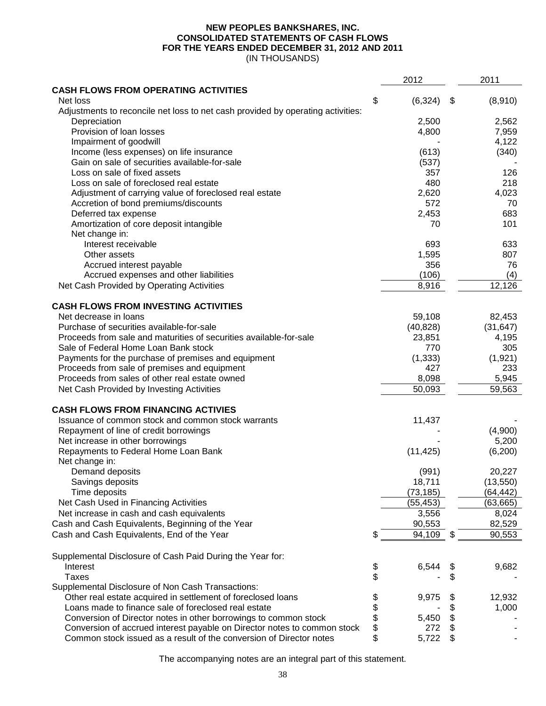## **NEW PEOPLES BANKSHARES, INC. CONSOLIDATED STATEMENTS OF CASH FLOWS FOR THE YEARS ENDED DECEMBER 31, 2012 AND 2011**

(IN THOUSANDS)

|                                                                                 |          | 2012      | 2011          |
|---------------------------------------------------------------------------------|----------|-----------|---------------|
| <b>CASH FLOWS FROM OPERATING ACTIVITIES</b>                                     |          |           |               |
| Net loss                                                                        | \$       | (6, 324)  | \$<br>(8,910) |
| Adjustments to reconcile net loss to net cash provided by operating activities: |          |           |               |
| Depreciation                                                                    |          | 2,500     | 2,562         |
| Provision of Ioan losses                                                        |          | 4,800     | 7,959         |
| Impairment of goodwill                                                          |          |           | 4,122         |
| Income (less expenses) on life insurance                                        |          | (613)     | (340)         |
| Gain on sale of securities available-for-sale                                   |          | (537)     |               |
| Loss on sale of fixed assets                                                    |          | 357       | 126           |
| Loss on sale of foreclosed real estate                                          |          | 480       | 218           |
| Adjustment of carrying value of foreclosed real estate                          |          | 2,620     | 4,023         |
| Accretion of bond premiums/discounts                                            |          | 572       | 70            |
| Deferred tax expense                                                            |          | 2,453     | 683           |
| Amortization of core deposit intangible                                         |          | 70        | 101           |
| Net change in:                                                                  |          |           |               |
| Interest receivable                                                             |          | 693       | 633           |
| Other assets                                                                    |          | 1,595     | 807           |
| Accrued interest payable                                                        |          | 356       | 76            |
| Accrued expenses and other liabilities                                          |          | (106)     | (4)           |
| Net Cash Provided by Operating Activities                                       |          | 8,916     | 12,126        |
| <b>CASH FLOWS FROM INVESTING ACTIVITIES</b>                                     |          |           |               |
| Net decrease in loans                                                           |          | 59,108    | 82,453        |
| Purchase of securities available-for-sale                                       |          | (40, 828) | (31, 647)     |
| Proceeds from sale and maturities of securities available-for-sale              |          | 23,851    | 4,195         |
| Sale of Federal Home Loan Bank stock                                            |          | 770       | 305           |
| Payments for the purchase of premises and equipment                             |          | (1, 333)  | (1, 921)      |
| Proceeds from sale of premises and equipment                                    |          | 427       | 233           |
| Proceeds from sales of other real estate owned                                  |          | 8,098     | 5,945         |
| Net Cash Provided by Investing Activities                                       |          | 50,093    | 59,563        |
|                                                                                 |          |           |               |
| <b>CASH FLOWS FROM FINANCING ACTIVIES</b>                                       |          |           |               |
| Issuance of common stock and common stock warrants                              |          | 11,437    |               |
| Repayment of line of credit borrowings                                          |          |           | (4,900)       |
| Net increase in other borrowings                                                |          |           | 5,200         |
| Repayments to Federal Home Loan Bank                                            |          | (11, 425) | (6,200)       |
| Net change in:                                                                  |          |           |               |
| Demand deposits                                                                 |          | (991)     | 20,227        |
| Savings deposits                                                                |          | 18,711    | (13, 550)     |
| Time deposits                                                                   |          | (73, 185) | (64, 442)     |
| Net Cash Used in Financing Activities                                           |          | (55, 453) | (63, 665)     |
| Net increase in cash and cash equivalents                                       |          | 3,556     | 8,024         |
| Cash and Cash Equivalents, Beginning of the Year                                |          | 90,553    | 82,529        |
| Cash and Cash Equivalents, End of the Year                                      | \$       | 94,109    | \$<br>90,553  |
|                                                                                 |          |           |               |
| Supplemental Disclosure of Cash Paid During the Year for:                       |          |           |               |
| Interest                                                                        | \$       | 6,544     | \$<br>9,682   |
| Taxes                                                                           | \$       |           | \$            |
| Supplemental Disclosure of Non Cash Transactions:                               |          |           |               |
| Other real estate acquired in settlement of foreclosed loans                    |          | 9,975     | \$<br>12,932  |
| Loans made to finance sale of foreclosed real estate                            | \$<br>\$ |           | \$<br>1,000   |
| Conversion of Director notes in other borrowings to common stock                |          | 5,450     | \$            |
| Conversion of accrued interest payable on Director notes to common stock        | \$       | 272       | \$            |
| Common stock issued as a result of the conversion of Director notes             | \$       | 5,722     | \$            |

The accompanying notes are an integral part of this statement.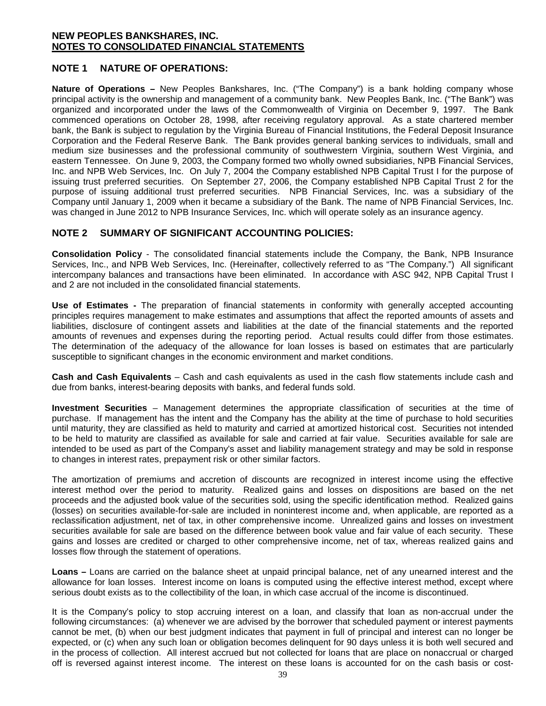#### **NEW PEOPLES BANKSHARES, INC. NOTES TO CONSOLIDATED FINANCIAL STATEMENTS**

## **NOTE 1 NATURE OF OPERATIONS:**

**Nature of Operations –** New Peoples Bankshares, Inc. ("The Company") is a bank holding company whose principal activity is the ownership and management of a community bank. New Peoples Bank, Inc. ("The Bank") was organized and incorporated under the laws of the Commonwealth of Virginia on December 9, 1997. The Bank commenced operations on October 28, 1998, after receiving regulatory approval. As a state chartered member bank, the Bank is subject to regulation by the Virginia Bureau of Financial Institutions, the Federal Deposit Insurance Corporation and the Federal Reserve Bank. The Bank provides general banking services to individuals, small and medium size businesses and the professional community of southwestern Virginia, southern West Virginia, and eastern Tennessee. On June 9, 2003, the Company formed two wholly owned subsidiaries, NPB Financial Services, Inc. and NPB Web Services, Inc. On July 7, 2004 the Company established NPB Capital Trust I for the purpose of issuing trust preferred securities. On September 27, 2006, the Company established NPB Capital Trust 2 for the purpose of issuing additional trust preferred securities. NPB Financial Services, Inc. was a subsidiary of the Company until January 1, 2009 when it became a subsidiary of the Bank. The name of NPB Financial Services, Inc. was changed in June 2012 to NPB Insurance Services, Inc. which will operate solely as an insurance agency.

## **NOTE 2 SUMMARY OF SIGNIFICANT ACCOUNTING POLICIES:**

**Consolidation Policy** - The consolidated financial statements include the Company, the Bank, NPB Insurance Services, Inc., and NPB Web Services, Inc. (Hereinafter, collectively referred to as "The Company.") All significant intercompany balances and transactions have been eliminated. In accordance with ASC 942, NPB Capital Trust I and 2 are not included in the consolidated financial statements.

**Use of Estimates -** The preparation of financial statements in conformity with generally accepted accounting principles requires management to make estimates and assumptions that affect the reported amounts of assets and liabilities, disclosure of contingent assets and liabilities at the date of the financial statements and the reported amounts of revenues and expenses during the reporting period. Actual results could differ from those estimates. The determination of the adequacy of the allowance for loan losses is based on estimates that are particularly susceptible to significant changes in the economic environment and market conditions.

**Cash and Cash Equivalents** – Cash and cash equivalents as used in the cash flow statements include cash and due from banks, interest-bearing deposits with banks, and federal funds sold.

**Investment Securities** – Management determines the appropriate classification of securities at the time of purchase. If management has the intent and the Company has the ability at the time of purchase to hold securities until maturity, they are classified as held to maturity and carried at amortized historical cost. Securities not intended to be held to maturity are classified as available for sale and carried at fair value. Securities available for sale are intended to be used as part of the Company's asset and liability management strategy and may be sold in response to changes in interest rates, prepayment risk or other similar factors.

The amortization of premiums and accretion of discounts are recognized in interest income using the effective interest method over the period to maturity. Realized gains and losses on dispositions are based on the net proceeds and the adjusted book value of the securities sold, using the specific identification method. Realized gains (losses) on securities available-for-sale are included in noninterest income and, when applicable, are reported as a reclassification adjustment, net of tax, in other comprehensive income. Unrealized gains and losses on investment securities available for sale are based on the difference between book value and fair value of each security. These gains and losses are credited or charged to other comprehensive income, net of tax, whereas realized gains and losses flow through the statement of operations.

**Loans –** Loans are carried on the balance sheet at unpaid principal balance, net of any unearned interest and the allowance for loan losses. Interest income on loans is computed using the effective interest method, except where serious doubt exists as to the collectibility of the loan, in which case accrual of the income is discontinued.

It is the Company's policy to stop accruing interest on a loan, and classify that loan as non-accrual under the following circumstances: (a) whenever we are advised by the borrower that scheduled payment or interest payments cannot be met, (b) when our best judgment indicates that payment in full of principal and interest can no longer be expected, or (c) when any such loan or obligation becomes delinquent for 90 days unless it is both well secured and in the process of collection. All interest accrued but not collected for loans that are place on nonaccrual or charged off is reversed against interest income. The interest on these loans is accounted for on the cash basis or cost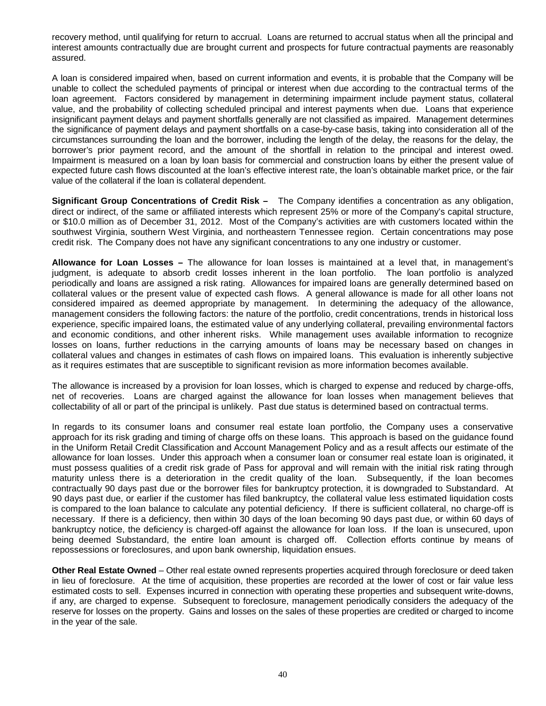recovery method, until qualifying for return to accrual. Loans are returned to accrual status when all the principal and interest amounts contractually due are brought current and prospects for future contractual payments are reasonably assured.

A loan is considered impaired when, based on current information and events, it is probable that the Company will be unable to collect the scheduled payments of principal or interest when due according to the contractual terms of the loan agreement. Factors considered by management in determining impairment include payment status, collateral value, and the probability of collecting scheduled principal and interest payments when due. Loans that experience insignificant payment delays and payment shortfalls generally are not classified as impaired. Management determines the significance of payment delays and payment shortfalls on a case-by-case basis, taking into consideration all of the circumstances surrounding the loan and the borrower, including the length of the delay, the reasons for the delay, the borrower's prior payment record, and the amount of the shortfall in relation to the principal and interest owed. Impairment is measured on a loan by loan basis for commercial and construction loans by either the present value of expected future cash flows discounted at the loan's effective interest rate, the loan's obtainable market price, or the fair value of the collateral if the loan is collateral dependent.

**Significant Group Concentrations of Credit Risk –** The Company identifies a concentration as any obligation, direct or indirect, of the same or affiliated interests which represent 25% or more of the Company's capital structure, or \$10.0 million as of December 31, 2012. Most of the Company's activities are with customers located within the southwest Virginia, southern West Virginia, and northeastern Tennessee region. Certain concentrations may pose credit risk. The Company does not have any significant concentrations to any one industry or customer.

**Allowance for Loan Losses –** The allowance for loan losses is maintained at a level that, in management's judgment, is adequate to absorb credit losses inherent in the loan portfolio. The loan portfolio is analyzed periodically and loans are assigned a risk rating. Allowances for impaired loans are generally determined based on collateral values or the present value of expected cash flows. A general allowance is made for all other loans not considered impaired as deemed appropriate by management. In determining the adequacy of the allowance, management considers the following factors: the nature of the portfolio, credit concentrations, trends in historical loss experience, specific impaired loans, the estimated value of any underlying collateral, prevailing environmental factors and economic conditions, and other inherent risks. While management uses available information to recognize losses on loans, further reductions in the carrying amounts of loans may be necessary based on changes in collateral values and changes in estimates of cash flows on impaired loans. This evaluation is inherently subjective as it requires estimates that are susceptible to significant revision as more information becomes available.

The allowance is increased by a provision for loan losses, which is charged to expense and reduced by charge-offs, net of recoveries. Loans are charged against the allowance for loan losses when management believes that collectability of all or part of the principal is unlikely. Past due status is determined based on contractual terms.

In regards to its consumer loans and consumer real estate loan portfolio, the Company uses a conservative approach for its risk grading and timing of charge offs on these loans. This approach is based on the guidance found in the Uniform Retail Credit Classification and Account Management Policy and as a result affects our estimate of the allowance for loan losses. Under this approach when a consumer loan or consumer real estate loan is originated, it must possess qualities of a credit risk grade of Pass for approval and will remain with the initial risk rating through maturity unless there is a deterioration in the credit quality of the loan. Subsequently, if the loan becomes contractually 90 days past due or the borrower files for bankruptcy protection, it is downgraded to Substandard. At 90 days past due, or earlier if the customer has filed bankruptcy, the collateral value less estimated liquidation costs is compared to the loan balance to calculate any potential deficiency. If there is sufficient collateral, no charge-off is necessary. If there is a deficiency, then within 30 days of the loan becoming 90 days past due, or within 60 days of bankruptcy notice, the deficiency is charged-off against the allowance for loan loss. If the loan is unsecured, upon being deemed Substandard, the entire loan amount is charged off. Collection efforts continue by means of repossessions or foreclosures, and upon bank ownership, liquidation ensues.

**Other Real Estate Owned** – Other real estate owned represents properties acquired through foreclosure or deed taken in lieu of foreclosure. At the time of acquisition, these properties are recorded at the lower of cost or fair value less estimated costs to sell. Expenses incurred in connection with operating these properties and subsequent write-downs, if any, are charged to expense. Subsequent to foreclosure, management periodically considers the adequacy of the reserve for losses on the property. Gains and losses on the sales of these properties are credited or charged to income in the year of the sale.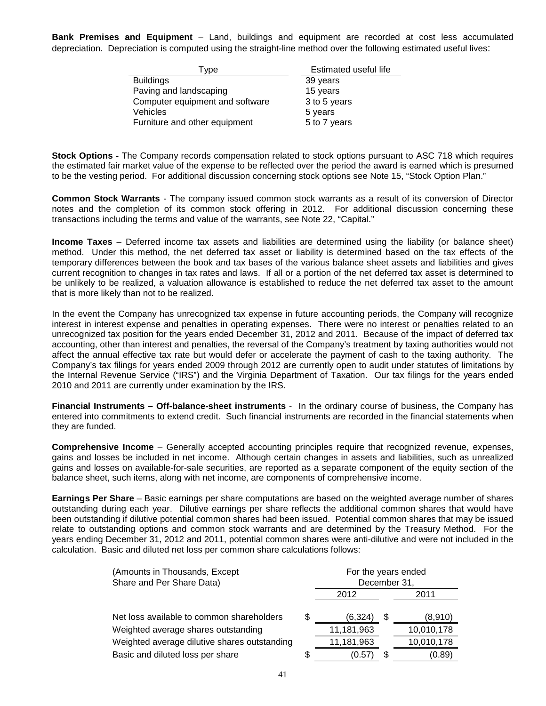**Bank Premises and Equipment** – Land, buildings and equipment are recorded at cost less accumulated depreciation. Depreciation is computed using the straight-line method over the following estimated useful lives:

| I vpe                           | Estimated useful life |
|---------------------------------|-----------------------|
| <b>Buildings</b>                | 39 years              |
| Paving and landscaping          | 15 years              |
| Computer equipment and software | 3 to 5 years          |
| <b>Vehicles</b>                 | 5 years               |
| Furniture and other equipment   | 5 to 7 years          |

**Stock Options -** The Company records compensation related to stock options pursuant to ASC 718 which requires the estimated fair market value of the expense to be reflected over the period the award is earned which is presumed to be the vesting period. For additional discussion concerning stock options see Note 15, "Stock Option Plan."

**Common Stock Warrants** - The company issued common stock warrants as a result of its conversion of Director notes and the completion of its common stock offering in 2012. For additional discussion concerning these transactions including the terms and value of the warrants, see Note 22, "Capital."

**Income Taxes** – Deferred income tax assets and liabilities are determined using the liability (or balance sheet) method. Under this method, the net deferred tax asset or liability is determined based on the tax effects of the temporary differences between the book and tax bases of the various balance sheet assets and liabilities and gives current recognition to changes in tax rates and laws. If all or a portion of the net deferred tax asset is determined to be unlikely to be realized, a valuation allowance is established to reduce the net deferred tax asset to the amount that is more likely than not to be realized.

In the event the Company has unrecognized tax expense in future accounting periods, the Company will recognize interest in interest expense and penalties in operating expenses. There were no interest or penalties related to an unrecognized tax position for the years ended December 31, 2012 and 2011. Because of the impact of deferred tax accounting, other than interest and penalties, the reversal of the Company's treatment by taxing authorities would not affect the annual effective tax rate but would defer or accelerate the payment of cash to the taxing authority. The Company's tax filings for years ended 2009 through 2012 are currently open to audit under statutes of limitations by the Internal Revenue Service ("IRS") and the Virginia Department of Taxation. Our tax filings for the years ended 2010 and 2011 are currently under examination by the IRS.

**Financial Instruments – Off-balance-sheet instruments** - In the ordinary course of business, the Company has entered into commitments to extend credit. Such financial instruments are recorded in the financial statements when they are funded.

**Comprehensive Income** – Generally accepted accounting principles require that recognized revenue, expenses, gains and losses be included in net income. Although certain changes in assets and liabilities, such as unrealized gains and losses on available-for-sale securities, are reported as a separate component of the equity section of the balance sheet, such items, along with net income, are components of comprehensive income.

**Earnings Per Share** – Basic earnings per share computations are based on the weighted average number of shares outstanding during each year. Dilutive earnings per share reflects the additional common shares that would have been outstanding if dilutive potential common shares had been issued. Potential common shares that may be issued relate to outstanding options and common stock warrants and are determined by the Treasury Method. For the years ending December 31, 2012 and 2011, potential common shares were anti-dilutive and were not included in the calculation. Basic and diluted net loss per common share calculations follows:

| (Amounts in Thousands, Except) |            |     |                                     |  |  |  |  |  |
|--------------------------------|------------|-----|-------------------------------------|--|--|--|--|--|
|                                |            |     |                                     |  |  |  |  |  |
|                                | 2012       |     | 2011                                |  |  |  |  |  |
|                                |            |     |                                     |  |  |  |  |  |
| \$                             | (6.324)    | \$. | (8,910)                             |  |  |  |  |  |
|                                | 11,181,963 |     | 10,010,178                          |  |  |  |  |  |
|                                | 11,181,963 |     | 10,010,178                          |  |  |  |  |  |
| \$                             | (0.57      |     | (0.89)                              |  |  |  |  |  |
|                                |            |     | For the years ended<br>December 31, |  |  |  |  |  |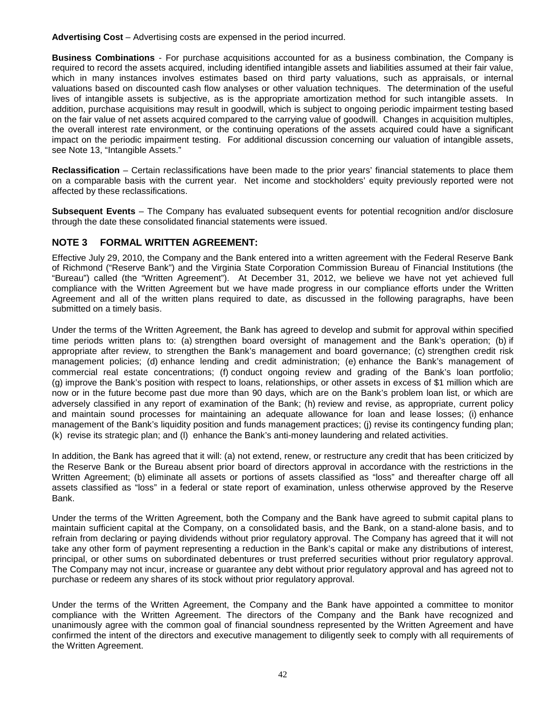**Advertising Cost** – Advertising costs are expensed in the period incurred.

**Business Combinations** - For purchase acquisitions accounted for as a business combination, the Company is required to record the assets acquired, including identified intangible assets and liabilities assumed at their fair value, which in many instances involves estimates based on third party valuations, such as appraisals, or internal valuations based on discounted cash flow analyses or other valuation techniques. The determination of the useful lives of intangible assets is subjective, as is the appropriate amortization method for such intangible assets. In addition, purchase acquisitions may result in goodwill, which is subject to ongoing periodic impairment testing based on the fair value of net assets acquired compared to the carrying value of goodwill. Changes in acquisition multiples, the overall interest rate environment, or the continuing operations of the assets acquired could have a significant impact on the periodic impairment testing. For additional discussion concerning our valuation of intangible assets, see Note 13, "Intangible Assets."

**Reclassification** – Certain reclassifications have been made to the prior years' financial statements to place them on a comparable basis with the current year. Net income and stockholders' equity previously reported were not affected by these reclassifications.

**Subsequent Events** – The Company has evaluated subsequent events for potential recognition and/or disclosure through the date these consolidated financial statements were issued.

## **NOTE 3 FORMAL WRITTEN AGREEMENT:**

Effective July 29, 2010, the Company and the Bank entered into a written agreement with the Federal Reserve Bank of Richmond ("Reserve Bank") and the Virginia State Corporation Commission Bureau of Financial Institutions (the "Bureau") called (the "Written Agreement"). At December 31, 2012, we believe we have not yet achieved full compliance with the Written Agreement but we have made progress in our compliance efforts under the Written Agreement and all of the written plans required to date, as discussed in the following paragraphs, have been submitted on a timely basis.

Under the terms of the Written Agreement, the Bank has agreed to develop and submit for approval within specified time periods written plans to: (a) strengthen board oversight of management and the Bank's operation; (b) if appropriate after review, to strengthen the Bank's management and board governance; (c) strengthen credit risk management policies; (d) enhance lending and credit administration; (e) enhance the Bank's management of commercial real estate concentrations; (f) conduct ongoing review and grading of the Bank's loan portfolio; (g) improve the Bank's position with respect to loans, relationships, or other assets in excess of \$1 million which are now or in the future become past due more than 90 days, which are on the Bank's problem loan list, or which are adversely classified in any report of examination of the Bank; (h) review and revise, as appropriate, current policy and maintain sound processes for maintaining an adequate allowance for loan and lease losses; (i) enhance management of the Bank's liquidity position and funds management practices; (j) revise its contingency funding plan; (k) revise its strategic plan; and (l) enhance the Bank's anti-money laundering and related activities.

In addition, the Bank has agreed that it will: (a) not extend, renew, or restructure any credit that has been criticized by the Reserve Bank or the Bureau absent prior board of directors approval in accordance with the restrictions in the Written Agreement; (b) eliminate all assets or portions of assets classified as "loss" and thereafter charge off all assets classified as "loss" in a federal or state report of examination, unless otherwise approved by the Reserve Bank.

Under the terms of the Written Agreement, both the Company and the Bank have agreed to submit capital plans to maintain sufficient capital at the Company, on a consolidated basis, and the Bank, on a stand-alone basis, and to refrain from declaring or paying dividends without prior regulatory approval. The Company has agreed that it will not take any other form of payment representing a reduction in the Bank's capital or make any distributions of interest, principal, or other sums on subordinated debentures or trust preferred securities without prior regulatory approval. The Company may not incur, increase or guarantee any debt without prior regulatory approval and has agreed not to purchase or redeem any shares of its stock without prior regulatory approval.

Under the terms of the Written Agreement, the Company and the Bank have appointed a committee to monitor compliance with the Written Agreement. The directors of the Company and the Bank have recognized and unanimously agree with the common goal of financial soundness represented by the Written Agreement and have confirmed the intent of the directors and executive management to diligently seek to comply with all requirements of the Written Agreement.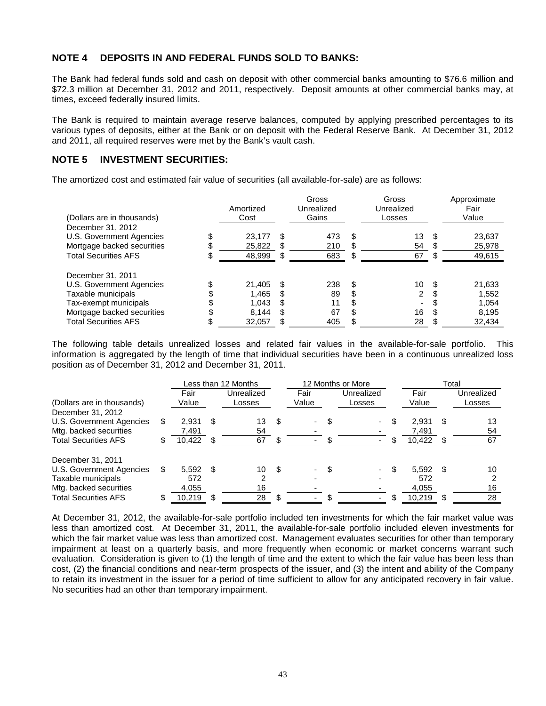## **NOTE 4 DEPOSITS IN AND FEDERAL FUNDS SOLD TO BANKS:**

The Bank had federal funds sold and cash on deposit with other commercial banks amounting to \$76.6 million and \$72.3 million at December 31, 2012 and 2011, respectively. Deposit amounts at other commercial banks may, at times, exceed federally insured limits.

The Bank is required to maintain average reserve balances, computed by applying prescribed percentages to its various types of deposits, either at the Bank or on deposit with the Federal Reserve Bank. At December 31, 2012 and 2011, all required reserves were met by the Bank's vault cash.

## **NOTE 5 INVESTMENT SECURITIES:**

The amortized cost and estimated fair value of securities (all available-for-sale) are as follows:

| (Dollars are in thousands)  |   | Amortized<br>Cost |     | Gross<br>Unrealized<br>Gains |    | Gross<br>Unrealized<br>Losses |     | Approximate<br>Fair<br>Value |
|-----------------------------|---|-------------------|-----|------------------------------|----|-------------------------------|-----|------------------------------|
| December 31, 2012           |   |                   |     |                              |    |                               |     |                              |
| U.S. Government Agencies    |   | 23.177            | S   | 473                          | S  | 13                            | S   | 23,637                       |
| Mortgage backed securities  |   | 25,822            |     | 210                          |    | 54                            |     | 25,978                       |
| <b>Total Securities AFS</b> |   | 48,999            | \$. | 683                          | Ъ  | 67                            | \$. | 49,615                       |
| December 31, 2011           |   |                   |     |                              |    |                               |     |                              |
| U.S. Government Agencies    |   | 21.405            | \$. | 238                          | S. | 10                            |     | 21,633                       |
| Taxable municipals          |   | 1,465             | S   | 89                           |    | $\overline{2}$                |     | 1,552                        |
| Tax-exempt municipals       |   | 1.043             |     | 11                           |    |                               |     | 1,054                        |
| Mortgage backed securities  |   | 8,144             |     | 67                           |    | 16                            |     | 8,195                        |
| <b>Total Securities AFS</b> | Φ | 32,057            |     | 405                          |    | 28                            |     | 32,434                       |

The following table details unrealized losses and related fair values in the available-for-sale portfolio. This information is aggregated by the length of time that individual securities have been in a continuous unrealized loss position as of December 31, 2012 and December 31, 2011.

|                                                                          |                                  | Less than 12 Months |                      |      |               |      | 12 Months or More        |     |                            |   | Total                |
|--------------------------------------------------------------------------|----------------------------------|---------------------|----------------------|------|---------------|------|--------------------------|-----|----------------------------|---|----------------------|
| (Dollars are in thousands)                                               | Fair<br>Value                    |                     | Unrealized<br>Losses |      | Fair<br>Value |      | Unrealized<br>Losses     |     | Fair<br>Value              |   | Unrealized<br>Losses |
| December 31, 2012<br>U.S. Government Agencies<br>Mtg. backed securities  | \$<br>2.931<br>7,491             | S                   | 13<br>54             | - \$ | $\sim 100$    | - \$ | $\sim$<br>۰              | \$  | 2.931<br>7,491             | S | 13<br>54             |
| <b>Total Securities AFS</b>                                              | \$<br>10,422                     | - \$                | 67                   | -\$  |               | \$   | $\overline{\phantom{0}}$ |     | 10,422                     |   | 67                   |
| December 31, 2011                                                        |                                  |                     |                      |      |               |      |                          |     |                            |   |                      |
| U.S. Government Agencies<br>Taxable municipals<br>Mtg. backed securities | \$<br>$5,592$ \$<br>572<br>4,055 |                     | 10<br>2<br>16        | - \$ | $\sim$        | \$   | ٠                        | \$. | $5,592$ \$<br>572<br>4,055 |   | 10<br>16             |
| <b>Total Securities AFS</b>                                              | \$<br>10,219                     |                     | 28                   | -S   |               | \$   | $\overline{\phantom{0}}$ |     | 10,219                     |   | 28                   |

At December 31, 2012, the available-for-sale portfolio included ten investments for which the fair market value was less than amortized cost. At December 31, 2011, the available-for-sale portfolio included eleven investments for which the fair market value was less than amortized cost. Management evaluates securities for other than temporary impairment at least on a quarterly basis, and more frequently when economic or market concerns warrant such evaluation. Consideration is given to (1) the length of time and the extent to which the fair value has been less than cost, (2) the financial conditions and near-term prospects of the issuer, and (3) the intent and ability of the Company to retain its investment in the issuer for a period of time sufficient to allow for any anticipated recovery in fair value. No securities had an other than temporary impairment.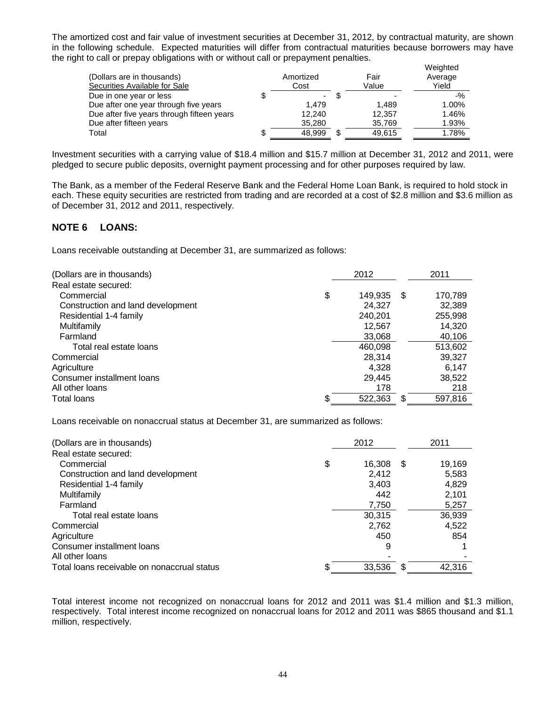The amortized cost and fair value of investment securities at December 31, 2012, by contractual maturity, are shown in the following schedule. Expected maturities will differ from contractual maturities because borrowers may have the right to call or prepay obligations with or without call or prepayment penalties. Weighted

| (Dollars are in thousands)<br>Securities Available for Sale |   | Amortized<br>Cost | Fair<br>Value | <i>vveignted</i><br>Average<br>Yield |
|-------------------------------------------------------------|---|-------------------|---------------|--------------------------------------|
| Due in one year or less                                     |   | ۰                 |               | $-$ %                                |
| Due after one year through five years                       |   | 1.479             | 1.489         | 1.00%                                |
| Due after five years through fifteen years                  |   | 12.240            | 12.357        | 1.46%                                |
| Due after fifteen years                                     |   | 35,280            | 35.769        | 1.93%                                |
| Total                                                       | S | 48.999            | 49.615        | 1.78%                                |

Investment securities with a carrying value of \$18.4 million and \$15.7 million at December 31, 2012 and 2011, were pledged to secure public deposits, overnight payment processing and for other purposes required by law.

The Bank, as a member of the Federal Reserve Bank and the Federal Home Loan Bank, is required to hold stock in each. These equity securities are restricted from trading and are recorded at a cost of \$2.8 million and \$3.6 million as of December 31, 2012 and 2011, respectively.

### **NOTE 6 LOANS:**

Loans receivable outstanding at December 31, are summarized as follows:

| (Dollars are in thousands)        | 2012          |    | 2011    |
|-----------------------------------|---------------|----|---------|
| Real estate secured:              |               |    |         |
| Commercial                        | \$<br>149,935 | \$ | 170,789 |
| Construction and land development | 24.327        |    | 32,389  |
| Residential 1-4 family            | 240,201       |    | 255,998 |
| Multifamily                       | 12,567        |    | 14,320  |
| Farmland                          | 33,068        |    | 40,106  |
| Total real estate loans           | 460,098       |    | 513,602 |
| Commercial                        | 28,314        |    | 39,327  |
| Agriculture                       | 4,328         |    | 6,147   |
| Consumer installment loans        | 29.445        |    | 38,522  |
| All other loans                   | 178           |    | 218     |
| Total loans                       | 522,363       | S  | 597,816 |

Loans receivable on nonaccrual status at December 31, are summarized as follows:

| (Dollars are in thousands)                  | 2012                 | 2011   |
|---------------------------------------------|----------------------|--------|
| Real estate secured:                        |                      |        |
| Commercial                                  | \$<br>16,308<br>- \$ | 19,169 |
| Construction and land development           | 2.412                | 5,583  |
| Residential 1-4 family                      | 3.403                | 4.829  |
| Multifamily                                 | 442                  | 2,101  |
| Farmland                                    | 7,750                | 5,257  |
| Total real estate loans                     | 30,315               | 36,939 |
| Commercial                                  | 2,762                | 4,522  |
| Agriculture                                 | 450                  | 854    |
| Consumer installment loans                  | 9                    |        |
| All other loans                             |                      |        |
| Total loans receivable on nonaccrual status | \$<br>33,536<br>-S   | 42,316 |

Total interest income not recognized on nonaccrual loans for 2012 and 2011 was \$1.4 million and \$1.3 million, respectively. Total interest income recognized on nonaccrual loans for 2012 and 2011 was \$865 thousand and \$1.1 million, respectively.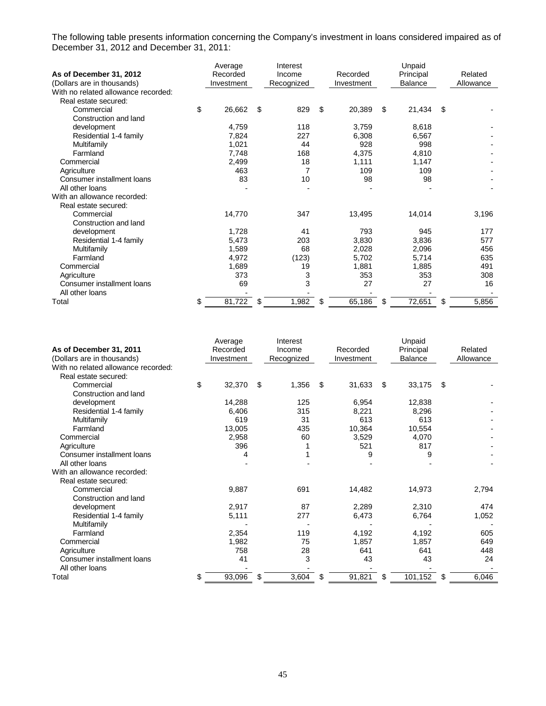The following table presents information concerning the Company's investment in loans considered impaired as of December 31, 2012 and December 31, 2011:

| As of December 31, 2012<br>(Dollars are in thousands)<br>With no related allowance recorded: | Average<br>Recorded<br>Investment |     | Interest<br>Income<br>Recognized |    | Recorded<br>Investment | Unpaid<br>Principal<br><b>Balance</b> |    | Related<br>Allowance |
|----------------------------------------------------------------------------------------------|-----------------------------------|-----|----------------------------------|----|------------------------|---------------------------------------|----|----------------------|
| Real estate secured:                                                                         |                                   |     |                                  |    |                        |                                       |    |                      |
| Commercial                                                                                   | \$<br>26,662                      | \$  | 829                              | \$ | 20,389                 | \$<br>21,434                          | \$ |                      |
| Construction and land                                                                        |                                   |     |                                  |    |                        |                                       |    |                      |
| development                                                                                  | 4,759                             |     | 118                              |    | 3,759                  | 8,618                                 |    |                      |
| Residential 1-4 family                                                                       | 7,824                             |     | 227                              |    | 6,308                  | 6,567                                 |    |                      |
| Multifamily                                                                                  | 1,021                             |     | 44                               |    | 928                    | 998                                   |    |                      |
| Farmland                                                                                     | 7,748                             |     | 168                              |    | 4,375                  | 4,810                                 |    |                      |
| Commercial                                                                                   | 2,499                             |     | 18                               |    | 1,111                  | 1,147                                 |    |                      |
| Agriculture                                                                                  | 463                               |     | 7                                |    | 109                    | 109                                   |    |                      |
| Consumer installment loans                                                                   | 83                                |     | 10                               |    | 98                     | 98                                    |    |                      |
| All other loans                                                                              |                                   |     |                                  |    |                        |                                       |    |                      |
| With an allowance recorded:                                                                  |                                   |     |                                  |    |                        |                                       |    |                      |
| Real estate secured:                                                                         |                                   |     |                                  |    |                        |                                       |    |                      |
| Commercial                                                                                   | 14,770                            |     | 347                              |    | 13,495                 | 14,014                                |    | 3,196                |
| Construction and land                                                                        |                                   |     |                                  |    |                        |                                       |    |                      |
| development                                                                                  | 1,728                             |     | 41                               |    | 793                    | 945                                   |    | 177                  |
| Residential 1-4 family                                                                       | 5,473                             |     | 203                              |    | 3,830                  | 3,836                                 |    | 577                  |
| Multifamily                                                                                  | 1,589                             |     | 68                               |    | 2,028                  | 2,096                                 |    | 456                  |
| Farmland                                                                                     | 4,972                             |     | (123)                            |    | 5,702                  | 5,714                                 |    | 635                  |
| Commercial                                                                                   | 1,689                             |     | 19                               |    | 1,881                  | 1,885                                 |    | 491                  |
| Agriculture                                                                                  | 373                               |     | 3                                |    | 353                    | 353                                   |    | 308                  |
| Consumer installment loans                                                                   | 69                                |     | 3                                |    | 27                     | 27                                    |    | 16                   |
| All other loans                                                                              |                                   |     |                                  |    |                        |                                       |    |                      |
| Total                                                                                        | \$<br>81,722                      | \$. | 1,982                            | S  | 65,186                 | \$<br>72,651                          | S  | 5,856                |

| As of December 31, 2011<br>(Dollars are in thousands)       | Average<br>Recorded<br>Investment |    | Interest<br>Income<br>Recognized |    | Recorded<br>Investment | Unpaid<br>Principal<br><b>Balance</b> |    | Related<br>Allowance |
|-------------------------------------------------------------|-----------------------------------|----|----------------------------------|----|------------------------|---------------------------------------|----|----------------------|
| With no related allowance recorded:<br>Real estate secured: |                                   |    |                                  |    |                        |                                       |    |                      |
| Commercial                                                  | \$<br>32,370                      | \$ | 1,356                            | \$ | 31,633                 | \$<br>33,175                          | \$ |                      |
| Construction and land                                       |                                   |    |                                  |    |                        |                                       |    |                      |
| development                                                 | 14,288                            |    | 125                              |    | 6,954                  | 12,838                                |    |                      |
| Residential 1-4 family                                      | 6,406                             |    | 315                              |    | 8,221                  | 8,296                                 |    |                      |
| Multifamily                                                 | 619                               |    | 31                               |    | 613                    | 613                                   |    |                      |
| Farmland                                                    | 13,005                            |    | 435                              |    | 10,364                 | 10,554                                |    |                      |
| Commercial                                                  | 2,958                             |    | 60                               |    | 3,529                  | 4,070                                 |    |                      |
| Agriculture                                                 | 396                               |    |                                  |    | 521                    | 817                                   |    |                      |
| <b>Consumer installment loans</b>                           | 4                                 |    |                                  |    | 9                      | 9                                     |    |                      |
| All other loans                                             |                                   |    |                                  |    |                        |                                       |    |                      |
| With an allowance recorded:                                 |                                   |    |                                  |    |                        |                                       |    |                      |
| Real estate secured:                                        |                                   |    |                                  |    |                        |                                       |    |                      |
| Commercial                                                  | 9,887                             |    | 691                              |    | 14,482                 | 14,973                                |    | 2,794                |
| Construction and land                                       |                                   |    |                                  |    |                        |                                       |    |                      |
| development                                                 | 2,917                             |    | 87                               |    | 2,289                  | 2,310                                 |    | 474                  |
| Residential 1-4 family                                      | 5,111                             |    | 277                              |    | 6,473                  | 6,764                                 |    | 1,052                |
| Multifamily                                                 |                                   |    |                                  |    |                        |                                       |    |                      |
| Farmland                                                    | 2,354                             |    | 119                              |    | 4,192                  | 4,192                                 |    | 605                  |
| Commercial                                                  | 1,982                             |    | 75                               |    | 1,857                  | 1,857                                 |    | 649                  |
| Agriculture                                                 | 758                               |    | 28                               |    | 641                    | 641                                   |    | 448                  |
| <b>Consumer installment loans</b>                           | 41                                |    | 3                                |    | 43                     | 43                                    |    | 24                   |
| All other loans                                             |                                   |    |                                  |    |                        |                                       |    |                      |
| Total                                                       | \$<br>93,096                      | S  | 3,604                            | S  | 91,821                 | \$<br>101,152                         | S  | 6,046                |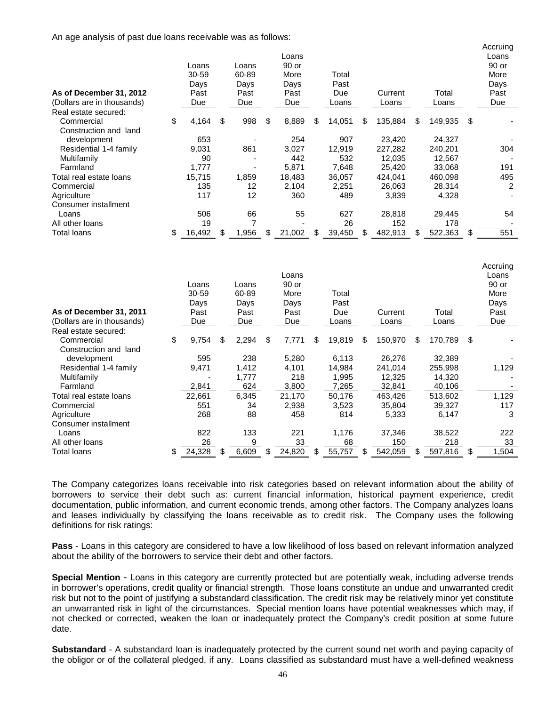An age analysis of past due loans receivable was as follows:

| As of December 31, 2012<br>(Dollars are in thousands)       | Loans<br>30-59<br>Days<br>Past<br>Due |     | Loans<br>60-89<br>Days<br>Past<br>Due |    | Loans<br>90 or<br>More<br>Days<br>Past<br>Due |    | Total<br>Past<br>Due<br>Loans |     | Current<br>Loans   |     | Total<br>Loans  |    | Accruing<br>Loans<br>90 or<br>More<br>Days<br>Past<br>Due |
|-------------------------------------------------------------|---------------------------------------|-----|---------------------------------------|----|-----------------------------------------------|----|-------------------------------|-----|--------------------|-----|-----------------|----|-----------------------------------------------------------|
| Real estate secured:<br>Commercial<br>Construction and land | \$<br>4,164                           | \$  | 998                                   | \$ | 8,889                                         | \$ | 14,051                        | \$  | 135,884            | \$  | 149,935         | \$ |                                                           |
| development                                                 | 653                                   |     |                                       |    | 254                                           |    | 907                           |     | 23,420             |     | 24,327          |    |                                                           |
| Residential 1-4 family                                      | 9,031                                 |     | 861                                   |    | 3,027                                         |    | 12.919                        |     | 227,282            |     | 240.201         |    | 304                                                       |
| Multifamily                                                 | 90                                    |     |                                       |    | 442                                           |    | 532                           |     | 12,035             |     | 12,567          |    |                                                           |
| Farmland                                                    | 1,777                                 |     |                                       |    | 5,871                                         |    | 7,648                         |     | 25,420             |     | 33,068          |    | 191                                                       |
| Total real estate loans                                     | 15,715                                |     | 1,859                                 |    | 18,483                                        |    | 36,057                        |     | 424,041            |     | 460,098         |    | 495                                                       |
| Commercial                                                  | 135                                   |     | 12                                    |    | 2,104                                         |    | 2,251                         |     | 26,063             |     | 28,314          |    | 2                                                         |
| Agriculture                                                 | 117                                   |     | 12                                    |    | 360                                           |    | 489                           |     | 3,839              |     | 4,328           |    |                                                           |
| Consumer installment                                        |                                       |     |                                       |    |                                               |    |                               |     |                    |     |                 |    |                                                           |
| Loans                                                       | 506                                   |     | 66                                    |    | 55                                            |    | 627                           |     | 28,818             |     | 29,445          |    | 54                                                        |
| All other loans                                             | 19                                    |     | $\overline{7}$                        |    |                                               |    | 26                            |     | 152                |     | 178             |    |                                                           |
| <b>Total loans</b>                                          | 16,492                                | \$  | 1,956                                 |    | 21,002                                        | \$ | 39,450                        |     | 482,913            | \$  | 522,363         | S  | 551                                                       |
| As of December 31, 2011                                     | Loans<br>30-59<br>Days<br>Past        |     | Loans<br>60-89<br>Days<br>Past        |    | Loans<br>90 or<br>More<br>Days<br>Past        |    | Total<br>Past<br>Due          |     | Current            |     | Total           |    | Accruing<br>Loans<br>90 or<br>More<br>Days<br>Past        |
| (Dollars are in thousands)                                  | Due                                   |     | Due                                   |    | Due                                           |    | Loans                         |     | Loans              |     | Loans           |    | Due                                                       |
| Real estate secured:<br>Commercial<br>Construction and land | \$<br>9,754                           | \$. | 2,294                                 | S  | 7,771                                         | S  | 19,819                        | \$. | 150,970            | \$. | 170,789         | \$ |                                                           |
| development                                                 | 595                                   |     | 238                                   |    | 5,280                                         |    | 6,113                         |     | 26,276             |     | 32,389          |    |                                                           |
| Residential 1-4 family                                      | 9,471                                 |     | 1,412                                 |    | 4,101                                         |    | 14,984                        |     | 241,014            |     | 255,998         |    | 1,129                                                     |
| Multifamily                                                 |                                       |     | 1,777                                 |    | 218                                           |    | 1,995                         |     | 12,325             |     | 14,320          |    |                                                           |
| Farmland<br>Total roal optata loope                         | 2,841<br>nn cc4                       |     | 624<br>C24E                           |    | 3,800<br>24.470                               |    | 7,265<br>$E \cap 47C$         |     | 32,841<br>100, 100 |     | 40,106<br>EAOE0 |    | 1.100                                                     |
|                                                             |                                       |     |                                       |    |                                               |    |                               |     |                    |     |                 |    |                                                           |

| Total real estate loans | 22.661 | 6,345 |     | 21.170 | 50.176 | 463.426 |     | 513.602 | 1.129 |
|-------------------------|--------|-------|-----|--------|--------|---------|-----|---------|-------|
| Commercial              | 551    |       | 34  | 2.938  | 3.523  | 35.804  |     | 39,327  | 117   |
| Agriculture             | 268    |       | 88  | 458    | 814    | 5.333   |     | 6.147   |       |
| Consumer installment    |        |       |     |        |        |         |     |         |       |
| Loans                   | 822    |       | 133 | 221    | 1.176  | 37.346  |     | 38.522  | 222   |
| All other loans         | 26     |       | 9   | 33     | 68     | 150     |     | 218     | 33    |
| Total loans             | 24.328 | 6.609 |     | 24.820 | 55.757 | 542.059 | \$. | 597.816 | .504  |
|                         |        |       |     |        |        |         |     |         |       |
|                         |        |       |     |        |        |         |     |         |       |

The Company categorizes loans receivable into risk categories based on relevant information about the ability of borrowers to service their debt such as: current financial information, historical payment experience, credit documentation, public information, and current economic trends, among other factors. The Company analyzes loans and leases individually by classifying the loans receivable as to credit risk. The Company uses the following definitions for risk ratings:

**Pass** - Loans in this category are considered to have a low likelihood of loss based on relevant information analyzed about the ability of the borrowers to service their debt and other factors.

**Special Mention** - Loans in this category are currently protected but are potentially weak, including adverse trends in borrower's operations, credit quality or financial strength. Those loans constitute an undue and unwarranted credit risk but not to the point of justifying a substandard classification. The credit risk may be relatively minor yet constitute an unwarranted risk in light of the circumstances. Special mention loans have potential weaknesses which may, if not checked or corrected, weaken the loan or inadequately protect the Company's credit position at some future date.

**Substandard** - A substandard loan is inadequately protected by the current sound net worth and paying capacity of the obligor or of the collateral pledged, if any. Loans classified as substandard must have a well-defined weakness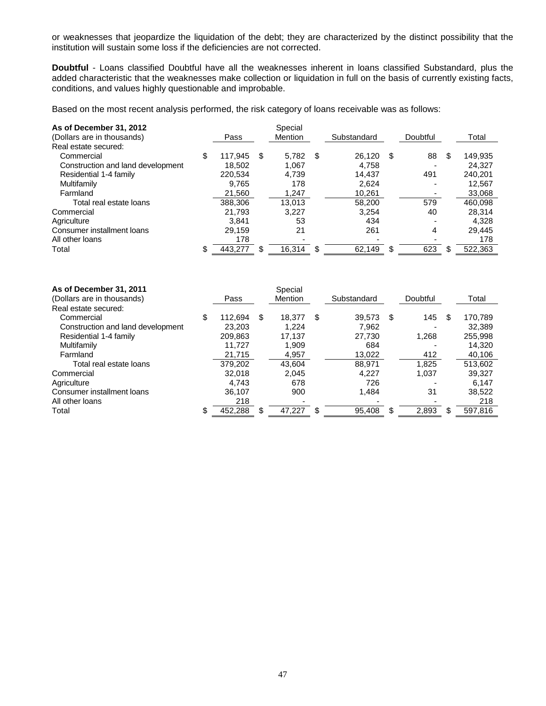or weaknesses that jeopardize the liquidation of the debt; they are characterized by the distinct possibility that the institution will sustain some loss if the deficiencies are not corrected.

**Doubtful** - Loans classified Doubtful have all the weaknesses inherent in loans classified Substandard, plus the added characteristic that the weaknesses make collection or liquidation in full on the basis of currently existing facts, conditions, and values highly questionable and improbable.

Based on the most recent analysis performed, the risk category of loans receivable was as follows:

| As of December 31, 2012           |               | Special     |     |             |   |          |     |         |
|-----------------------------------|---------------|-------------|-----|-------------|---|----------|-----|---------|
| (Dollars are in thousands)        | Pass          | Mention     |     | Substandard |   | Doubtful |     | Total   |
| Real estate secured:              |               |             |     |             |   |          |     |         |
| Commercial                        | \$<br>117.945 | \$<br>5,782 | \$. | 26.120      | S | 88       | \$. | 149,935 |
| Construction and land development | 18.502        | 1,067       |     | 4.758       |   |          |     | 24.327  |
| Residential 1-4 family            | 220,534       | 4.739       |     | 14.437      |   | 491      |     | 240.201 |
| Multifamily                       | 9.765         | 178         |     | 2.624       |   | -        |     | 12,567  |
| Farmland                          | 21,560        | 1,247       |     | 10,261      |   |          |     | 33,068  |
| Total real estate loans           | 388,306       | 13,013      |     | 58.200      |   | 579      |     | 460.098 |
| Commercial                        | 21.793        | 3.227       |     | 3.254       |   | 40       |     | 28.314  |
| Agriculture                       | 3.841         | 53          |     | 434         |   |          |     | 4.328   |
| Consumer installment loans        | 29.159        | 21          |     | 261         |   | 4        |     | 29.445  |
| All other loans                   | 178           |             |     |             |   |          |     | 178     |
| Total                             | 443,277       | 16,314      | S   | 62,149      |   | 623      |     | 522,363 |

| As of December 31, 2011           |     |         | Special        |     |             |     |          |     |         |
|-----------------------------------|-----|---------|----------------|-----|-------------|-----|----------|-----|---------|
| (Dollars are in thousands)        |     | Pass    | <b>Mention</b> |     | Substandard |     | Doubtful |     | Total   |
| Real estate secured:              |     |         |                |     |             |     |          |     |         |
| Commercial                        | \$  | 112.694 | \$<br>18.377   | \$. | 39,573      | \$. | 145      | S   | 170,789 |
| Construction and land development |     | 23,203  | 1.224          |     | 7,962       |     |          |     | 32.389  |
| Residential 1-4 family            |     | 209.863 | 17.137         |     | 27.730      |     | 1,268    |     | 255,998 |
| Multifamily                       |     | 11.727  | 1,909          |     | 684         |     |          |     | 14.320  |
| Farmland                          |     | 21,715  | 4,957          |     | 13,022      |     | 412      |     | 40,106  |
| Total real estate loans           |     | 379,202 | 43,604         |     | 88.971      |     | 1.825    |     | 513,602 |
| Commercial                        |     | 32.018  | 2.045          |     | 4,227       |     | 1,037    |     | 39,327  |
| Agriculture                       |     | 4.743   | 678            |     | 726         |     |          |     | 6,147   |
| Consumer installment loans        |     | 36.107  | 900            |     | 1,484       |     | 31       |     | 38,522  |
| All other loans                   |     | 218     |                |     |             |     |          |     | 218     |
| Total                             | \$. | 452,288 | 47,227         | S   | 95,408      | S.  | 2,893    | \$. | 597,816 |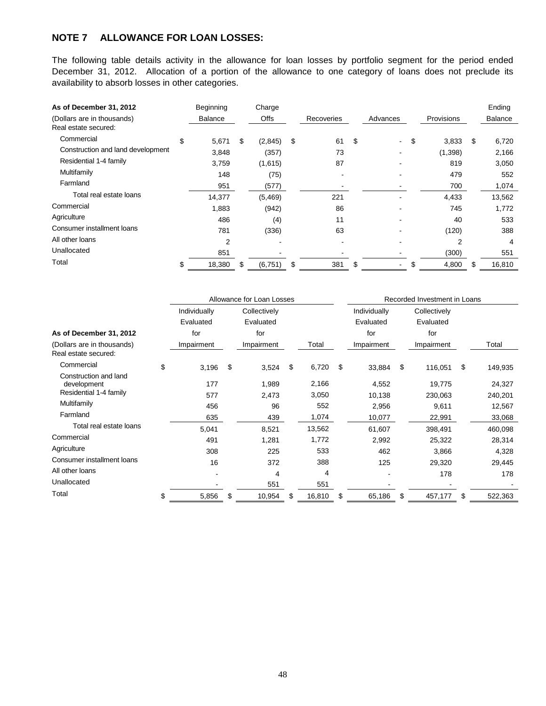## **NOTE 7 ALLOWANCE FOR LOAN LOSSES:**

The following table details activity in the allowance for loan losses by portfolio segment for the period ended December 31, 2012. Allocation of a portion of the allowance to one category of loans does not preclude its availability to absorb losses in other categories.

| As of December 31, 2012           | Beginning      | Charge         |            |          |               | Ending         |
|-----------------------------------|----------------|----------------|------------|----------|---------------|----------------|
| (Dollars are in thousands)        | Balance        | <b>Offs</b>    | Recoveries | Advances | Provisions    | <b>Balance</b> |
| Real estate secured:              |                |                |            |          |               |                |
| Commercial                        | \$<br>5,671    | \$<br>(2,845)  | \$<br>61   | \$<br>۰. | \$<br>3,833   | \$<br>6,720    |
| Construction and land development | 3,848          | (357)          | 73         |          | (1,398)       | 2,166          |
| Residential 1-4 family            | 3,759          | (1,615)        | 87         |          | 819           | 3,050          |
| Multifamily                       | 148            | (75)           |            |          | 479           | 552            |
| Farmland                          | 951            | (577)          |            |          | 700           | 1,074          |
| Total real estate loans           | 14,377         | (5, 469)       | 221        |          | 4,433         | 13,562         |
| Commercial                        | 1,883          | (942)          | 86         |          | 745           | 1,772          |
| Agriculture                       | 486            | (4)            | 11         |          | 40            | 533            |
| Consumer installment loans        | 781            | (336)          | 63         |          | (120)         | 388            |
| All other loans                   | $\overline{2}$ |                |            |          | $\mathcal{P}$ | 4              |
| Unallocated                       | 851            |                |            |          | (300)         | 551            |
| Total                             | \$<br>18,380   | \$<br>(6, 751) | \$<br>381  |          | \$<br>4,800   | 16,810         |

|                                      |                          | Allowance for Loan Losses |              | Recorded Investment in Loans |    |              |    |         |  |  |
|--------------------------------------|--------------------------|---------------------------|--------------|------------------------------|----|--------------|----|---------|--|--|
|                                      | Individually             | Collectively              |              | Individually                 |    | Collectively |    |         |  |  |
|                                      | Evaluated                | Evaluated                 |              | Evaluated                    |    | Evaluated    |    |         |  |  |
| As of December 31, 2012              | for                      | for                       |              | for                          |    | for          |    |         |  |  |
| (Dollars are in thousands)           | Impairment               | Impairment                | Total        | Impairment                   |    | Impairment   |    | Total   |  |  |
| Real estate secured:                 |                          |                           |              |                              |    |              |    |         |  |  |
| Commercial                           | \$<br>3,196              | \$<br>3,524               | \$<br>6,720  | \$<br>33,884                 | \$ | 116,051      | \$ | 149,935 |  |  |
| Construction and land<br>development | 177                      | 1,989                     | 2,166        | 4,552                        |    | 19,775       |    | 24,327  |  |  |
| Residential 1-4 family               | 577                      | 2,473                     | 3,050        | 10,138                       |    | 230,063      |    | 240,201 |  |  |
| Multifamily                          | 456                      | 96                        | 552          | 2,956                        |    | 9,611        |    | 12,567  |  |  |
| Farmland                             | 635                      | 439                       | 1,074        | 10,077                       |    | 22,991       |    | 33,068  |  |  |
| Total real estate loans              | 5,041                    | 8,521                     | 13,562       | 61,607                       |    | 398,491      |    | 460,098 |  |  |
| Commercial                           | 491                      | 1,281                     | 1,772        | 2,992                        |    | 25,322       |    | 28,314  |  |  |
| Agriculture                          | 308                      | 225                       | 533          | 462                          |    | 3,866        |    | 4,328   |  |  |
| Consumer installment loans           | 16                       | 372                       | 388          | 125                          |    | 29,320       |    | 29,445  |  |  |
| All other loans                      | $\overline{\phantom{a}}$ | 4                         | 4            |                              |    | 178          |    | 178     |  |  |
| Unallocated                          |                          | 551                       | 551          |                              |    |              |    |         |  |  |
| Total                                | \$<br>5,856              | \$<br>10,954              | \$<br>16,810 | \$<br>65,186                 | \$ | 457,177      | \$ | 522,363 |  |  |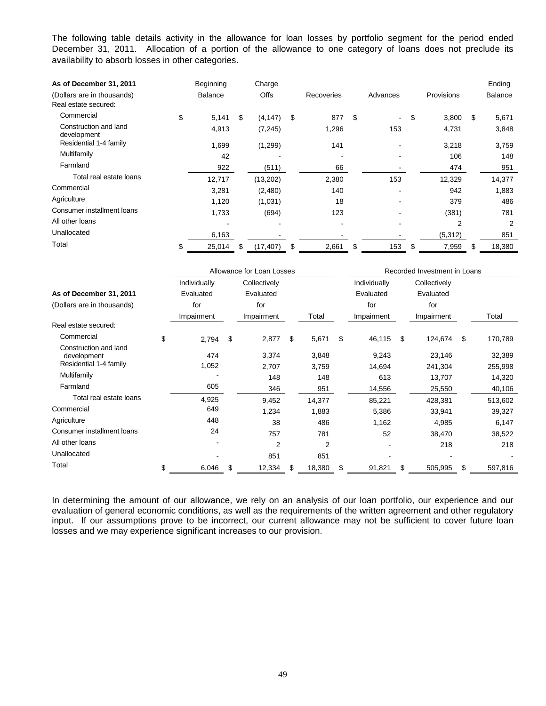The following table details activity in the allowance for loan losses by portfolio segment for the period ended December 31, 2011. Allocation of a portion of the allowance to one category of loans does not preclude its availability to absorb losses in other categories.

| As of December 31, 2011              | Beginning      | Charge          |             |                                |             | Ending         |
|--------------------------------------|----------------|-----------------|-------------|--------------------------------|-------------|----------------|
| (Dollars are in thousands)           | <b>Balance</b> | Offs            | Recoveries  | Advances                       | Provisions  | <b>Balance</b> |
| Real estate secured:                 |                |                 |             |                                |             |                |
| Commercial                           | \$<br>5,141    | \$<br>(4, 147)  | \$<br>877   | \$<br>$\overline{\phantom{0}}$ | \$<br>3,800 | \$<br>5,671    |
| Construction and land<br>development | 4,913          | (7, 245)        | 1,296       | 153                            | 4,731       | 3,848          |
| Residential 1-4 family               | 1,699          | (1,299)         | 141         |                                | 3,218       | 3,759          |
| Multifamily                          | 42             |                 |             |                                | 106         | 148            |
| Farmland                             | 922            | (511)           | 66          |                                | 474         | 951            |
| Total real estate loans              | 12,717         | (13,202)        | 2,380       | 153                            | 12,329      | 14,377         |
| Commercial                           | 3,281          | (2,480)         | 140         | -                              | 942         | 1,883          |
| Agriculture                          | 1,120          | (1,031)         | 18          |                                | 379         | 486            |
| Consumer installment loans           | 1,733          | (694)           | 123         |                                | (381)       | 781            |
| All other loans                      |                |                 |             |                                | 2           | $\overline{2}$ |
| Unallocated                          | 6,163          |                 |             |                                | (5, 312)    | 851            |
| Total                                | \$<br>25,014   | \$<br>(17, 407) | \$<br>2,661 | \$<br>153                      | \$<br>7,959 | \$<br>18,380   |

|                                      |              | Allowance for Loan Losses |                |              | Recorded Investment in Loans |               |
|--------------------------------------|--------------|---------------------------|----------------|--------------|------------------------------|---------------|
|                                      | Individually | Collectively              |                | Individually | Collectively                 |               |
| As of December 31, 2011              | Evaluated    | Evaluated                 |                | Evaluated    | Evaluated                    |               |
| (Dollars are in thousands)           | for          | for                       |                | for          | for                          |               |
|                                      | Impairment   | Impairment                | Total          | Impairment   | Impairment                   | Total         |
| Real estate secured:                 |              |                           |                |              |                              |               |
| Commercial                           | \$<br>2,794  | \$<br>2,877               | \$<br>5,671    | \$<br>46,115 | \$<br>124,674                | \$<br>170,789 |
| Construction and land<br>development | 474          | 3,374                     | 3,848          | 9,243        | 23,146                       | 32,389        |
| Residential 1-4 family               | 1,052        | 2,707                     | 3,759          | 14,694       | 241,304                      | 255,998       |
| Multifamily                          |              | 148                       | 148            | 613          | 13,707                       | 14,320        |
| Farmland                             | 605          | 346                       | 951            | 14,556       | 25,550                       | 40,106        |
| Total real estate loans              | 4,925        | 9,452                     | 14,377         | 85,221       | 428,381                      | 513,602       |
| Commercial                           | 649          | 1,234                     | 1,883          | 5,386        | 33,941                       | 39,327        |
| Agriculture                          | 448          | 38                        | 486            | 1,162        | 4,985                        | 6,147         |
| Consumer installment loans           | 24           | 757                       | 781            | 52           | 38,470                       | 38,522        |
| All other loans                      |              | $\overline{2}$            | $\overline{2}$ |              | 218                          | 218           |
| Unallocated                          |              | 851                       | 851            |              |                              |               |
| Total                                | \$<br>6,046  | 12,334                    | \$<br>18,380   | \$<br>91,821 | \$<br>505,995                | \$<br>597,816 |

In determining the amount of our allowance, we rely on an analysis of our loan portfolio, our experience and our evaluation of general economic conditions, as well as the requirements of the written agreement and other regulatory input. If our assumptions prove to be incorrect, our current allowance may not be sufficient to cover future loan losses and we may experience significant increases to our provision.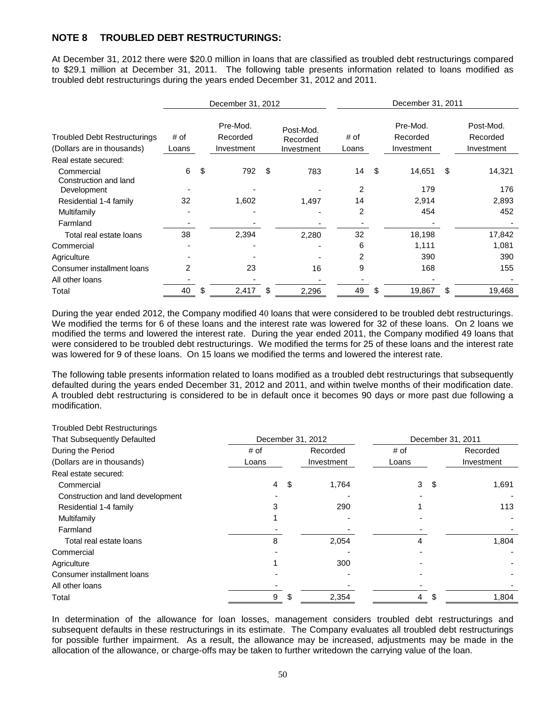## **NOTE 8 TROUBLED DEBT RESTRUCTURINGS:**

 $T$ roubled Debt Restructurings and  $T$ 

At December 31, 2012 there were \$20.0 million in loans that are classified as troubled debt restructurings compared to \$29.1 million at December 31, 2011. The following table presents information related to loans modified as troubled debt restructurings during the years ended December 31, 2012 and 2011.

|                                                                   |               |    | December 31, 2012                  |      |                                     | December 31, 2011 |     |                                    |    |                                     |  |  |  |
|-------------------------------------------------------------------|---------------|----|------------------------------------|------|-------------------------------------|-------------------|-----|------------------------------------|----|-------------------------------------|--|--|--|
| <b>Troubled Debt Restructurings</b><br>(Dollars are in thousands) | # of<br>Loans |    | Pre-Mod.<br>Recorded<br>Investment |      | Post-Mod.<br>Recorded<br>Investment | # of<br>Loans     |     | Pre-Mod.<br>Recorded<br>Investment |    | Post-Mod.<br>Recorded<br>Investment |  |  |  |
| Real estate secured:                                              |               |    |                                    |      |                                     |                   |     |                                    |    |                                     |  |  |  |
| Commercial<br>Construction and land                               | 6             | \$ | 792                                | - \$ | 783                                 | 14                | -\$ | 14,651                             | \$ | 14,321                              |  |  |  |
| Development                                                       |               |    |                                    |      |                                     | 2                 |     | 179                                |    | 176                                 |  |  |  |
| Residential 1-4 family                                            | 32            |    | 1,602                              |      | 1,497                               | 14                |     | 2,914                              |    | 2,893                               |  |  |  |
| Multifamily                                                       |               |    |                                    |      |                                     | $\overline{2}$    |     | 454                                |    | 452                                 |  |  |  |
| Farmland                                                          |               |    |                                    |      |                                     |                   |     |                                    |    |                                     |  |  |  |
| Total real estate loans                                           | 38            |    | 2,394                              |      | 2,280                               | 32                |     | 18,198                             |    | 17,842                              |  |  |  |
| Commercial                                                        |               |    |                                    |      |                                     | 6                 |     | 1,111                              |    | 1,081                               |  |  |  |
| Agriculture                                                       |               |    |                                    |      |                                     | 2                 |     | 390                                |    | 390                                 |  |  |  |
| Consumer installment loans                                        | 2             |    | 23                                 |      | 16                                  | 9                 |     | 168                                |    | 155                                 |  |  |  |
| All other loans                                                   |               |    |                                    |      |                                     |                   |     |                                    |    |                                     |  |  |  |
| Total                                                             | 40            | S  | 2,417                              | \$   | 2,296                               | 49                | \$. | 19,867                             | \$ | 19,468                              |  |  |  |

During the year ended 2012, the Company modified 40 loans that were considered to be troubled debt restructurings. We modified the terms for 6 of these loans and the interest rate was lowered for 32 of these loans. On 2 loans we modified the terms and lowered the interest rate. During the year ended 2011, the Company modified 49 loans that were considered to be troubled debt restructurings. We modified the terms for 25 of these loans and the interest rate was lowered for 9 of these loans. On 15 loans we modified the terms and lowered the interest rate.

The following table presents information related to loans modified as a troubled debt restructurings that subsequently defaulted during the years ended December 31, 2012 and 2011, and within twelve months of their modification date. A troubled debt restructuring is considered to be in default once it becomes 90 days or more past due following a modification.

| Troubled Debt Restructurings      |       |    |                   |       |    |                   |
|-----------------------------------|-------|----|-------------------|-------|----|-------------------|
| That Subsequently Defaulted       |       |    | December 31, 2012 |       |    | December 31, 2011 |
| During the Period                 | # of  |    | Recorded          | # of  |    | Recorded          |
| (Dollars are in thousands)        | Loans |    | Investment        | Loans |    | Investment        |
| Real estate secured:              |       |    |                   |       |    |                   |
| Commercial                        | 4     | \$ | 1,764             | 3     | \$ | 1,691             |
| Construction and land development |       |    |                   |       |    |                   |
| Residential 1-4 family            |       |    | 290               |       |    | 113               |
| Multifamily                       |       |    |                   |       |    |                   |
| Farmland                          |       |    |                   |       |    |                   |
| Total real estate loans           | 8     |    | 2,054             | 4     |    | 1,804             |
| Commercial                        |       |    |                   |       |    |                   |
| Agriculture                       |       |    | 300               |       |    |                   |
| Consumer installment loans        |       |    |                   |       |    |                   |
| All other loans                   |       |    |                   |       |    |                   |
| Total                             | 9     | S  | 2,354             | 4     | S  | 1,804             |
|                                   |       |    |                   |       |    |                   |

In determination of the allowance for loan losses, management considers troubled debt restructurings and subsequent defaults in these restructurings in its estimate. The Company evaluates all troubled debt restructurings for possible further impairment. As a result, the allowance may be increased, adjustments may be made in the allocation of the allowance, or charge-offs may be taken to further writedown the carrying value of the loan.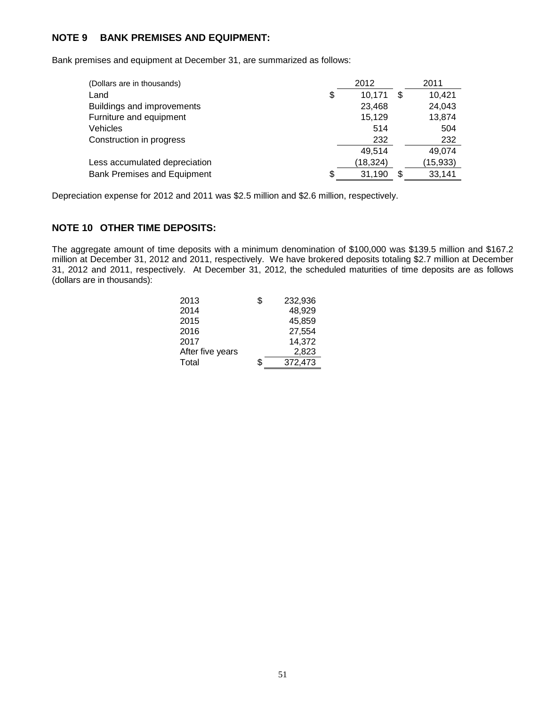## **NOTE 9 BANK PREMISES AND EQUIPMENT:**

Bank premises and equipment at December 31, are summarized as follows:

| (Dollars are in thousands)         | 2012         |      | 2011      |
|------------------------------------|--------------|------|-----------|
| Land                               | \$<br>10,171 | - \$ | 10,421    |
| Buildings and improvements         | 23,468       |      | 24,043    |
| Furniture and equipment            | 15.129       |      | 13,874    |
| Vehicles                           | 514          |      | 504       |
| Construction in progress           | 232          |      | 232       |
|                                    | 49,514       |      | 49,074    |
| Less accumulated depreciation      | (18,324)     |      | (15, 933) |
| <b>Bank Premises and Equipment</b> | \$<br>31.190 | - \$ | 33,141    |

Depreciation expense for 2012 and 2011 was \$2.5 million and \$2.6 million, respectively.

### **NOTE 10 OTHER TIME DEPOSITS:**

The aggregate amount of time deposits with a minimum denomination of \$100,000 was \$139.5 million and \$167.2 million at December 31, 2012 and 2011, respectively. We have brokered deposits totaling \$2.7 million at December 31, 2012 and 2011, respectively. At December 31, 2012, the scheduled maturities of time deposits are as follows (dollars are in thousands):

| 2013             | \$<br>232,936 |
|------------------|---------------|
| 2014             | 48,929        |
| 2015             | 45,859        |
| 2016             | 27,554        |
| 2017             | 14,372        |
| After five years | 2,823         |
| Total            | \$<br>372,473 |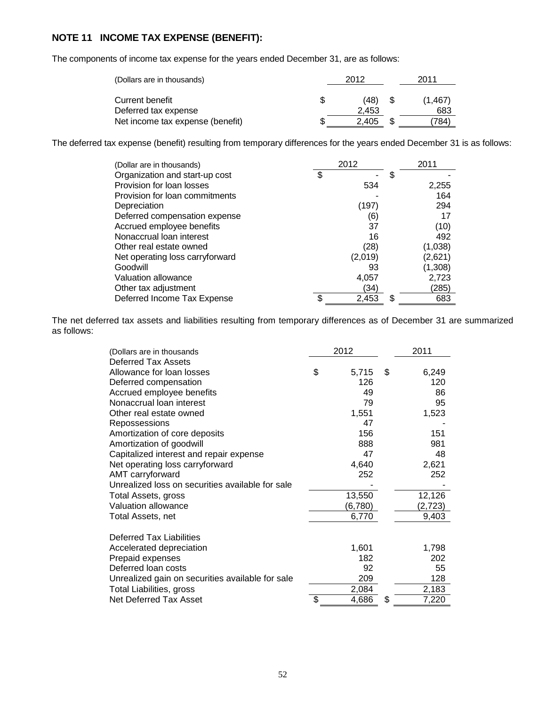## **NOTE 11 INCOME TAX EXPENSE (BENEFIT):**

The components of income tax expense for the years ended December 31, are as follows:

| (Dollars are in thousands)       | 2012  | 2011     |
|----------------------------------|-------|----------|
| Current benefit                  | (48)  | (1, 467) |
| Deferred tax expense             | 2.453 | 683      |
| Net income tax expense (benefit) | 2.405 | 784)     |

The deferred tax expense (benefit) resulting from temporary differences for the years ended December 31 is as follows:

| (Dollar are in thousands)       | 2012    |    | 2011    |
|---------------------------------|---------|----|---------|
| Organization and start-up cost  |         | \$ |         |
| Provision for loan losses       | 534     |    | 2,255   |
| Provision for loan commitments  |         |    | 164     |
| Depreciation                    | (197)   |    | 294     |
| Deferred compensation expense   | (6)     |    | 17      |
| Accrued employee benefits       | 37      |    | (10)    |
| Nonaccrual loan interest        | 16      |    | 492     |
| Other real estate owned         | (28)    |    | (1,038) |
| Net operating loss carryforward | (2,019) |    | (2,621) |
| Goodwill                        | 93      |    | (1,308) |
| Valuation allowance             | 4,057   |    | 2,723   |
| Other tax adjustment            | (34)    |    | (285)   |
| Deferred Income Tax Expense     | 2,453   | S  | 683     |

The net deferred tax assets and liabilities resulting from temporary differences as of December 31 are summarized as follows:

| (Dollars are in thousands                        |     | 2012    | 2011        |
|--------------------------------------------------|-----|---------|-------------|
| Deferred Tax Assets                              |     |         |             |
| Allowance for loan losses                        | \$  | 5,715   | \$<br>6,249 |
| Deferred compensation                            |     | 126     | 120         |
| Accrued employee benefits                        |     | 49      | 86          |
| Nonaccrual loan interest                         |     | 79      | 95          |
| Other real estate owned                          |     | 1,551   | 1,523       |
| Repossessions                                    |     | 47      |             |
| Amortization of core deposits                    |     | 156     | 151         |
| Amortization of goodwill                         |     | 888     | 981         |
| Capitalized interest and repair expense          |     | 47      | 48          |
| Net operating loss carryforward                  |     | 4,640   | 2,621       |
| AMT carryforward                                 |     | 252     | 252         |
| Unrealized loss on securities available for sale |     |         |             |
| Total Assets, gross                              |     | 13,550  | 12,126      |
| Valuation allowance                              |     | (6,780) | (2,723)     |
| Total Assets, net                                |     | 6,770   | 9,403       |
| Deferred Tax Liabilities                         |     |         |             |
| Accelerated depreciation                         |     | 1,601   | 1,798       |
| Prepaid expenses                                 |     | 182     | 202         |
| Deferred loan costs                              |     | 92      | 55          |
| Unrealized gain on securities available for sale |     | 209     | 128         |
| <b>Total Liabilities, gross</b>                  |     | 2,084   | 2,183       |
| Net Deferred Tax Asset                           | \$. | 4,686   | \$<br>7,220 |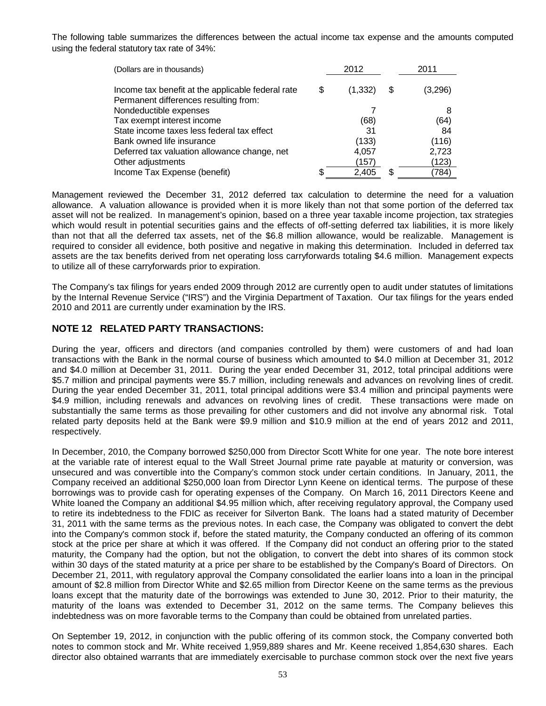The following table summarizes the differences between the actual income tax expense and the amounts computed using the federal statutory tax rate of 34%:

| (Dollars are in thousands)                        | 2012 |          |    | 2011    |  |  |
|---------------------------------------------------|------|----------|----|---------|--|--|
| Income tax benefit at the applicable federal rate | S    | (1, 332) | S  | (3,296) |  |  |
| Permanent differences resulting from:             |      |          |    |         |  |  |
| Nondeductible expenses                            |      |          |    |         |  |  |
| Tax exempt interest income                        |      | (68)     |    | (64)    |  |  |
| State income taxes less federal tax effect        |      | 31       |    | 84      |  |  |
| Bank owned life insurance                         |      | (133)    |    | (116)   |  |  |
| Deferred tax valuation allowance change, net      |      | 4,057    |    | 2,723   |  |  |
| Other adjustments                                 |      | (157)    |    | (123)   |  |  |
| Income Tax Expense (benefit)                      | S.   | 2.405    | ß. | 784)    |  |  |

Management reviewed the December 31, 2012 deferred tax calculation to determine the need for a valuation allowance. A valuation allowance is provided when it is more likely than not that some portion of the deferred tax asset will not be realized. In management's opinion, based on a three year taxable income projection, tax strategies which would result in potential securities gains and the effects of off-setting deferred tax liabilities, it is more likely than not that all the deferred tax assets, net of the \$6.8 million allowance, would be realizable. Management is required to consider all evidence, both positive and negative in making this determination. Included in deferred tax assets are the tax benefits derived from net operating loss carryforwards totaling \$4.6 million. Management expects to utilize all of these carryforwards prior to expiration.

The Company's tax filings for years ended 2009 through 2012 are currently open to audit under statutes of limitations by the Internal Revenue Service ("IRS") and the Virginia Department of Taxation. Our tax filings for the years ended 2010 and 2011 are currently under examination by the IRS.

## **NOTE 12 RELATED PARTY TRANSACTIONS:**

During the year, officers and directors (and companies controlled by them) were customers of and had loan transactions with the Bank in the normal course of business which amounted to \$4.0 million at December 31, 2012 and \$4.0 million at December 31, 2011. During the year ended December 31, 2012, total principal additions were \$5.7 million and principal payments were \$5.7 million, including renewals and advances on revolving lines of credit. During the year ended December 31, 2011, total principal additions were \$3.4 million and principal payments were \$4.9 million, including renewals and advances on revolving lines of credit. These transactions were made on substantially the same terms as those prevailing for other customers and did not involve any abnormal risk. Total related party deposits held at the Bank were \$9.9 million and \$10.9 million at the end of years 2012 and 2011, respectively.

In December, 2010, the Company borrowed \$250,000 from Director Scott White for one year. The note bore interest at the variable rate of interest equal to the Wall Street Journal prime rate payable at maturity or conversion, was unsecured and was convertible into the Company's common stock under certain conditions. In January, 2011, the Company received an additional \$250,000 loan from Director Lynn Keene on identical terms. The purpose of these borrowings was to provide cash for operating expenses of the Company. On March 16, 2011 Directors Keene and White loaned the Company an additional \$4.95 million which, after receiving regulatory approval, the Company used to retire its indebtedness to the FDIC as receiver for Silverton Bank. The loans had a stated maturity of December 31, 2011 with the same terms as the previous notes. In each case, the Company was obligated to convert the debt into the Company's common stock if, before the stated maturity, the Company conducted an offering of its common stock at the price per share at which it was offered. If the Company did not conduct an offering prior to the stated maturity, the Company had the option, but not the obligation, to convert the debt into shares of its common stock within 30 days of the stated maturity at a price per share to be established by the Company's Board of Directors. On December 21, 2011, with regulatory approval the Company consolidated the earlier loans into a loan in the principal amount of \$2.8 million from Director White and \$2.65 million from Director Keene on the same terms as the previous loans except that the maturity date of the borrowings was extended to June 30, 2012. Prior to their maturity, the maturity of the loans was extended to December 31, 2012 on the same terms. The Company believes this indebtedness was on more favorable terms to the Company than could be obtained from unrelated parties.

On September 19, 2012, in conjunction with the public offering of its common stock, the Company converted both notes to common stock and Mr. White received 1,959,889 shares and Mr. Keene received 1,854,630 shares. Each director also obtained warrants that are immediately exercisable to purchase common stock over the next five years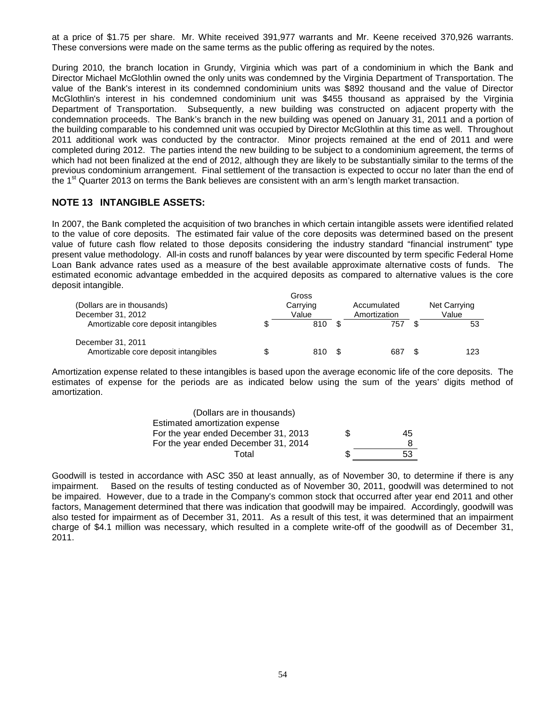at a price of \$1.75 per share. Mr. White received 391,977 warrants and Mr. Keene received 370,926 warrants. These conversions were made on the same terms as the public offering as required by the notes.

During 2010, the branch location in Grundy, Virginia which was part of a condominium in which the Bank and Director Michael McGlothlin owned the only units was condemned by the Virginia Department of Transportation. The value of the Bank's interest in its condemned condominium units was \$892 thousand and the value of Director McGlothlin's interest in his condemned condominium unit was \$455 thousand as appraised by the Virginia Department of Transportation. Subsequently, a new building was constructed on adjacent property with the condemnation proceeds. The Bank's branch in the new building was opened on January 31, 2011 and a portion of the building comparable to his condemned unit was occupied by Director McGlothlin at this time as well. Throughout 2011 additional work was conducted by the contractor. Minor projects remained at the end of 2011 and were completed during 2012. The parties intend the new building to be subject to a condominium agreement, the terms of which had not been finalized at the end of 2012, although they are likely to be substantially similar to the terms of the previous condominium arrangement. Final settlement of the transaction is expected to occur no later than the end of the 1<sup>st</sup> Quarter 2013 on terms the Bank believes are consistent with an arm's length market transaction.

### **NOTE 13 INTANGIBLE ASSETS:**

In 2007, the Bank completed the acquisition of two branches in which certain intangible assets were identified related to the value of core deposits. The estimated fair value of the core deposits was determined based on the present value of future cash flow related to those deposits considering the industry standard "financial instrument" type present value methodology. All-in costs and runoff balances by year were discounted by term specific Federal Home Loan Bank advance rates used as a measure of the best available approximate alternative costs of funds. The estimated economic advantage embedded in the acquired deposits as compared to alternative values is the core deposit intangible.

| (Dollars are in thousands)<br>December 31, 2012           | Gross<br>Carrying<br>Value | Accumulated<br>Amortization | Net Carrying<br>Value |  |
|-----------------------------------------------------------|----------------------------|-----------------------------|-----------------------|--|
| Amortizable core deposit intangibles                      | 810                        | 757                         | 53                    |  |
| December 31, 2011<br>Amortizable core deposit intangibles | 810                        | 687                         | 123                   |  |

Amortization expense related to these intangibles is based upon the average economic life of the core deposits. The estimates of expense for the periods are as indicated below using the sum of the years' digits method of amortization.

| (Dollars are in thousands)           |   |    |
|--------------------------------------|---|----|
| Estimated amortization expense       |   |    |
| For the year ended December 31, 2013 | S | 45 |
| For the year ended December 31, 2014 |   | 8  |
| Total                                | S | 53 |

Goodwill is tested in accordance with ASC 350 at least annually, as of November 30, to determine if there is any impairment. Based on the results of testing conducted as of November 30, 2011, goodwill was determined to not be impaired. However, due to a trade in the Company's common stock that occurred after year end 2011 and other factors, Management determined that there was indication that goodwill may be impaired. Accordingly, goodwill was also tested for impairment as of December 31, 2011. As a result of this test, it was determined that an impairment charge of \$4.1 million was necessary, which resulted in a complete write-off of the goodwill as of December 31, 2011.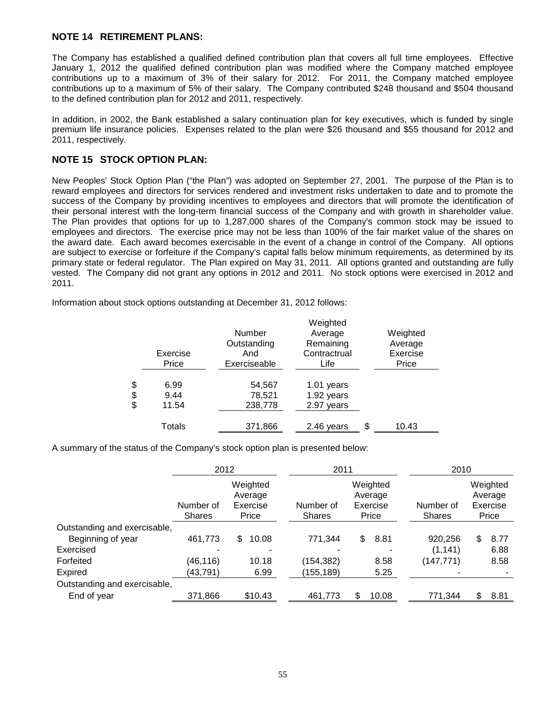## **NOTE 14 RETIREMENT PLANS:**

The Company has established a qualified defined contribution plan that covers all full time employees. Effective January 1, 2012 the qualified defined contribution plan was modified where the Company matched employee contributions up to a maximum of 3% of their salary for 2012. For 2011, the Company matched employee contributions up to a maximum of 5% of their salary. The Company contributed \$248 thousand and \$504 thousand to the defined contribution plan for 2012 and 2011, respectively.

In addition, in 2002, the Bank established a salary continuation plan for key executives, which is funded by single premium life insurance policies. Expenses related to the plan were \$26 thousand and \$55 thousand for 2012 and 2011, respectively.

## **NOTE 15 STOCK OPTION PLAN:**

New Peoples' Stock Option Plan ("the Plan") was adopted on September 27, 2001. The purpose of the Plan is to reward employees and directors for services rendered and investment risks undertaken to date and to promote the success of the Company by providing incentives to employees and directors that will promote the identification of their personal interest with the long-term financial success of the Company and with growth in shareholder value. The Plan provides that options for up to 1,287,000 shares of the Company's common stock may be issued to employees and directors. The exercise price may not be less than 100% of the fair market value of the shares on the award date. Each award becomes exercisable in the event of a change in control of the Company. All options are subject to exercise or forfeiture if the Company's capital falls below minimum requirements, as determined by its primary state or federal regulator. The Plan expired on May 31, 2011. All options granted and outstanding are fully vested. The Company did not grant any options in 2012 and 2011. No stock options were exercised in 2012 and 2011.

Information about stock options outstanding at December 31, 2012 follows:

|             |              | Weighted     |   |          |  |
|-------------|--------------|--------------|---|----------|--|
|             | Number       | Average      |   | Weighted |  |
|             | Outstanding  | Remaining    |   | Average  |  |
| Exercise    | And          | Contractrual |   | Exercise |  |
| Price       | Exerciseable | Life         |   | Price    |  |
|             |              |              |   |          |  |
| \$<br>6.99  | 54,567       | 1.01 years   |   |          |  |
| \$<br>9.44  | 78,521       | 1.92 years   |   |          |  |
| \$<br>11.54 | 238,778      | 2.97 years   |   |          |  |
| Totals      | 371,866      | 2.46 years   | S | 10.43    |  |

A summary of the status of the Company's stock option plan is presented below:

|                              | 2012                       |                                          | 2011                                                                   |             | 2010                       |                                          |  |  |
|------------------------------|----------------------------|------------------------------------------|------------------------------------------------------------------------|-------------|----------------------------|------------------------------------------|--|--|
|                              | Number of<br><b>Shares</b> | Weighted<br>Average<br>Exercise<br>Price | Weighted<br>Average<br>Exercise<br>Number of<br>Price<br><b>Shares</b> |             | Number of<br><b>Shares</b> | Weighted<br>Average<br>Exercise<br>Price |  |  |
| Outstanding and exercisable, |                            |                                          |                                                                        |             |                            |                                          |  |  |
| Beginning of year            | 461,773                    | 10.08<br>\$                              | 771.344                                                                | \$<br>8.81  | 920,256                    | \$<br>8.77                               |  |  |
| Exercised                    |                            |                                          |                                                                        |             | (1, 141)                   | 6.88                                     |  |  |
| Forfeited                    | (46, 116)                  | 10.18                                    | (154,382)                                                              | 8.58        | (147, 771)                 | 8.58                                     |  |  |
| Expired                      | (43,791)                   | 6.99                                     | (155, 189)                                                             | 5.25        |                            |                                          |  |  |
| Outstanding and exercisable, |                            |                                          |                                                                        |             |                            |                                          |  |  |
| End of year                  | 371,866                    | \$10.43                                  | 461,773                                                                | 10.08<br>S. | 771,344                    | 8.81<br>\$                               |  |  |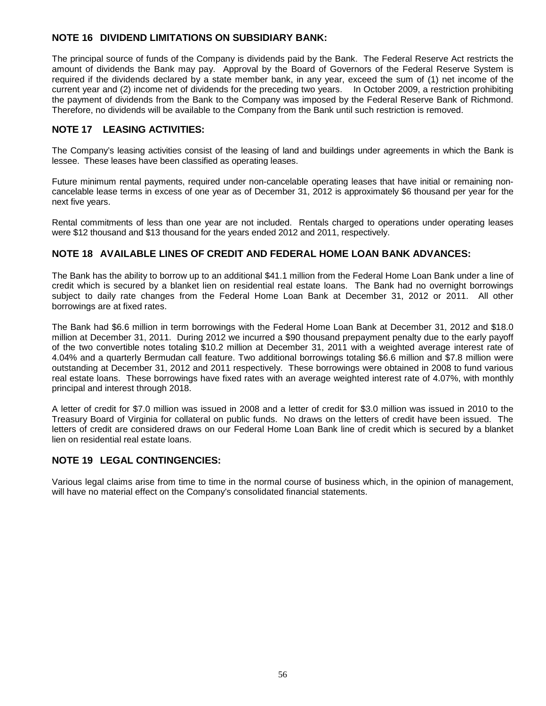## **NOTE 16 DIVIDEND LIMITATIONS ON SUBSIDIARY BANK:**

The principal source of funds of the Company is dividends paid by the Bank. The Federal Reserve Act restricts the amount of dividends the Bank may pay. Approval by the Board of Governors of the Federal Reserve System is required if the dividends declared by a state member bank, in any year, exceed the sum of (1) net income of the current year and (2) income net of dividends for the preceding two years. In October 2009, a restriction prohibiting the payment of dividends from the Bank to the Company was imposed by the Federal Reserve Bank of Richmond. Therefore, no dividends will be available to the Company from the Bank until such restriction is removed.

## **NOTE 17 LEASING ACTIVITIES:**

The Company's leasing activities consist of the leasing of land and buildings under agreements in which the Bank is lessee. These leases have been classified as operating leases.

Future minimum rental payments, required under non-cancelable operating leases that have initial or remaining noncancelable lease terms in excess of one year as of December 31, 2012 is approximately \$6 thousand per year for the next five years.

Rental commitments of less than one year are not included. Rentals charged to operations under operating leases were \$12 thousand and \$13 thousand for the years ended 2012 and 2011, respectively.

### **NOTE 18 AVAILABLE LINES OF CREDIT AND FEDERAL HOME LOAN BANK ADVANCES:**

The Bank has the ability to borrow up to an additional \$41.1 million from the Federal Home Loan Bank under a line of credit which is secured by a blanket lien on residential real estate loans. The Bank had no overnight borrowings subject to daily rate changes from the Federal Home Loan Bank at December 31, 2012 or 2011. All other borrowings are at fixed rates.

The Bank had \$6.6 million in term borrowings with the Federal Home Loan Bank at December 31, 2012 and \$18.0 million at December 31, 2011. During 2012 we incurred a \$90 thousand prepayment penalty due to the early payoff of the two convertible notes totaling \$10.2 million at December 31, 2011 with a weighted average interest rate of 4.04% and a quarterly Bermudan call feature. Two additional borrowings totaling \$6.6 million and \$7.8 million were outstanding at December 31, 2012 and 2011 respectively. These borrowings were obtained in 2008 to fund various real estate loans. These borrowings have fixed rates with an average weighted interest rate of 4.07%, with monthly principal and interest through 2018.

A letter of credit for \$7.0 million was issued in 2008 and a letter of credit for \$3.0 million was issued in 2010 to the Treasury Board of Virginia for collateral on public funds. No draws on the letters of credit have been issued. The letters of credit are considered draws on our Federal Home Loan Bank line of credit which is secured by a blanket lien on residential real estate loans.

### **NOTE 19 LEGAL CONTINGENCIES:**

Various legal claims arise from time to time in the normal course of business which, in the opinion of management, will have no material effect on the Company's consolidated financial statements.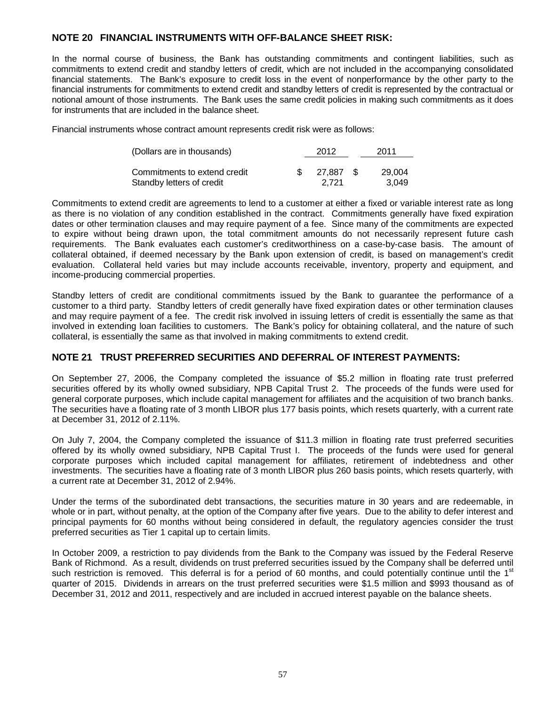## **NOTE 20 FINANCIAL INSTRUMENTS WITH OFF-BALANCE SHEET RISK:**

In the normal course of business, the Bank has outstanding commitments and contingent liabilities, such as commitments to extend credit and standby letters of credit, which are not included in the accompanying consolidated financial statements. The Bank's exposure to credit loss in the event of nonperformance by the other party to the financial instruments for commitments to extend credit and standby letters of credit is represented by the contractual or notional amount of those instruments. The Bank uses the same credit policies in making such commitments as it does for instruments that are included in the balance sheet.

Financial instruments whose contract amount represents credit risk were as follows:

| (Dollars are in thousands)                                | 2012               | 2011            |
|-----------------------------------------------------------|--------------------|-----------------|
| Commitments to extend credit<br>Standby letters of credit | 27,887 \$<br>2.721 | 29,004<br>3.049 |

Commitments to extend credit are agreements to lend to a customer at either a fixed or variable interest rate as long as there is no violation of any condition established in the contract. Commitments generally have fixed expiration dates or other termination clauses and may require payment of a fee. Since many of the commitments are expected to expire without being drawn upon, the total commitment amounts do not necessarily represent future cash requirements. The Bank evaluates each customer's creditworthiness on a case-by-case basis. The amount of collateral obtained, if deemed necessary by the Bank upon extension of credit, is based on management's credit evaluation. Collateral held varies but may include accounts receivable, inventory, property and equipment, and income-producing commercial properties.

Standby letters of credit are conditional commitments issued by the Bank to guarantee the performance of a customer to a third party. Standby letters of credit generally have fixed expiration dates or other termination clauses and may require payment of a fee. The credit risk involved in issuing letters of credit is essentially the same as that involved in extending loan facilities to customers. The Bank's policy for obtaining collateral, and the nature of such collateral, is essentially the same as that involved in making commitments to extend credit.

### **NOTE 21 TRUST PREFERRED SECURITIES AND DEFERRAL OF INTEREST PAYMENTS:**

On September 27, 2006, the Company completed the issuance of \$5.2 million in floating rate trust preferred securities offered by its wholly owned subsidiary, NPB Capital Trust 2. The proceeds of the funds were used for general corporate purposes, which include capital management for affiliates and the acquisition of two branch banks. The securities have a floating rate of 3 month LIBOR plus 177 basis points, which resets quarterly, with a current rate at December 31, 2012 of 2.11%.

On July 7, 2004, the Company completed the issuance of \$11.3 million in floating rate trust preferred securities offered by its wholly owned subsidiary, NPB Capital Trust I. The proceeds of the funds were used for general corporate purposes which included capital management for affiliates, retirement of indebtedness and other investments. The securities have a floating rate of 3 month LIBOR plus 260 basis points, which resets quarterly, with a current rate at December 31, 2012 of 2.94%.

Under the terms of the subordinated debt transactions, the securities mature in 30 years and are redeemable, in whole or in part, without penalty, at the option of the Company after five years. Due to the ability to defer interest and principal payments for 60 months without being considered in default, the regulatory agencies consider the trust preferred securities as Tier 1 capital up to certain limits.

In October 2009, a restriction to pay dividends from the Bank to the Company was issued by the Federal Reserve Bank of Richmond. As a result, dividends on trust preferred securities issued by the Company shall be deferred until such restriction is removed. This deferral is for a period of 60 months, and could potentially continue until the 1<sup>st</sup> quarter of 2015. Dividends in arrears on the trust preferred securities were \$1.5 million and \$993 thousand as of December 31, 2012 and 2011, respectively and are included in accrued interest payable on the balance sheets.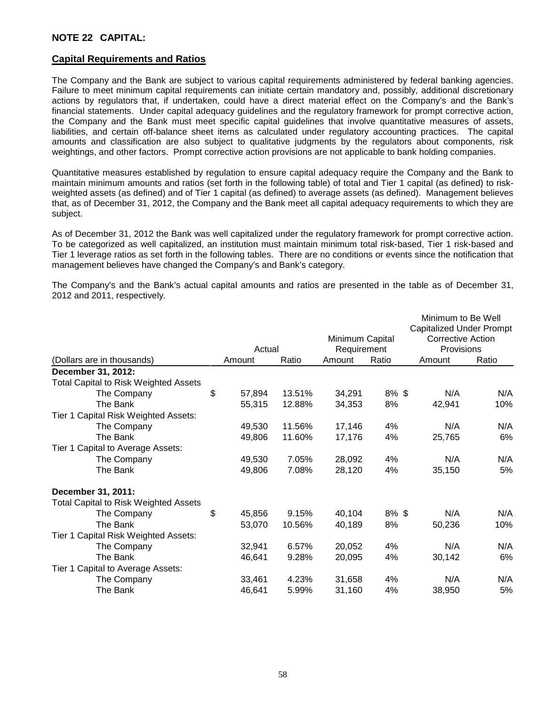## **NOTE 22 CAPITAL:**

#### **Capital Requirements and Ratios**

The Company and the Bank are subject to various capital requirements administered by federal banking agencies. Failure to meet minimum capital requirements can initiate certain mandatory and, possibly, additional discretionary actions by regulators that, if undertaken, could have a direct material effect on the Company's and the Bank's financial statements. Under capital adequacy guidelines and the regulatory framework for prompt corrective action, the Company and the Bank must meet specific capital guidelines that involve quantitative measures of assets, liabilities, and certain off-balance sheet items as calculated under regulatory accounting practices. The capital amounts and classification are also subject to qualitative judgments by the regulators about components, risk weightings, and other factors. Prompt corrective action provisions are not applicable to bank holding companies.

Quantitative measures established by regulation to ensure capital adequacy require the Company and the Bank to maintain minimum amounts and ratios (set forth in the following table) of total and Tier 1 capital (as defined) to riskweighted assets (as defined) and of Tier 1 capital (as defined) to average assets (as defined). Management believes that, as of December 31, 2012, the Company and the Bank meet all capital adequacy requirements to which they are subject.

As of December 31, 2012 the Bank was well capitalized under the regulatory framework for prompt corrective action. To be categorized as well capitalized, an institution must maintain minimum total risk-based, Tier 1 risk-based and Tier 1 leverage ratios as set forth in the following tables. There are no conditions or events since the notification that management believes have changed the Company's and Bank's category.

The Company's and the Bank's actual capital amounts and ratios are presented in the table as of December 31, 2012 and 2011, respectively.

|                                              |              |        |                                |          | Minimum to Be Well<br><b>Capitalized Under Prompt</b> |       |  |
|----------------------------------------------|--------------|--------|--------------------------------|----------|-------------------------------------------------------|-------|--|
|                                              | Actual       |        | Minimum Capital<br>Requirement |          | <b>Corrective Action</b><br>Provisions                |       |  |
| (Dollars are in thousands)                   | Amount       | Ratio  | Amount                         | Ratio    | Amount                                                | Ratio |  |
| December 31, 2012:                           |              |        |                                |          |                                                       |       |  |
| <b>Total Capital to Risk Weighted Assets</b> |              |        |                                |          |                                                       |       |  |
| The Company                                  | \$<br>57,894 | 13.51% | 34,291                         | $8\%$ \$ | N/A                                                   | N/A   |  |
| The Bank                                     | 55,315       | 12.88% | 34,353                         | 8%       | 42,941                                                | 10%   |  |
| Tier 1 Capital Risk Weighted Assets:         |              |        |                                |          |                                                       |       |  |
| The Company                                  | 49,530       | 11.56% | 17,146                         | 4%       | N/A                                                   | N/A   |  |
| The Bank                                     | 49,806       | 11.60% | 17,176                         | 4%       | 25,765                                                | 6%    |  |
| Tier 1 Capital to Average Assets:            |              |        |                                |          |                                                       |       |  |
| The Company                                  | 49,530       | 7.05%  | 28,092                         | 4%       | N/A                                                   | N/A   |  |
| The Bank                                     | 49,806       | 7.08%  | 28,120                         | 4%       | 35,150                                                | 5%    |  |
| December 31, 2011:                           |              |        |                                |          |                                                       |       |  |
| <b>Total Capital to Risk Weighted Assets</b> |              |        |                                |          |                                                       |       |  |
| The Company                                  | \$<br>45,856 | 9.15%  | 40,104                         | $8\%$ \$ | N/A                                                   | N/A   |  |
| The Bank                                     | 53,070       | 10.56% | 40,189                         | 8%       | 50,236                                                | 10%   |  |
| Tier 1 Capital Risk Weighted Assets:         |              |        |                                |          |                                                       |       |  |
| The Company                                  | 32,941       | 6.57%  | 20,052                         | 4%       | N/A                                                   | N/A   |  |
| The Bank                                     | 46,641       | 9.28%  | 20,095                         | 4%       | 30,142                                                | 6%    |  |
| Tier 1 Capital to Average Assets:            |              |        |                                |          |                                                       |       |  |
| The Company                                  | 33,461       | 4.23%  | 31,658                         | 4%       | N/A                                                   | N/A   |  |
| The Bank                                     | 46,641       | 5.99%  | 31,160                         | 4%       | 38,950                                                | 5%    |  |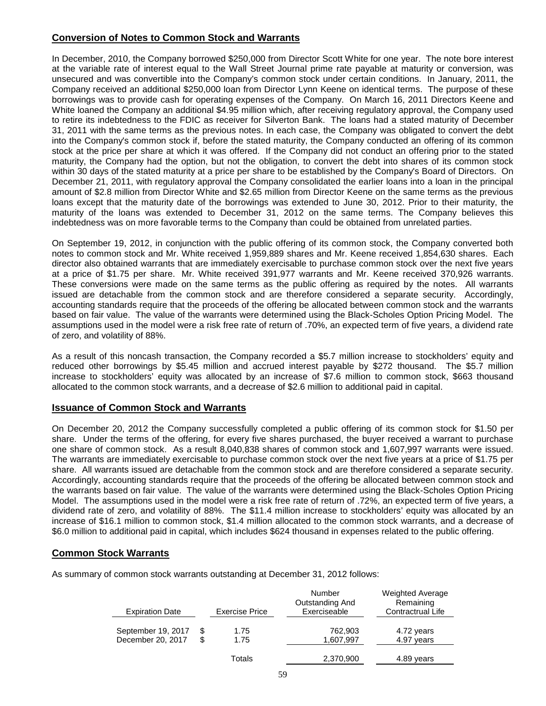## **Conversion of Notes to Common Stock and Warrants**

In December, 2010, the Company borrowed \$250,000 from Director Scott White for one year. The note bore interest at the variable rate of interest equal to the Wall Street Journal prime rate payable at maturity or conversion, was unsecured and was convertible into the Company's common stock under certain conditions. In January, 2011, the Company received an additional \$250,000 loan from Director Lynn Keene on identical terms. The purpose of these borrowings was to provide cash for operating expenses of the Company. On March 16, 2011 Directors Keene and White loaned the Company an additional \$4.95 million which, after receiving regulatory approval, the Company used to retire its indebtedness to the FDIC as receiver for Silverton Bank. The loans had a stated maturity of December 31, 2011 with the same terms as the previous notes. In each case, the Company was obligated to convert the debt into the Company's common stock if, before the stated maturity, the Company conducted an offering of its common stock at the price per share at which it was offered. If the Company did not conduct an offering prior to the stated maturity, the Company had the option, but not the obligation, to convert the debt into shares of its common stock within 30 days of the stated maturity at a price per share to be established by the Company's Board of Directors. On December 21, 2011, with regulatory approval the Company consolidated the earlier loans into a loan in the principal amount of \$2.8 million from Director White and \$2.65 million from Director Keene on the same terms as the previous loans except that the maturity date of the borrowings was extended to June 30, 2012. Prior to their maturity, the maturity of the loans was extended to December 31, 2012 on the same terms. The Company believes this indebtedness was on more favorable terms to the Company than could be obtained from unrelated parties.

On September 19, 2012, in conjunction with the public offering of its common stock, the Company converted both notes to common stock and Mr. White received 1,959,889 shares and Mr. Keene received 1,854,630 shares. Each director also obtained warrants that are immediately exercisable to purchase common stock over the next five years at a price of \$1.75 per share. Mr. White received 391,977 warrants and Mr. Keene received 370,926 warrants. These conversions were made on the same terms as the public offering as required by the notes. All warrants issued are detachable from the common stock and are therefore considered a separate security. Accordingly, accounting standards require that the proceeds of the offering be allocated between common stock and the warrants based on fair value. The value of the warrants were determined using the Black-Scholes Option Pricing Model. The assumptions used in the model were a risk free rate of return of .70%, an expected term of five years, a dividend rate of zero, and volatility of 88%.

As a result of this noncash transaction, the Company recorded a \$5.7 million increase to stockholders' equity and reduced other borrowings by \$5.45 million and accrued interest payable by \$272 thousand. The \$5.7 million increase to stockholders' equity was allocated by an increase of \$7.6 million to common stock, \$663 thousand allocated to the common stock warrants, and a decrease of \$2.6 million to additional paid in capital.

## **Issuance of Common Stock and Warrants**

On December 20, 2012 the Company successfully completed a public offering of its common stock for \$1.50 per share. Under the terms of the offering, for every five shares purchased, the buyer received a warrant to purchase one share of common stock. As a result 8,040,838 shares of common stock and 1,607,997 warrants were issued. The warrants are immediately exercisable to purchase common stock over the next five years at a price of \$1.75 per share. All warrants issued are detachable from the common stock and are therefore considered a separate security. Accordingly, accounting standards require that the proceeds of the offering be allocated between common stock and the warrants based on fair value. The value of the warrants were determined using the Black-Scholes Option Pricing Model. The assumptions used in the model were a risk free rate of return of .72%, an expected term of five years, a dividend rate of zero, and volatility of 88%. The \$11.4 million increase to stockholders' equity was allocated by an increase of \$16.1 million to common stock, \$1.4 million allocated to the common stock warrants, and a decrease of \$6.0 million to additional paid in capital, which includes \$624 thousand in expenses related to the public offering.

## **Common Stock Warrants**

As summary of common stock warrants outstanding at December 31, 2012 follows:

| <b>Expiration Date</b> |    | <b>Exercise Price</b> | Number<br>Outstanding And<br>Exerciseable | <b>Weighted Average</b><br>Remaining<br>Contractrual Life |
|------------------------|----|-----------------------|-------------------------------------------|-----------------------------------------------------------|
| September 19, 2017     | S  | 1.75                  | 762,903                                   | 4.72 years                                                |
| December 20, 2017      | \$ | 1.75                  | 1,607,997                                 | 4.97 years                                                |
|                        |    | Totals                | 2,370,900                                 | 4.89 years                                                |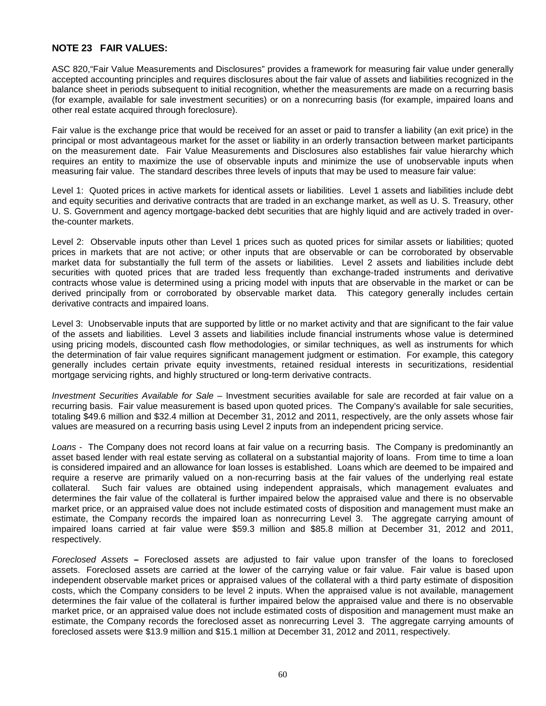## **NOTE 23 FAIR VALUES:**

ASC 820,"Fair Value Measurements and Disclosures" provides a framework for measuring fair value under generally accepted accounting principles and requires disclosures about the fair value of assets and liabilities recognized in the balance sheet in periods subsequent to initial recognition, whether the measurements are made on a recurring basis (for example, available for sale investment securities) or on a nonrecurring basis (for example, impaired loans and other real estate acquired through foreclosure).

Fair value is the exchange price that would be received for an asset or paid to transfer a liability (an exit price) in the principal or most advantageous market for the asset or liability in an orderly transaction between market participants on the measurement date. Fair Value Measurements and Disclosures also establishes fair value hierarchy which requires an entity to maximize the use of observable inputs and minimize the use of unobservable inputs when measuring fair value. The standard describes three levels of inputs that may be used to measure fair value:

Level 1: Quoted prices in active markets for identical assets or liabilities. Level 1 assets and liabilities include debt and equity securities and derivative contracts that are traded in an exchange market, as well as U. S. Treasury, other U. S. Government and agency mortgage-backed debt securities that are highly liquid and are actively traded in overthe-counter markets.

Level 2: Observable inputs other than Level 1 prices such as quoted prices for similar assets or liabilities; quoted prices in markets that are not active; or other inputs that are observable or can be corroborated by observable market data for substantially the full term of the assets or liabilities. Level 2 assets and liabilities include debt securities with quoted prices that are traded less frequently than exchange-traded instruments and derivative contracts whose value is determined using a pricing model with inputs that are observable in the market or can be derived principally from or corroborated by observable market data. This category generally includes certain derivative contracts and impaired loans.

Level 3: Unobservable inputs that are supported by little or no market activity and that are significant to the fair value of the assets and liabilities. Level 3 assets and liabilities include financial instruments whose value is determined using pricing models, discounted cash flow methodologies, or similar techniques, as well as instruments for which the determination of fair value requires significant management judgment or estimation. For example, this category generally includes certain private equity investments, retained residual interests in securitizations, residential mortgage servicing rights, and highly structured or long-term derivative contracts.

*Investment Securities Available for Sale –* Investment securities available for sale are recorded at fair value on a recurring basis. Fair value measurement is based upon quoted prices. The Company's available for sale securities, totaling \$49.6 million and \$32.4 million at December 31, 2012 and 2011, respectively, are the only assets whose fair values are measured on a recurring basis using Level 2 inputs from an independent pricing service.

*Loans -* The Company does not record loans at fair value on a recurring basis. The Company is predominantly an asset based lender with real estate serving as collateral on a substantial majority of loans. From time to time a loan is considered impaired and an allowance for loan losses is established. Loans which are deemed to be impaired and require a reserve are primarily valued on a non-recurring basis at the fair values of the underlying real estate collateral. Such fair values are obtained using independent appraisals, which management evaluates and determines the fair value of the collateral is further impaired below the appraised value and there is no observable market price, or an appraised value does not include estimated costs of disposition and management must make an estimate, the Company records the impaired loan as nonrecurring Level 3. The aggregate carrying amount of impaired loans carried at fair value were \$59.3 million and \$85.8 million at December 31, 2012 and 2011, respectively.

*Foreclosed Assets –* Foreclosed assets are adjusted to fair value upon transfer of the loans to foreclosed assets. Foreclosed assets are carried at the lower of the carrying value or fair value. Fair value is based upon independent observable market prices or appraised values of the collateral with a third party estimate of disposition costs, which the Company considers to be level 2 inputs. When the appraised value is not available, management determines the fair value of the collateral is further impaired below the appraised value and there is no observable market price, or an appraised value does not include estimated costs of disposition and management must make an estimate, the Company records the foreclosed asset as nonrecurring Level 3. The aggregate carrying amounts of foreclosed assets were \$13.9 million and \$15.1 million at December 31, 2012 and 2011, respectively.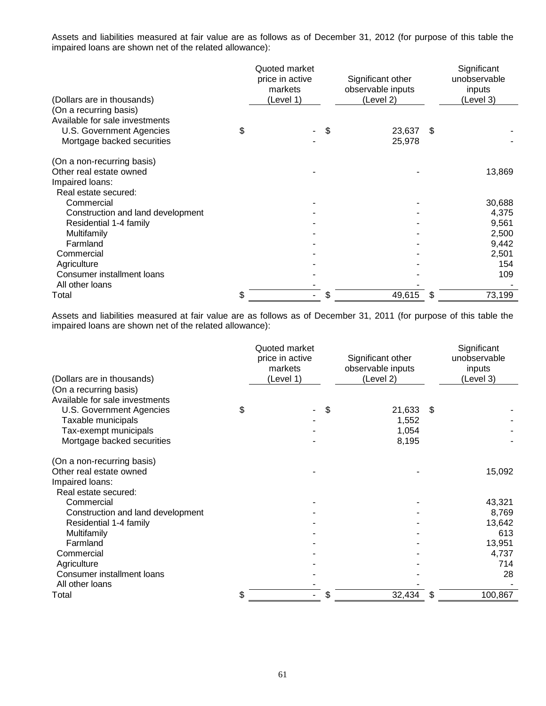Assets and liabilities measured at fair value are as follows as of December 31, 2012 (for purpose of this table the impaired loans are shown net of the related allowance):

| (Dollars are in thousands)        | Quoted market<br>price in active<br>markets<br>(Level 1) |   | Significant other<br>observable inputs<br>(Level 2) | Significant<br>unobservable<br>inputs<br>(Level 3) |
|-----------------------------------|----------------------------------------------------------|---|-----------------------------------------------------|----------------------------------------------------|
| (On a recurring basis)            |                                                          |   |                                                     |                                                    |
| Available for sale investments    |                                                          |   |                                                     |                                                    |
| <b>U.S. Government Agencies</b>   | \$                                                       | S | 23,637                                              | \$                                                 |
| Mortgage backed securities        |                                                          |   | 25,978                                              |                                                    |
| (On a non-recurring basis)        |                                                          |   |                                                     |                                                    |
| Other real estate owned           |                                                          |   |                                                     | 13,869                                             |
| Impaired loans:                   |                                                          |   |                                                     |                                                    |
| Real estate secured:              |                                                          |   |                                                     |                                                    |
| Commercial                        |                                                          |   |                                                     | 30,688                                             |
| Construction and land development |                                                          |   |                                                     | 4,375                                              |
| Residential 1-4 family            |                                                          |   |                                                     | 9,561                                              |
| Multifamily                       |                                                          |   |                                                     | 2,500                                              |
| Farmland                          |                                                          |   |                                                     | 9,442                                              |
| Commercial                        |                                                          |   |                                                     | 2,501                                              |
| Agriculture                       |                                                          |   |                                                     | 154                                                |
| Consumer installment loans        |                                                          |   |                                                     | 109                                                |
| All other loans                   |                                                          |   |                                                     |                                                    |
| Total                             | \$                                                       |   | 49,615                                              | \$<br>73,199                                       |

Assets and liabilities measured at fair value are as follows as of December 31, 2011 (for purpose of this table the impaired loans are shown net of the related allowance):

| (Dollars are in thousands)                                                                                                                                        | Quoted market<br>price in active<br>markets<br>(Level 1) | Significant other<br>observable inputs<br>(Level 2) |     | Significant<br>unobservable<br>inputs<br>(Level 3) |
|-------------------------------------------------------------------------------------------------------------------------------------------------------------------|----------------------------------------------------------|-----------------------------------------------------|-----|----------------------------------------------------|
| (On a recurring basis)<br>Available for sale investments<br>U.S. Government Agencies<br>Taxable municipals<br>Tax-exempt municipals<br>Mortgage backed securities | \$                                                       | \$<br>21,633<br>1,552<br>1,054<br>8,195             | -\$ |                                                    |
| (On a non-recurring basis)<br>Other real estate owned<br>Impaired loans:<br>Real estate secured:                                                                  |                                                          |                                                     |     | 15,092                                             |
| Commercial                                                                                                                                                        |                                                          |                                                     |     | 43,321                                             |
| Construction and land development                                                                                                                                 |                                                          |                                                     |     | 8,769                                              |
| Residential 1-4 family                                                                                                                                            |                                                          |                                                     |     | 13,642                                             |
| Multifamily                                                                                                                                                       |                                                          |                                                     |     | 613                                                |
| Farmland                                                                                                                                                          |                                                          |                                                     |     | 13,951                                             |
| Commercial                                                                                                                                                        |                                                          |                                                     |     | 4,737                                              |
| Agriculture                                                                                                                                                       |                                                          |                                                     |     | 714                                                |
| <b>Consumer installment loans</b><br>All other loans                                                                                                              |                                                          |                                                     |     | 28                                                 |
| Total                                                                                                                                                             | \$                                                       | 32,434                                              |     | 100,867                                            |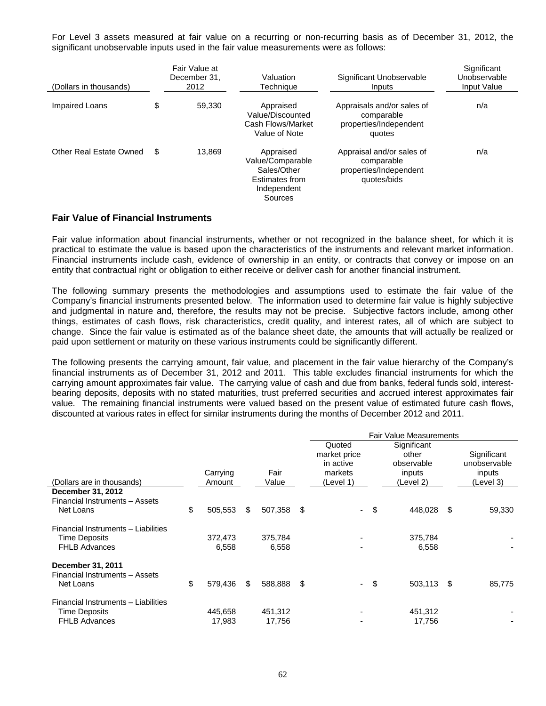For Level 3 assets measured at fair value on a recurring or non-recurring basis as of December 31, 2012, the significant unobservable inputs used in the fair value measurements were as follows:

| (Dollars in thousands)  | Fair Value at<br>December 31.<br>2012 | Valuation<br>Techniaue                                                                   | Significant Unobservable<br>Inputs                                               | Significant<br>Unobservable<br>Input Value |
|-------------------------|---------------------------------------|------------------------------------------------------------------------------------------|----------------------------------------------------------------------------------|--------------------------------------------|
| <b>Impaired Loans</b>   | \$<br>59.330                          | Appraised<br>Value/Discounted<br>Cash Flows/Market<br>Value of Note                      | Appraisals and/or sales of<br>comparable<br>properties/Independent<br>quotes     | n/a                                        |
| Other Real Estate Owned | \$<br>13.869                          | Appraised<br>Value/Comparable<br>Sales/Other<br>Estimates from<br>Independent<br>Sources | Appraisal and/or sales of<br>comparable<br>properties/Independent<br>quotes/bids | n/a                                        |

## **Fair Value of Financial Instruments**

Fair value information about financial instruments, whether or not recognized in the balance sheet, for which it is practical to estimate the value is based upon the characteristics of the instruments and relevant market information. Financial instruments include cash, evidence of ownership in an entity, or contracts that convey or impose on an entity that contractual right or obligation to either receive or deliver cash for another financial instrument.

The following summary presents the methodologies and assumptions used to estimate the fair value of the Company's financial instruments presented below. The information used to determine fair value is highly subjective and judgmental in nature and, therefore, the results may not be precise. Subjective factors include, among other things, estimates of cash flows, risk characteristics, credit quality, and interest rates, all of which are subject to change. Since the fair value is estimated as of the balance sheet date, the amounts that will actually be realized or paid upon settlement or maturity on these various instruments could be significantly different.

The following presents the carrying amount, fair value, and placement in the fair value hierarchy of the Company's financial instruments as of December 31, 2012 and 2011. This table excludes financial instruments for which the carrying amount approximates fair value. The carrying value of cash and due from banks, federal funds sold, interestbearing deposits, deposits with no stated maturities, trust preferred securities and accrued interest approximates fair value. The remaining financial instruments were valued based on the present value of estimated future cash flows, discounted at various rates in effect for similar instruments during the months of December 2012 and 2011.

|                                                                                     |                    |                  |     |                                                             |        | <b>Fair Value Measurements</b>                            |     |                                                    |
|-------------------------------------------------------------------------------------|--------------------|------------------|-----|-------------------------------------------------------------|--------|-----------------------------------------------------------|-----|----------------------------------------------------|
| (Dollars are in thousands)                                                          | Carrying<br>Amount | Fair<br>Value    |     | Quoted<br>market price<br>in active<br>markets<br>(Level 1) |        | Significant<br>other<br>observable<br>inputs<br>(Level 2) |     | Significant<br>unobservable<br>inputs<br>(Level 3) |
| December 31, 2012                                                                   |                    |                  |     |                                                             |        |                                                           |     |                                                    |
| Financial Instruments - Assets                                                      |                    |                  |     |                                                             |        |                                                           |     |                                                    |
| Net Loans                                                                           | \$<br>505,553      | \$<br>507,358    | -\$ |                                                             | $-$ \$ | 448,028                                                   | -\$ | 59,330                                             |
| Financial Instruments - Liabilities<br><b>Time Deposits</b><br><b>FHLB Advances</b> | 372,473<br>6,558   | 375,784<br>6,558 |     |                                                             |        | 375,784<br>6,558                                          |     |                                                    |
| December 31, 2011<br>Financial Instruments - Assets<br>Net Loans                    | \$<br>579,436      | \$<br>588,888    | -\$ |                                                             | - \$   | 503,113 \$                                                |     | 85,775                                             |
|                                                                                     |                    |                  |     |                                                             |        |                                                           |     |                                                    |
| Financial Instruments - Liabilities                                                 |                    |                  |     |                                                             |        |                                                           |     |                                                    |
| Time Deposits                                                                       | 445,658            | 451,312          |     |                                                             |        | 451,312                                                   |     |                                                    |
| <b>FHLB Advances</b>                                                                | 17,983             | 17,756           |     |                                                             |        | 17,756                                                    |     |                                                    |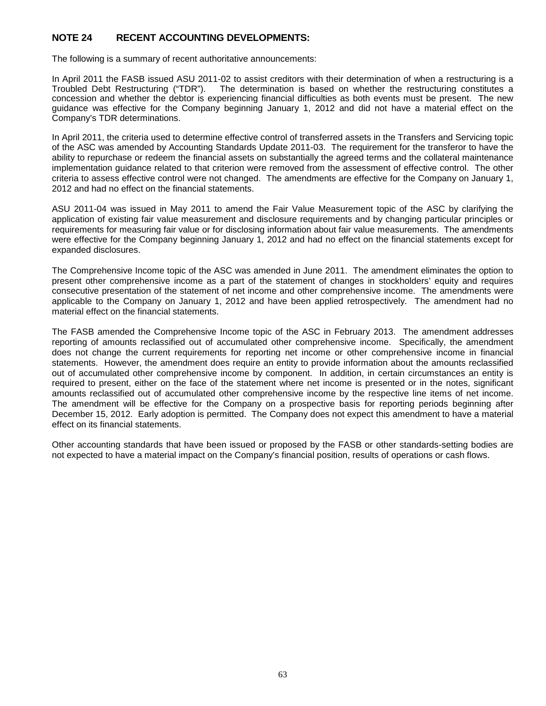## **NOTE 24 RECENT ACCOUNTING DEVELOPMENTS:**

The following is a summary of recent authoritative announcements:

In April 2011 the FASB issued ASU 2011-02 to assist creditors with their determination of when a restructuring is a<br>Troubled Debt Restructuring ("TDR"). The determination is based on whether the restructuring constitutes a The determination is based on whether the restructuring constitutes a concession and whether the debtor is experiencing financial difficulties as both events must be present. The new guidance was effective for the Company beginning January 1, 2012 and did not have a material effect on the Company's TDR determinations.

In April 2011, the criteria used to determine effective control of transferred assets in the Transfers and Servicing topic of the ASC was amended by Accounting Standards Update 2011-03. The requirement for the transferor to have the ability to repurchase or redeem the financial assets on substantially the agreed terms and the collateral maintenance implementation guidance related to that criterion were removed from the assessment of effective control. The other criteria to assess effective control were not changed. The amendments are effective for the Company on January 1, 2012 and had no effect on the financial statements.

ASU 2011-04 was issued in May 2011 to amend the Fair Value Measurement topic of the ASC by clarifying the application of existing fair value measurement and disclosure requirements and by changing particular principles or requirements for measuring fair value or for disclosing information about fair value measurements. The amendments were effective for the Company beginning January 1, 2012 and had no effect on the financial statements except for expanded disclosures.

The Comprehensive Income topic of the ASC was amended in June 2011. The amendment eliminates the option to present other comprehensive income as a part of the statement of changes in stockholders' equity and requires consecutive presentation of the statement of net income and other comprehensive income. The amendments were applicable to the Company on January 1, 2012 and have been applied retrospectively. The amendment had no material effect on the financial statements.

The FASB amended the Comprehensive Income topic of the ASC in February 2013. The amendment addresses reporting of amounts reclassified out of accumulated other comprehensive income. Specifically, the amendment does not change the current requirements for reporting net income or other comprehensive income in financial statements. However, the amendment does require an entity to provide information about the amounts reclassified out of accumulated other comprehensive income by component. In addition, in certain circumstances an entity is required to present, either on the face of the statement where net income is presented or in the notes, significant amounts reclassified out of accumulated other comprehensive income by the respective line items of net income. The amendment will be effective for the Company on a prospective basis for reporting periods beginning after December 15, 2012. Early adoption is permitted. The Company does not expect this amendment to have a material effect on its financial statements.

Other accounting standards that have been issued or proposed by the FASB or other standards-setting bodies are not expected to have a material impact on the Company's financial position, results of operations or cash flows.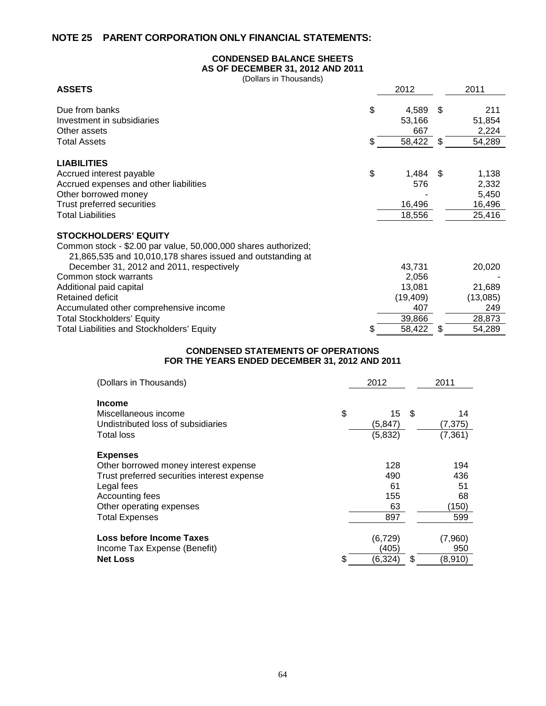## **NOTE 25 PARENT CORPORATION ONLY FINANCIAL STATEMENTS:**

## **CONDENSED BALANCE SHEETS**

**AS OF DECEMBER 31, 2012 AND 2011**

(Dollars in Thousands)

| <b>ASSETS</b>                                                                                                                                                                                                                                                                                                                                                  |          | 2012                                                    |           | 2011                                          |
|----------------------------------------------------------------------------------------------------------------------------------------------------------------------------------------------------------------------------------------------------------------------------------------------------------------------------------------------------------------|----------|---------------------------------------------------------|-----------|-----------------------------------------------|
| Due from banks<br>Investment in subsidiaries<br>Other assets<br><b>Total Assets</b>                                                                                                                                                                                                                                                                            | \$<br>\$ | 4,589<br>53,166<br>667<br>58,422                        | \$.<br>\$ | 211<br>51,854<br>2,224<br>54,289              |
| <b>LIABILITIES</b><br>Accrued interest payable<br>Accrued expenses and other liabilities<br>Other borrowed money<br>Trust preferred securities<br><b>Total Liabilities</b>                                                                                                                                                                                     | \$       | 1,484<br>576<br>16,496<br>18,556                        | \$        | 1,138<br>2,332<br>5,450<br>16,496<br>25,416   |
| <b>STOCKHOLDERS' EQUITY</b><br>Common stock - \$2.00 par value, 50,000,000 shares authorized;<br>21,865,535 and 10,010,178 shares issued and outstanding at<br>December 31, 2012 and 2011, respectively<br>Common stock warrants<br>Additional paid capital<br>Retained deficit<br>Accumulated other comprehensive income<br><b>Total Stockholders' Equity</b> |          | 43,731<br>2,056<br>13,081<br>(19, 409)<br>407<br>39,866 |           | 20,020<br>21,689<br>(13,085)<br>249<br>28,873 |
| <b>Total Liabilities and Stockholders' Equity</b>                                                                                                                                                                                                                                                                                                              | \$       | 58,422                                                  | \$        | 54,289                                        |

#### **CONDENSED STATEMENTS OF OPERATIONS FOR THE YEARS ENDED DECEMBER 31, 2012 AND 2011**

| (Dollars in Thousands)                      | 2012     |    | 2011     |
|---------------------------------------------|----------|----|----------|
| <b>Income</b><br>Miscellaneous income       | \$<br>15 | \$ | 14       |
| Undistributed loss of subsidiaries          | (5,847)  |    | (7,375)  |
| <b>Total loss</b>                           | (5,832)  |    | (7, 361) |
| <b>Expenses</b>                             |          |    |          |
| Other borrowed money interest expense       | 128      |    | 194      |
| Trust preferred securities interest expense | 490      |    | 436      |
| Legal fees                                  | 61       |    | 51       |
| Accounting fees                             | 155      |    | 68       |
| Other operating expenses                    | 63       |    | (150)    |
| <b>Total Expenses</b>                       | 897      |    | 599      |
| Loss before Income Taxes                    | (6, 729) |    | (7,960)  |
| Income Tax Expense (Benefit)                | (405)    |    | 950      |
| <b>Net Loss</b>                             | (6,324)  | S  | (8,910)  |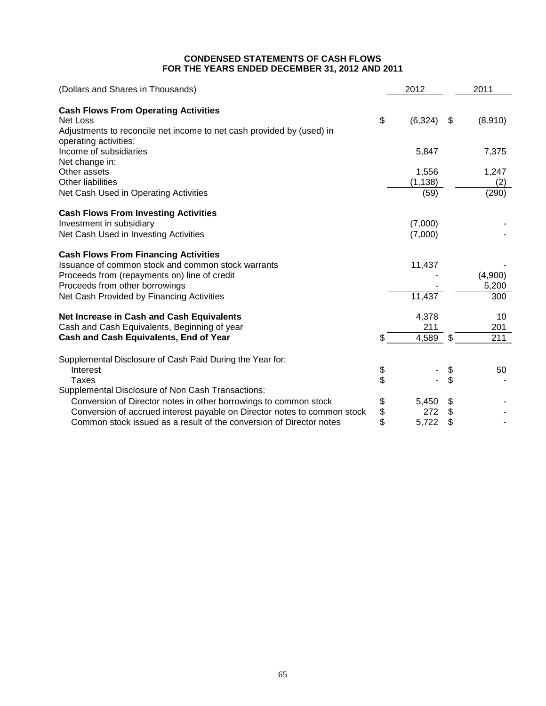### **CONDENSED STATEMENTS OF CASH FLOWS FOR THE YEARS ENDED DECEMBER 31, 2012 AND 2011**

| (Dollars and Shares in Thousands)                                                                                                       |          | 2012     | 2011          |
|-----------------------------------------------------------------------------------------------------------------------------------------|----------|----------|---------------|
| <b>Cash Flows From Operating Activities</b><br><b>Net Loss</b><br>Adjustments to reconcile net income to net cash provided by (used) in | \$       | (6, 324) | \$<br>(8.910) |
| operating activities:<br>Income of subsidiaries                                                                                         |          | 5,847    | 7,375         |
| Net change in:                                                                                                                          |          |          |               |
| Other assets                                                                                                                            |          | 1,556    | 1,247         |
| <b>Other liabilities</b>                                                                                                                |          | (1, 138) | (2)           |
| Net Cash Used in Operating Activities                                                                                                   |          | (59)     | (290)         |
| <b>Cash Flows From Investing Activities</b>                                                                                             |          |          |               |
| Investment in subsidiary                                                                                                                |          | (7,000)  |               |
| Net Cash Used in Investing Activities                                                                                                   |          | (7,000)  |               |
| <b>Cash Flows From Financing Activities</b>                                                                                             |          |          |               |
| Issuance of common stock and common stock warrants                                                                                      |          | 11,437   |               |
| Proceeds from (repayments on) line of credit                                                                                            |          |          | (4,900)       |
| Proceeds from other borrowings                                                                                                          |          |          | 5,200         |
| Net Cash Provided by Financing Activities                                                                                               |          | 11,437   | 300           |
| Net Increase in Cash and Cash Equivalents                                                                                               |          | 4,378    | 10            |
| Cash and Cash Equivalents, Beginning of year                                                                                            |          | 211      | 201           |
| Cash and Cash Equivalents, End of Year                                                                                                  | \$       | 4,589    | \$<br>211     |
| Supplemental Disclosure of Cash Paid During the Year for:                                                                               |          |          |               |
| Interest                                                                                                                                |          |          | \$<br>50      |
| Taxes                                                                                                                                   | \$<br>\$ |          | \$            |
| Supplemental Disclosure of Non Cash Transactions:                                                                                       |          |          |               |
| Conversion of Director notes in other borrowings to common stock                                                                        | \$       | 5,450    | \$            |
| Conversion of accrued interest payable on Director notes to common stock                                                                | \$       | 272      | \$            |
| Common stock issued as a result of the conversion of Director notes                                                                     | \$       | 5,722    | \$            |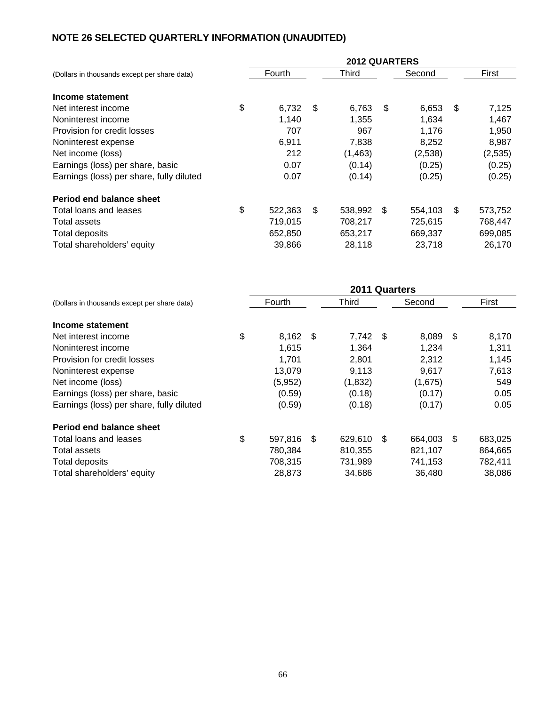# **NOTE 26 SELECTED QUARTERLY INFORMATION (UNAUDITED)**

|                                              |               | 2012 QUARTERS |               |               |
|----------------------------------------------|---------------|---------------|---------------|---------------|
| (Dollars in thousands except per share data) | Fourth        | <b>Third</b>  | Second        | First         |
| Income statement                             |               |               |               |               |
| Net interest income                          | \$<br>6,732   | \$<br>6,763   | \$<br>6,653   | \$<br>7,125   |
| Noninterest income                           | 1,140         | 1,355         | 1,634         | 1,467         |
| Provision for credit losses                  | 707           | 967           | 1,176         | 1,950         |
| Noninterest expense                          | 6,911         | 7,838         | 8,252         | 8,987         |
| Net income (loss)                            | 212           | (1, 463)      | (2,538)       | (2,535)       |
| Earnings (loss) per share, basic             | 0.07          | (0.14)        | (0.25)        | (0.25)        |
| Earnings (loss) per share, fully diluted     | 0.07          | (0.14)        | (0.25)        | (0.25)        |
| Period end balance sheet                     |               |               |               |               |
| Total loans and leases                       | \$<br>522,363 | \$<br>538,992 | \$<br>554,103 | \$<br>573,752 |
| <b>Total assets</b>                          | 719,015       | 708,217       | 725,615       | 768,447       |
| <b>Total deposits</b>                        | 652,850       | 653,217       | 669,337       | 699,085       |
| Total shareholders' equity                   | 39,866        | 28,118        | 23,718        | 26,170        |
|                                              |               |               |               |               |
|                                              |               | 2011 Quarters |               |               |
| (Dollars in thousands except per share data) | Fourth        | <b>Third</b>  | Second        | First         |
| <b>Income statement</b>                      |               |               |               |               |
| Net interest income                          | \$<br>8,162   | \$<br>7,742   | \$<br>8,089   | \$<br>8,170   |
| Noninterest income                           | 1,615         | 1,364         | 1,234         | 1,311         |
| Provision for credit losses                  | 1,701         | 2,801         | 2,312         | 1,145         |
| Noninterest expense                          | 13,079        | 9,113         | 9,617         | 7,613         |
| Net income (loss)                            | (5,952)       | (1,832)       | (1,675)       | 549           |
| Earnings (loss) per share, basic             | (0.59)        | (0.18)        | (0.17)        | 0.05          |
| Earnings (loss) per share, fully diluted     | (0.59)        | (0.18)        | (0.17)        | 0.05          |
| Period end balance sheet                     |               |               |               |               |
| Total loans and leases                       | \$<br>597,816 | \$<br>629,610 | \$<br>664,003 | \$<br>683,025 |
| <b>Total assets</b>                          | 780,384       | 810,355       | 821,107       | 864,665       |
| <b>Total deposits</b>                        | 708,315       | 731,989       | 741,153       | 782,411       |
| Total shareholders' equity                   | 28,873        | 34,686        | 36,480        | 38,086        |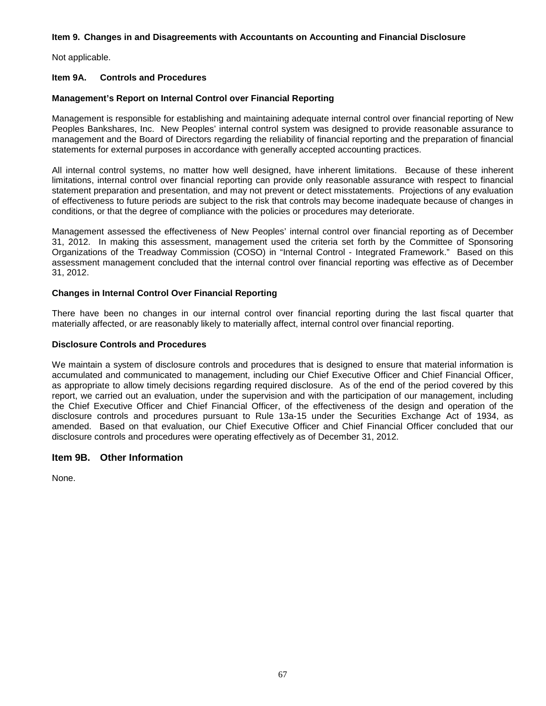#### **Item 9. Changes in and Disagreements with Accountants on Accounting and Financial Disclosure**

Not applicable.

#### **Item 9A. Controls and Procedures**

#### **Management's Report on Internal Control over Financial Reporting**

Management is responsible for establishing and maintaining adequate internal control over financial reporting of New Peoples Bankshares, Inc. New Peoples' internal control system was designed to provide reasonable assurance to management and the Board of Directors regarding the reliability of financial reporting and the preparation of financial statements for external purposes in accordance with generally accepted accounting practices.

All internal control systems, no matter how well designed, have inherent limitations. Because of these inherent limitations, internal control over financial reporting can provide only reasonable assurance with respect to financial statement preparation and presentation, and may not prevent or detect misstatements. Projections of any evaluation of effectiveness to future periods are subject to the risk that controls may become inadequate because of changes in conditions, or that the degree of compliance with the policies or procedures may deteriorate.

Management assessed the effectiveness of New Peoples' internal control over financial reporting as of December 31, 2012. In making this assessment, management used the criteria set forth by the Committee of Sponsoring Organizations of the Treadway Commission (COSO) in "Internal Control - Integrated Framework." Based on this assessment management concluded that the internal control over financial reporting was effective as of December 31, 2012.

#### **Changes in Internal Control Over Financial Reporting**

There have been no changes in our internal control over financial reporting during the last fiscal quarter that materially affected, or are reasonably likely to materially affect, internal control over financial reporting.

#### **Disclosure Controls and Procedures**

We maintain a system of disclosure controls and procedures that is designed to ensure that material information is accumulated and communicated to management, including our Chief Executive Officer and Chief Financial Officer, as appropriate to allow timely decisions regarding required disclosure. As of the end of the period covered by this report, we carried out an evaluation, under the supervision and with the participation of our management, including the Chief Executive Officer and Chief Financial Officer, of the effectiveness of the design and operation of the disclosure controls and procedures pursuant to Rule 13a-15 under the Securities Exchange Act of 1934, as amended. Based on that evaluation, our Chief Executive Officer and Chief Financial Officer concluded that our disclosure controls and procedures were operating effectively as of December 31, 2012.

#### **Item 9B. Other Information**

None.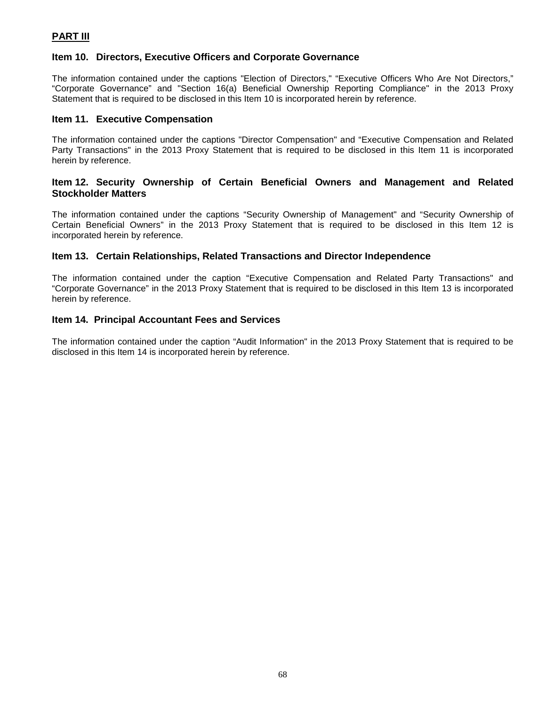## **Item 10. Directors, Executive Officers and Corporate Governance**

The information contained under the captions "Election of Directors," "Executive Officers Who Are Not Directors," "Corporate Governance" and "Section 16(a) Beneficial Ownership Reporting Compliance" in the 2013 Proxy Statement that is required to be disclosed in this Item 10 is incorporated herein by reference.

#### **Item 11. Executive Compensation**

The information contained under the captions "Director Compensation" and "Executive Compensation and Related Party Transactions" in the 2013 Proxy Statement that is required to be disclosed in this Item 11 is incorporated herein by reference.

### **Item 12. Security Ownership of Certain Beneficial Owners and Management and Related Stockholder Matters**

The information contained under the captions "Security Ownership of Management" and "Security Ownership of Certain Beneficial Owners" in the 2013 Proxy Statement that is required to be disclosed in this Item 12 is incorporated herein by reference.

### **Item 13. Certain Relationships, Related Transactions and Director Independence**

The information contained under the caption "Executive Compensation and Related Party Transactions" and "Corporate Governance" in the 2013 Proxy Statement that is required to be disclosed in this Item 13 is incorporated herein by reference.

### **Item 14. Principal Accountant Fees and Services**

The information contained under the caption "Audit Information" in the 2013 Proxy Statement that is required to be disclosed in this Item 14 is incorporated herein by reference.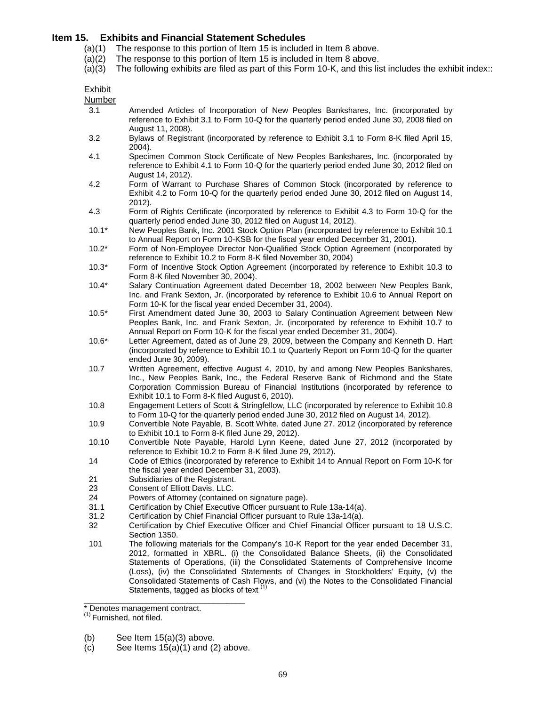## **Item 15. Exhibits and Financial Statement Schedules**

- (a)(1) The response to this portion of Item 15 is included in Item 8 above.
- (a)(2) The response to this portion of Item 15 is included in Item 8 above.
- (a)(3) The following exhibits are filed as part of this Form 10-K, and this list includes the exhibit index::

Exhibit

- Number
- 3.1 Amended Articles of Incorporation of New Peoples Bankshares, Inc. (incorporated by reference to Exhibit 3.1 to Form 10-Q for the quarterly period ended June 30, 2008 filed on August 11, 2008).
- 3.2 Bylaws of Registrant (incorporated by reference to Exhibit 3.1 to Form 8-K filed April 15, 2004).
- 4.1 Specimen Common Stock Certificate of New Peoples Bankshares, Inc. (incorporated by reference to Exhibit 4.1 to Form 10-Q for the quarterly period ended June 30, 2012 filed on August 14, 2012).
- 4.2 Form of Warrant to Purchase Shares of Common Stock (incorporated by reference to Exhibit 4.2 to Form 10-Q for the quarterly period ended June 30, 2012 filed on August 14, 2012).
- 4.3 Form of Rights Certificate (incorporated by reference to Exhibit 4.3 to Form 10-Q for the quarterly period ended June 30, 2012 filed on August 14, 2012).
- 10.1\* New Peoples Bank, Inc. 2001 Stock Option Plan (incorporated by reference to Exhibit 10.1 to Annual Report on Form 10-KSB for the fiscal year ended December 31, 2001).
- 10.2\* Form of Non-Employee Director Non-Qualified Stock Option Agreement (incorporated by reference to Exhibit 10.2 to Form 8-K filed November 30, 2004)
- 10.3\* Form of Incentive Stock Option Agreement (incorporated by reference to Exhibit 10.3 to Form 8-K filed November 30, 2004).
- 10.4\* Salary Continuation Agreement dated December 18, 2002 between New Peoples Bank, Inc. and Frank Sexton, Jr. (incorporated by reference to Exhibit 10.6 to Annual Report on Form 10-K for the fiscal year ended December 31, 2004).
- 10.5\* First Amendment dated June 30, 2003 to Salary Continuation Agreement between New Peoples Bank, Inc. and Frank Sexton, Jr. (incorporated by reference to Exhibit 10.7 to Annual Report on Form 10-K for the fiscal year ended December 31, 2004).
- 10.6\* Letter Agreement, dated as of June 29, 2009, between the Company and Kenneth D. Hart (incorporated by reference to Exhibit 10.1 to Quarterly Report on Form 10-Q for the quarter ended June 30, 2009).
- 10.7 Written Agreement, effective August 4, 2010, by and among New Peoples Bankshares, Inc., New Peoples Bank, Inc., the Federal Reserve Bank of Richmond and the State Corporation Commission Bureau of Financial Institutions (incorporated by reference to Exhibit 10.1 to Form 8-K filed August 6, 2010).
- 10.8 Engagement Letters of Scott & Stringfellow, LLC (incorporated by reference to Exhibit 10.8 to Form 10-Q for the quarterly period ended June 30, 2012 filed on August 14, 2012).
- 10.9 Convertible Note Payable, B. Scott White, dated June 27, 2012 (incorporated by reference to Exhibit 10.1 to Form 8-K filed June 29, 2012).
- 10.10 Convertible Note Payable, Harold Lynn Keene, dated June 27, 2012 (incorporated by reference to Exhibit 10.2 to Form 8-K filed June 29, 2012).
- 14 Code of Ethics (incorporated by reference to Exhibit 14 to Annual Report on Form 10-K for the fiscal year ended December 31, 2003).
- 21 Subsidiaries of the Registrant.
- 23 Consent of Elliott Davis, LLC.
- 24 Powers of Attorney (contained on signature page).
- 31.1 Certification by Chief Executive Officer pursuant to Rule 13a-14(a).<br>31.2 Certification by Chief Financial Officer pursuant to Rule 13a-14(a).
- 31.2 Certification by Chief Financial Officer pursuant to Rule 13a-14(a).
- 32 Certification by Chief Executive Officer and Chief Financial Officer pursuant to 18 U.S.C. Section 1350.
- 101 The following materials for the Company's 10-K Report for the year ended December 31, 2012, formatted in XBRL. (i) the Consolidated Balance Sheets, (ii) the Consolidated Statements of Operations, (iii) the Consolidated Statements of Comprehensive Income (Loss), (iv) the Consolidated Statements of Changes in Stockholders' Equity, (v) the Consolidated Statements of Cash Flows, and (vi) the Notes to the Consolidated Financial Statements, tagged as blocks of text<sup>(1)</sup>

 $(c)$  See Items  $15(a)(1)$  and  $(2)$  above.

\_\_\_\_\_\_\_\_\_\_\_\_\_\_\_\_\_\_\_\_\_\_\_\_\_\_\_\_\_\_\_\_\_\_\_\_ \* Denotes management contract.

<sup>(1)</sup> Furnished, not filed.

<sup>(</sup>b) See Item 15(a)(3) above.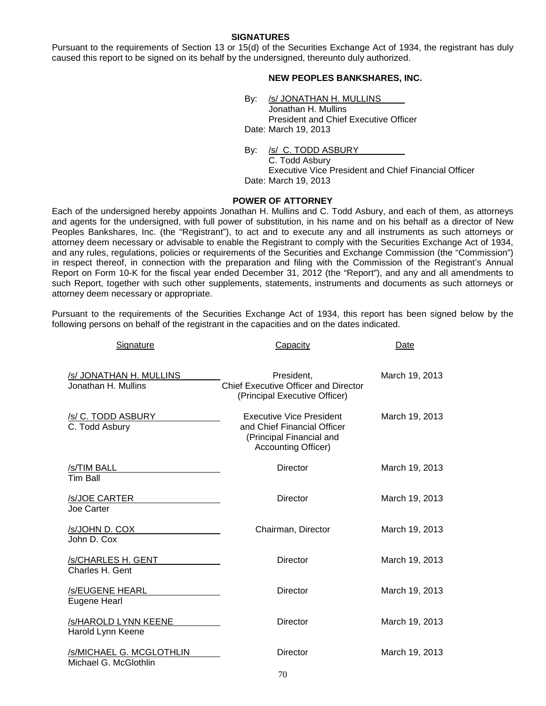#### **SIGNATURES**

Pursuant to the requirements of Section 13 or 15(d) of the Securities Exchange Act of 1934, the registrant has duly caused this report to be signed on its behalf by the undersigned, thereunto duly authorized.

#### **NEW PEOPLES BANKSHARES, INC.**

By: /s/ JONATHAN H. MULLINS Jonathan H. Mullins President and Chief Executive Officer Date: March 19, 2013

By: /s/ C. TODD ASBURY C. Todd Asbury Executive Vice President and Chief Financial Officer

Date: March 19, 2013

#### **POWER OF ATTORNEY**

Each of the undersigned hereby appoints Jonathan H. Mullins and C. Todd Asbury, and each of them, as attorneys and agents for the undersigned, with full power of substitution, in his name and on his behalf as a director of New Peoples Bankshares, Inc. (the "Registrant"), to act and to execute any and all instruments as such attorneys or attorney deem necessary or advisable to enable the Registrant to comply with the Securities Exchange Act of 1934, and any rules, regulations, policies or requirements of the Securities and Exchange Commission (the "Commission") in respect thereof, in connection with the preparation and filing with the Commission of the Registrant's Annual Report on Form 10-K for the fiscal year ended December 31, 2012 (the "Report"), and any and all amendments to such Report, together with such other supplements, statements, instruments and documents as such attorneys or attorney deem necessary or appropriate.

Pursuant to the requirements of the Securities Exchange Act of 1934, this report has been signed below by the following persons on behalf of the registrant in the capacities and on the dates indicated.

| <b>Signature</b>                                  | <b>Capacity</b>                                                                                                          | Date           |
|---------------------------------------------------|--------------------------------------------------------------------------------------------------------------------------|----------------|
| /s/ JONATHAN H. MULLINS<br>Jonathan H. Mullins    | President,<br><b>Chief Executive Officer and Director</b><br>(Principal Executive Officer)                               | March 19, 2013 |
| /s/ C. TODD ASBURY<br>C. Todd Asbury              | <b>Executive Vice President</b><br>and Chief Financial Officer<br>(Principal Financial and<br><b>Accounting Officer)</b> | March 19, 2013 |
| <u>/s/TIM BALL</u><br><b>Tim Ball</b>             | Director                                                                                                                 | March 19, 2013 |
| /s/JOE CARTER<br>Joe Carter                       | <b>Director</b>                                                                                                          | March 19, 2013 |
| /s/JOHN D. COX<br>John D. Cox                     | Chairman, Director                                                                                                       | March 19, 2013 |
| /s/CHARLES H. GENT<br>Charles H. Gent             | Director                                                                                                                 | March 19, 2013 |
| /s/EUGENE HEARL<br>Eugene Hearl                   | Director                                                                                                                 | March 19, 2013 |
| /s/HAROLD LYNN KEENE<br>Harold Lynn Keene         | Director                                                                                                                 | March 19, 2013 |
| /s/MICHAEL G. MCGLOTHLIN<br>Michael G. McGlothlin | Director                                                                                                                 | March 19, 2013 |
|                                                   | 70                                                                                                                       |                |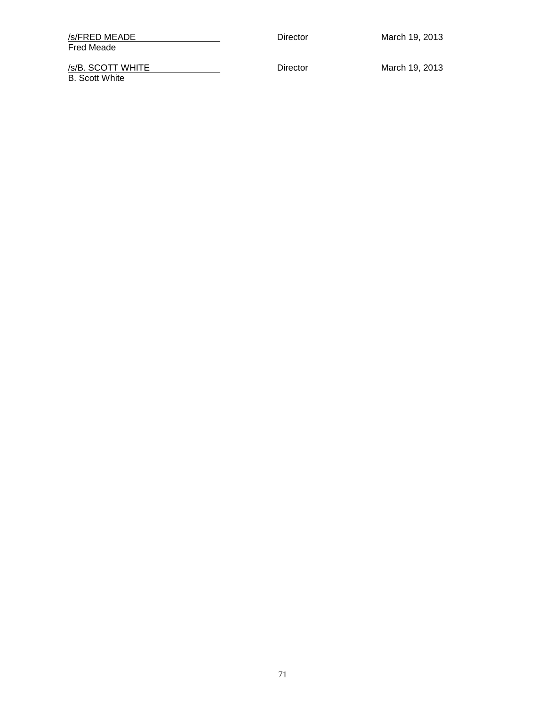| /s/FRED MEADE<br>Fred Meade | Director | March 19, 2013 |
|-----------------------------|----------|----------------|
| /s/B. SCOTT WHITE           | Director | March 19, 2013 |

B. Scott White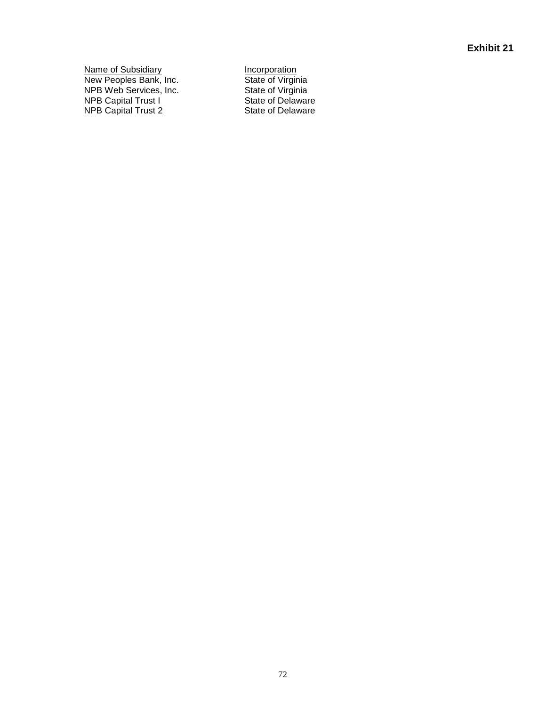Name of Subsidiary **Incorporation** New Peoples Bank, Inc. State of Virginia Name of Subsidiary Mew Peoples Bank, Inc.<br>
New Peoples Bank, Inc. State of Virginia<br>
NPB Web Services, Inc. State of Virginia<br>
NPB Capital Trust I State of Delaware NPB Capital Trust I State of Delaware NPB Capital Trust 2 State of Delaware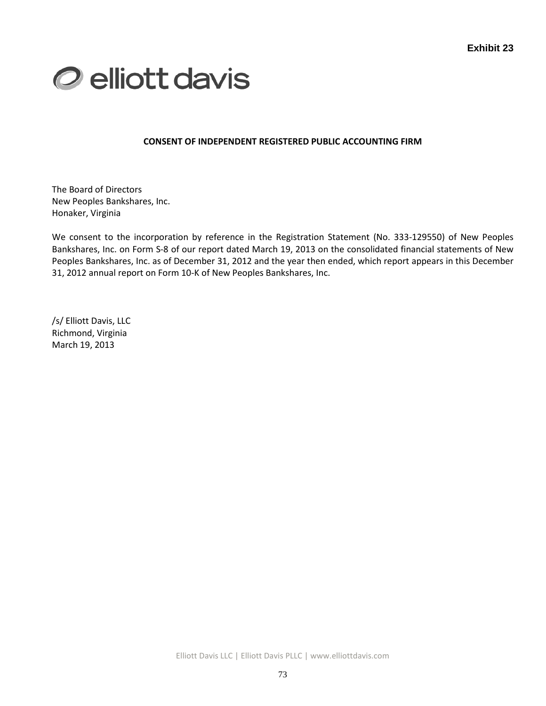

# **CONSENT OF INDEPENDENT REGISTERED PUBLIC ACCOUNTING FIRM**

The Board of Directors New Peoples Bankshares, Inc. Honaker, Virginia

We consent to the incorporation by reference in the Registration Statement (No. 333-129550) of New Peoples Bankshares, Inc. on Form S-8 of our report dated March 19, 2013 on the consolidated financial statements of New Peoples Bankshares, Inc. as of December 31, 2012 and the year then ended, which report appears in this December 31, 2012 annual report on Form 10-K of New Peoples Bankshares, Inc.

/s/ Elliott Davis, LLC Richmond, Virginia March 19, 2013

Elliott Davis LLC | Elliott Davis PLLC | www.elliottdavis.com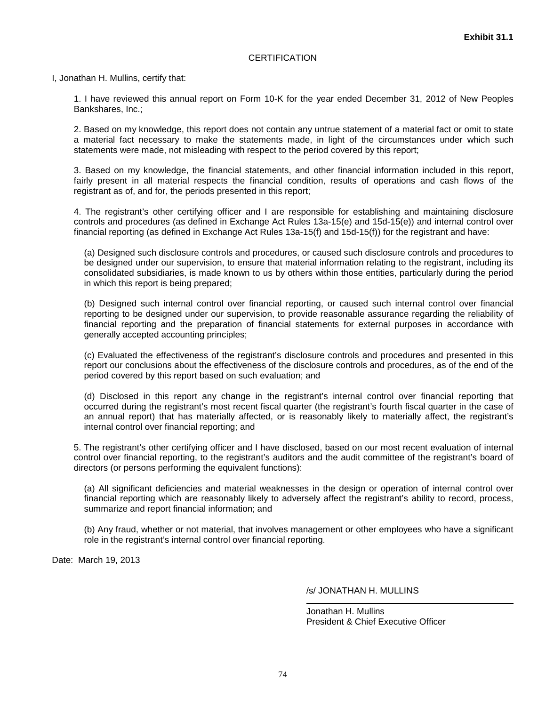### **CERTIFICATION**

I, Jonathan H. Mullins, certify that:

1. I have reviewed this annual report on Form 10-K for the year ended December 31, 2012 of New Peoples Bankshares, Inc.;

2. Based on my knowledge, this report does not contain any untrue statement of a material fact or omit to state a material fact necessary to make the statements made, in light of the circumstances under which such statements were made, not misleading with respect to the period covered by this report;

3. Based on my knowledge, the financial statements, and other financial information included in this report, fairly present in all material respects the financial condition, results of operations and cash flows of the registrant as of, and for, the periods presented in this report;

4. The registrant's other certifying officer and I are responsible for establishing and maintaining disclosure controls and procedures (as defined in Exchange Act Rules 13a-15(e) and 15d-15(e)) and internal control over financial reporting (as defined in Exchange Act Rules 13a-15(f) and 15d-15(f)) for the registrant and have:

(a) Designed such disclosure controls and procedures, or caused such disclosure controls and procedures to be designed under our supervision, to ensure that material information relating to the registrant, including its consolidated subsidiaries, is made known to us by others within those entities, particularly during the period in which this report is being prepared;

(b) Designed such internal control over financial reporting, or caused such internal control over financial reporting to be designed under our supervision, to provide reasonable assurance regarding the reliability of financial reporting and the preparation of financial statements for external purposes in accordance with generally accepted accounting principles;

(c) Evaluated the effectiveness of the registrant's disclosure controls and procedures and presented in this report our conclusions about the effectiveness of the disclosure controls and procedures, as of the end of the period covered by this report based on such evaluation; and

(d) Disclosed in this report any change in the registrant's internal control over financial reporting that occurred during the registrant's most recent fiscal quarter (the registrant's fourth fiscal quarter in the case of an annual report) that has materially affected, or is reasonably likely to materially affect, the registrant's internal control over financial reporting; and

5. The registrant's other certifying officer and I have disclosed, based on our most recent evaluation of internal control over financial reporting, to the registrant's auditors and the audit committee of the registrant's board of directors (or persons performing the equivalent functions):

(a) All significant deficiencies and material weaknesses in the design or operation of internal control over financial reporting which are reasonably likely to adversely affect the registrant's ability to record, process, summarize and report financial information; and

(b) Any fraud, whether or not material, that involves management or other employees who have a significant role in the registrant's internal control over financial reporting.

Date: March 19, 2013

#### /s/ JONATHAN H. MULLINS

Jonathan H. Mullins President & Chief Executive Officer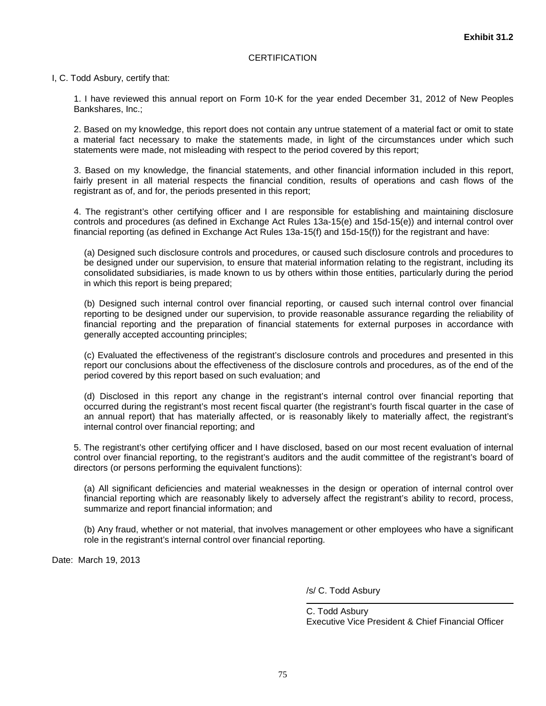### **CERTIFICATION**

### I, C. Todd Asbury, certify that:

1. I have reviewed this annual report on Form 10-K for the year ended December 31, 2012 of New Peoples Bankshares, Inc.;

2. Based on my knowledge, this report does not contain any untrue statement of a material fact or omit to state a material fact necessary to make the statements made, in light of the circumstances under which such statements were made, not misleading with respect to the period covered by this report;

3. Based on my knowledge, the financial statements, and other financial information included in this report, fairly present in all material respects the financial condition, results of operations and cash flows of the registrant as of, and for, the periods presented in this report;

4. The registrant's other certifying officer and I are responsible for establishing and maintaining disclosure controls and procedures (as defined in Exchange Act Rules 13a-15(e) and 15d-15(e)) and internal control over financial reporting (as defined in Exchange Act Rules 13a-15(f) and 15d-15(f)) for the registrant and have:

(a) Designed such disclosure controls and procedures, or caused such disclosure controls and procedures to be designed under our supervision, to ensure that material information relating to the registrant, including its consolidated subsidiaries, is made known to us by others within those entities, particularly during the period in which this report is being prepared;

(b) Designed such internal control over financial reporting, or caused such internal control over financial reporting to be designed under our supervision, to provide reasonable assurance regarding the reliability of financial reporting and the preparation of financial statements for external purposes in accordance with generally accepted accounting principles;

(c) Evaluated the effectiveness of the registrant's disclosure controls and procedures and presented in this report our conclusions about the effectiveness of the disclosure controls and procedures, as of the end of the period covered by this report based on such evaluation; and

(d) Disclosed in this report any change in the registrant's internal control over financial reporting that occurred during the registrant's most recent fiscal quarter (the registrant's fourth fiscal quarter in the case of an annual report) that has materially affected, or is reasonably likely to materially affect, the registrant's internal control over financial reporting; and

5. The registrant's other certifying officer and I have disclosed, based on our most recent evaluation of internal control over financial reporting, to the registrant's auditors and the audit committee of the registrant's board of directors (or persons performing the equivalent functions):

(a) All significant deficiencies and material weaknesses in the design or operation of internal control over financial reporting which are reasonably likely to adversely affect the registrant's ability to record, process, summarize and report financial information; and

(b) Any fraud, whether or not material, that involves management or other employees who have a significant role in the registrant's internal control over financial reporting.

Date: March 19, 2013

/s/ C. Todd Asbury

C. Todd Asbury Executive Vice President & Chief Financial Officer